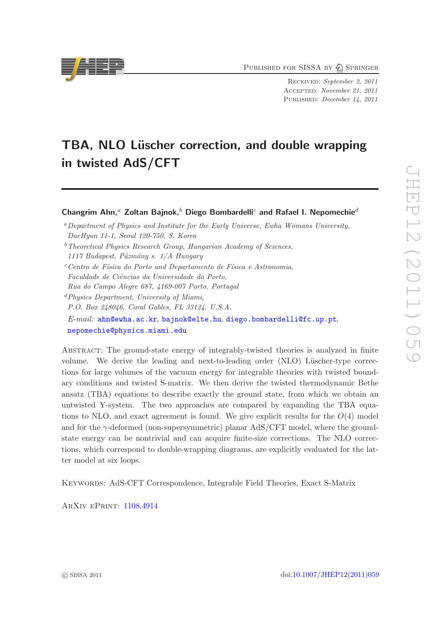PUBLISHED FOR SISSA BY 2 SPRINGER

Received: September 2, 2011 Accepted: November 21, 2011 PUBLISHED: December 14, 2011

# TBA, NLO Lüscher correction, and double wrapping in twisted AdS/CFT

Changrim Ahn,<sup>a</sup> Zoltan Bajnok,<sup>b</sup> Diego Bombardelli<sup>c</sup> and Rafael I. Nepomechie<sup>d</sup>

 $b$  Theoretical Physics Research Group, Hungarian Academy of Sciences,

- $c$ <sup>c</sup>Centro de Física do Porto and Departamento de Física e Astronomia, Faculdade de Ciências da Universidade do Porto,
- Rua do Campo Alegre 687, 4169-007 Porto, Portugal
- ${}^{d}P$ husics Department, University of Miami,
- P.O. Box 248046, Coral Gables, FL 33124, U.S.A.
- $E-mail:$  [ahn@ewha.ac.kr](mailto:ahn@ewha.ac.kr), [bajnok@elte.hu](mailto:bajnok@elte.hu), [diego.bombardelli@fc.up.pt](mailto:diego.bombardelli@fc.up.pt), [nepomechie@physics.miami.edu](mailto:nepomechie@physics.miami.edu)

Abstract: The ground-state energy of integrably-twisted theories is analyzed in finite volume. We derive the leading and next-to-leading order  $(NLO)$  Lüscher-type corrections for large volumes of the vacuum energy for integrable theories with twisted boundary conditions and twisted S-matrix. We then derive the twisted thermodynamic Bethe ansatz (TBA) equations to describe exactly the ground state, from which we obtain an untwisted Y-system. The two approaches are compared by expanding the TBA equations to NLO, and exact agreement is found. We give explicit results for the  $O(4)$  model and for the  $\gamma$ -deformed (non-supersymmetric) planar AdS/CFT model, where the groundstate energy can be nontrivial and can acquire finite-size corrections. The NLO corrections, which correspond to double-wrapping diagrams, are explicitly evaluated for the latter model at six loops.

Keywords: AdS-CFT Correspondence, Integrable Field Theories, Exact S-Matrix

ArXiv ePrint: [1108.4914](http://arxiv.org/abs/1108.4914)



<sup>a</sup>Department of Physics and Institute for the Early Universe, Ewha Womans University, DaeHyun 11-1, Seoul 120-750, S. Korea

 $1117$  Budapest, Pázmány s.  $1/A$  Hungary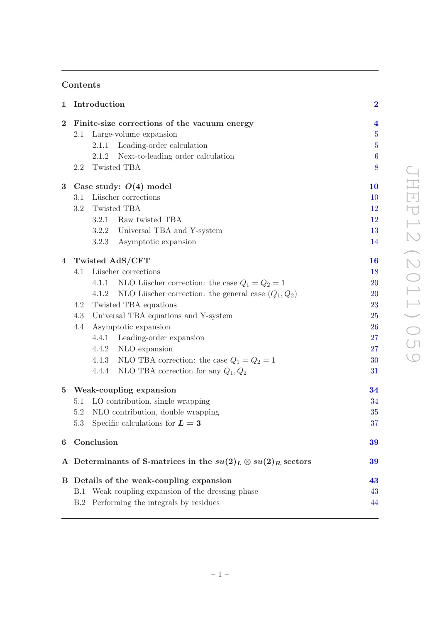# Contents

| $\mathbf{1}$ | Introduction                                 | $\bf{2}$                                                              |                  |
|--------------|----------------------------------------------|-----------------------------------------------------------------------|------------------|
| $\bf{2}$     | Finite-size corrections of the vacuum energy |                                                                       |                  |
|              | 2.1                                          | Large-volume expansion                                                | $\overline{5}$   |
|              |                                              | Leading-order calculation<br>2.1.1                                    | $\overline{5}$   |
|              |                                              | Next-to-leading order calculation<br>2.1.2                            | $\boldsymbol{6}$ |
|              | 2.2                                          | Twisted TBA                                                           | 8                |
| 3            | Case study: $O(4)$ model                     |                                                                       |                  |
|              | Lüscher corrections<br>3.1                   |                                                                       |                  |
|              | 3.2                                          | Twisted TBA                                                           |                  |
|              |                                              | Raw twisted TBA<br>3.2.1                                              | 12               |
|              |                                              | 3.2.2 Universal TBA and Y-system                                      | 13               |
|              |                                              | 3.2.3 Asymptotic expansion                                            | 14               |
|              | 4 Twisted AdS/CFT                            |                                                                       |                  |
|              | 4.1                                          | Lüscher corrections                                                   | 18               |
|              |                                              | 4.1.1 NLO Lüscher correction: the case $Q_1 = Q_2 = 1$                | 20               |
|              |                                              | NLO Lüscher correction: the general case $(Q_1, Q_2)$<br>4.1.2        | <b>20</b>        |
|              | 4.2<br>Twisted TBA equations                 |                                                                       |                  |
|              | Universal TBA equations and Y-system<br>4.3  |                                                                       |                  |
|              | 4.4<br>Asymptotic expansion                  |                                                                       | 26               |
|              |                                              | 4.4.1 Leading-order expansion                                         | 27               |
|              |                                              | 4.4.2 NLO expansion                                                   | 27               |
|              |                                              | 4.4.3 NLO TBA correction: the case $Q_1 = Q_2 = 1$                    | 30               |
|              |                                              | 4.4.4 NLO TBA correction for any $Q_1, Q_2$                           | 31               |
| $\bf{5}$     | Weak-coupling expansion                      |                                                                       |                  |
|              | 5.1                                          | LO contribution, single wrapping                                      | 34               |
|              | 5.2                                          | NLO contribution, double wrapping                                     | 35               |
|              | 5.3                                          | Specific calculations for $L=3$                                       | 37               |
| 6            | Conclusion                                   |                                                                       |                  |
|              |                                              | A Determinants of S-matrices in the $su(2)_L \otimes su(2)_R$ sectors | 39               |
|              |                                              | B Details of the weak-coupling expansion                              | 43               |
|              | В.1                                          | Weak coupling expansion of the dressing phase                         | 43               |
|              | B.2                                          | Performing the integrals by residues                                  | 44               |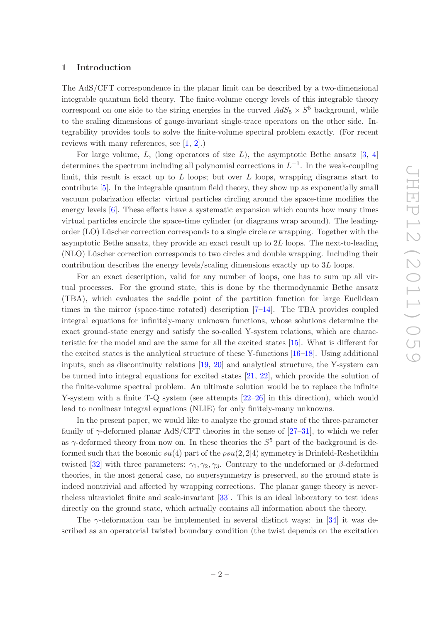#### <span id="page-2-0"></span>1 Introduction

The AdS/CFT correspondence in the planar limit can be described by a two-dimensional integrable quantum field theory. The finite-volume energy levels of this integrable theory correspond on one side to the string energies in the curved  $AdS_5 \times S^5$  background, while to the scaling dimensions of gauge-invariant single-trace operators on the other side. Integrability provides tools to solve the finite-volume spectral problem exactly. (For recent reviews with many references, see [\[1,](#page-45-0) [2\]](#page-45-1).)

For large volume, L, (long operators of size L), the asymptotic Bethe ansatz  $[3, 4]$  $[3, 4]$ determines the spectrum including all polynomial corrections in  $L^{-1}$ . In the weak-coupling limit, this result is exact up to  $L$  loops; but over  $L$  loops, wrapping diagrams start to contribute [\[5\]](#page-46-0). In the integrable quantum field theory, they show up as exponentially small vacuum polarization effects: virtual particles circling around the space-time modifies the energy levels  $[6]$ . These effects have a systematic expansion which counts how many times virtual particles encircle the space-time cylinder (or diagrams wrap around). The leadingorder  $(L<sub>O</sub>)$  Lüscher correction corresponds to a single circle or wrapping. Together with the asymptotic Bethe ansatz, they provide an exact result up to 2L loops. The next-to-leading (NLO) Lüscher correction corresponds to two circles and double wrapping. Including their contribution describes the energy levels/scaling dimensions exactly up to 3L loops.

For an exact description, valid for any number of loops, one has to sum up all virtual processes. For the ground state, this is done by the thermodynamic Bethe ansatz (TBA), which evaluates the saddle point of the partition function for large Euclidean times in the mirror (space-time rotated) description [\[7](#page-46-2)[–14](#page-46-3)]. The TBA provides coupled integral equations for infinitely-many unknown functions, whose solutions determine the exact ground-state energy and satisfy the so-called Y-system relations, which are characteristic for the model and are the same for all the excited states [\[15\]](#page-46-4). What is different for the excited states is the analytical structure of these Y-functions [\[16](#page-46-5)[–18](#page-46-6)]. Using additional inputs, such as discontinuity relations [\[19](#page-46-7), [20\]](#page-46-8) and analytical structure, the Y-system can be turned into integral equations for excited states [\[21](#page-46-9), [22](#page-46-10)], which provide the solution of the finite-volume spectral problem. An ultimate solution would be to replace the infinite Y-system with a finite T-Q system (see attempts [\[22](#page-46-10)[–26](#page-47-0)] in this direction), which would lead to nonlinear integral equations (NLIE) for only finitely-many unknowns.

In the present paper, we would like to analyze the ground state of the three-parameter family of  $\gamma$ -deformed planar AdS/CFT theories in the sense of [\[27](#page-47-1)[–31\]](#page-47-2), to which we refer as  $\gamma$ -deformed theory from now on. In these theories the  $S^5$  part of the background is deformed such that the bosonic  $su(4)$  part of the  $psu(2, 2|4)$  symmetry is Drinfeld-Reshetikhin twisted [\[32](#page-47-3)] with three parameters:  $\gamma_1, \gamma_2, \gamma_3$ . Contrary to the undeformed or  $\beta$ -deformed theories, in the most general case, no supersymmetry is preserved, so the ground state is indeed nontrivial and affected by wrapping corrections. The planar gauge theory is nevertheless ultraviolet finite and scale-invariant [\[33](#page-47-4)]. This is an ideal laboratory to test ideas directly on the ground state, which actually contains all information about the theory.

The  $\gamma$ -deformation can be implemented in several distinct ways: in [\[34](#page-47-5)] it was described as an operatorial twisted boundary condition (the twist depends on the excitation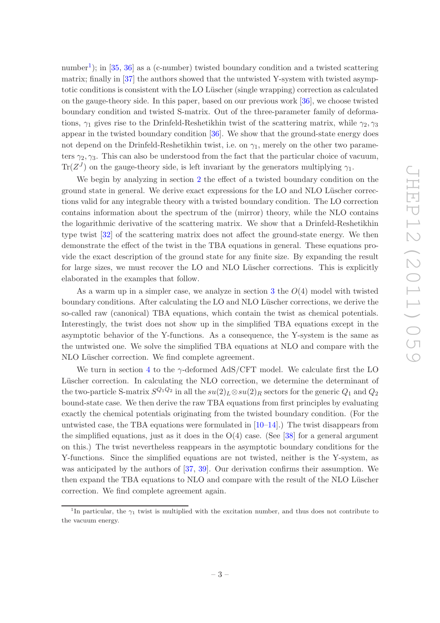number<sup>[1](#page-3-0)</sup>); in [\[35](#page-47-6), [36\]](#page-47-7) as a (c-number) twisted boundary condition and a twisted scattering matrix; finally in [\[37](#page-47-8)] the authors showed that the untwisted Y-system with twisted asymptotic conditions is consistent with the LO Lüscher (single wrapping) correction as calculated on the gauge-theory side. In this paper, based on our previous work [\[36](#page-47-7)], we choose twisted boundary condition and twisted S-matrix. Out of the three-parameter family of deformations,  $\gamma_1$  gives rise to the Drinfeld-Reshetikhin twist of the scattering matrix, while  $\gamma_2, \gamma_3$ appear in the twisted boundary condition [\[36\]](#page-47-7). We show that the ground-state energy does not depend on the Drinfeld-Reshetikhin twist, i.e. on  $\gamma_1$ , merely on the other two parameters  $\gamma_2, \gamma_3$ . This can also be understood from the fact that the particular choice of vacuum,  $\text{Tr}(Z^{J})$  on the gauge-theory side, is left invariant by the generators multiplying  $\gamma_{1}$ .

We begin by analyzing in section [2](#page-4-0) the effect of a twisted boundary condition on the ground state in general. We derive exact expressions for the LO and NLO Lüscher corrections valid for any integrable theory with a twisted boundary condition. The LO correction contains information about the spectrum of the (mirror) theory, while the NLO contains the logarithmic derivative of the scattering matrix. We show that a Drinfeld-Reshetikhin type twist [\[32](#page-47-3)] of the scattering matrix does not affect the ground-state energy. We then demonstrate the effect of the twist in the TBA equations in general. These equations provide the exact description of the ground state for any finite size. By expanding the result for large sizes, we must recover the LO and NLO Lüscher corrections. This is explicitly elaborated in the examples that follow.

As a warm up in a simpler case, we analyze in section [3](#page-10-0) the  $O(4)$  model with twisted boundary conditions. After calculating the LO and NLO Lüscher corrections, we derive the so-called raw (canonical) TBA equations, which contain the twist as chemical potentials. Interestingly, the twist does not show up in the simplified TBA equations except in the asymptotic behavior of the Y-functions. As a consequence, the Y-system is the same as the untwisted one. We solve the simplified TBA equations at NLO and compare with the NLO Lüscher correction. We find complete agreement.

We turn in section [4](#page-16-0) to the  $\gamma$ -deformed AdS/CFT model. We calculate first the LO Lüscher correction. In calculating the NLO correction, we determine the determinant of the two-particle S-matrix  $S^{Q_1 Q_2}$  in all the  $su(2)_L \otimes su(2)_R$  sectors for the generic  $Q_1$  and  $Q_2$ bound-state case. We then derive the raw TBA equations from first principles by evaluating exactly the chemical potentials originating from the twisted boundary condition. (For the untwisted case, the TBA equations were formulated in [\[10](#page-46-11)[–14](#page-46-3)].) The twist disappears from the simplified equations, just as it does in the  $O(4)$  case. (See [\[38](#page-47-9)] for a general argument on this.) The twist nevertheless reappears in the asymptotic boundary conditions for the Y-functions. Since the simplified equations are not twisted, neither is the Y-system, as was anticipated by the authors of [\[37](#page-47-8), [39](#page-47-10)]. Our derivation confirms their assumption. We then expand the TBA equations to NLO and compare with the result of the NLO Lüscher correction. We find complete agreement again.

<span id="page-3-0"></span><sup>&</sup>lt;sup>1</sup>In particular, the  $\gamma_1$  twist is multiplied with the excitation number, and thus does not contribute to the vacuum energy.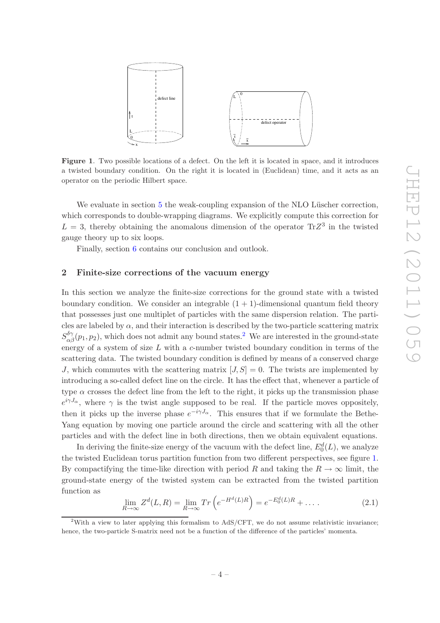

<span id="page-4-2"></span>Figure 1. Two possible locations of a defect. On the left it is located in space, and it introduces a twisted boundary condition. On the right it is located in (Euclidean) time, and it acts as an operator on the periodic Hilbert space.

We evaluate in section [5](#page-34-0) the weak-coupling expansion of the NLO Lüscher correction, which corresponds to double-wrapping diagrams. We explicitly compute this correction for  $L = 3$ , thereby obtaining the anomalous dimension of the operator  $Tr Z<sup>3</sup>$  in the twisted gauge theory up to six loops.

Finally, section [6](#page-39-0) contains our conclusion and outlook.

## <span id="page-4-0"></span>2 Finite-size corrections of the vacuum energy

In this section we analyze the finite-size corrections for the ground state with a twisted boundary condition. We consider an integrable  $(1 + 1)$ -dimensional quantum field theory that possesses just one multiplet of particles with the same dispersion relation. The particles are labeled by  $\alpha$ , and their interaction is described by the two-particle scattering matrix  $S^{\delta\gamma}_{\alpha\beta}(p_1,p_2)$  $S^{\delta\gamma}_{\alpha\beta}(p_1,p_2)$  $S^{\delta\gamma}_{\alpha\beta}(p_1,p_2)$ , which does not admit any bound states.<sup>2</sup> We are interested in the ground-state energy of a system of size  $L$  with a c-number twisted boundary condition in terms of the scattering data. The twisted boundary condition is defined by means of a conserved charge J, which commutes with the scattering matrix  $[J, S] = 0$ . The twists are implemented by introducing a so-called defect line on the circle. It has the effect that, whenever a particle of type  $\alpha$  crosses the defect line from the left to the right, it picks up the transmission phase  $e^{i\gamma J_{\alpha}}$ , where  $\gamma$  is the twist angle supposed to be real. If the particle moves oppositely, then it picks up the inverse phase  $e^{-i\gamma J_{\alpha}}$ . This ensures that if we formulate the Bethe-Yang equation by moving one particle around the circle and scattering with all the other particles and with the defect line in both directions, then we obtain equivalent equations.

In deriving the finite-size energy of the vacuum with the defect line,  $E_0^d(L)$ , we analyze the twisted Euclidean torus partition function from two different perspectives, see figure [1.](#page-4-2) By compactifying the time-like direction with period R and taking the  $R \to \infty$  limit, the ground-state energy of the twisted system can be extracted from the twisted partition function as

$$
\lim_{R \to \infty} Z^d(L, R) = \lim_{R \to \infty} Tr \left( e^{-H^d(L)R} \right) = e^{-E_0^d(L)R} + \dots \tag{2.1}
$$

<span id="page-4-1"></span><sup>&</sup>lt;sup>2</sup>With a view to later applying this formalism to AdS/CFT, we do not assume relativistic invariance; hence, the two-particle S-matrix need not be a function of the difference of the particles' momenta.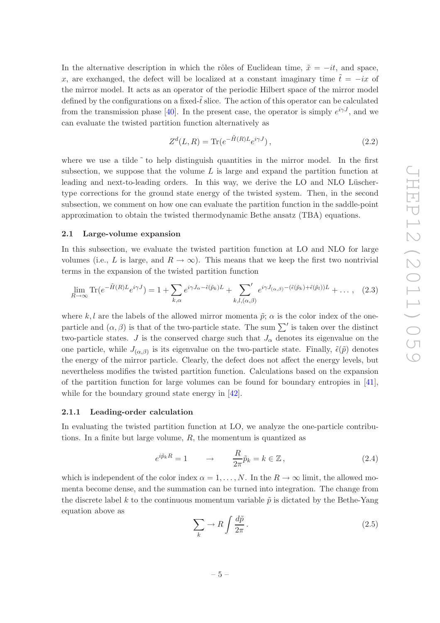In the alternative description in which the rôles of Euclidean time,  $\tilde{x} = -it$ , and space, x, are exchanged, the defect will be localized at a constant imaginary time  $\tilde{t} = -ix$  of the mirror model. It acts as an operator of the periodic Hilbert space of the mirror model defined by the configurations on a fixed- $\tilde{t}$  slice. The action of this operator can be calculated from the transmission phase [\[40\]](#page-47-11). In the present case, the operator is simply  $e^{i\gamma J}$ , and we can evaluate the twisted partition function alternatively as

$$
Z^d(L,R) = \text{Tr}(e^{-\tilde{H}(R)L}e^{i\gamma J}),\qquad(2.2)
$$

where we use a tilde  $\tilde{\ }$  to help distinguish quantities in the mirror model. In the first subsection, we suppose that the volume  $L$  is large and expand the partition function at leading and next-to-leading orders. In this way, we derive the LO and NLO Lüschertype corrections for the ground state energy of the twisted system. Then, in the second subsection, we comment on how one can evaluate the partition function in the saddle-point approximation to obtain the twisted thermodynamic Bethe ansatz (TBA) equations.

#### <span id="page-5-0"></span>2.1 Large-volume expansion

In this subsection, we evaluate the twisted partition function at LO and NLO for large volumes (i.e., L is large, and  $R \to \infty$ ). This means that we keep the first two nontrivial terms in the expansion of the twisted partition function

$$
\lim_{R \to \infty} \text{Tr}(e^{-\tilde{H}(R)L}e^{i\gamma J}) = 1 + \sum_{k,\alpha} e^{i\gamma J_{\alpha} - \tilde{\epsilon}(\tilde{p}_k)L} + \sum_{k,l,(\alpha,\beta)} e^{i\gamma J_{(\alpha,\beta)} - (\tilde{\epsilon}(\tilde{p}_k) + \tilde{\epsilon}(\tilde{p}_l))L} + \dots, (2.3)
$$

where k, l are the labels of the allowed mirror momenta  $\tilde{p}$ ;  $\alpha$  is the color index of the oneparticle and  $(\alpha, \beta)$  is that of the two-particle state. The sum  $\sum'$  is taken over the distinct two-particle states. J is the conserved charge such that  $J_{\alpha}$  denotes its eigenvalue on the one particle, while  $J_{(\alpha,\beta)}$  is its eigenvalue on the two-particle state. Finally,  $\tilde{\epsilon}(\tilde{p})$  denotes the energy of the mirror particle. Clearly, the defect does not affect the energy levels, but nevertheless modifies the twisted partition function. Calculations based on the expansion of the partition function for large volumes can be found for boundary entropies in [\[41\]](#page-47-12), while for the boundary ground state energy in [\[42\]](#page-47-13).

#### <span id="page-5-1"></span>2.1.1 Leading-order calculation

In evaluating the twisted partition function at LO, we analyze the one-particle contributions. In a finite but large volume,  $R$ , the momentum is quantized as

<span id="page-5-2"></span>
$$
e^{i\tilde{p}_k R} = 1 \qquad \to \qquad \frac{R}{2\pi} \tilde{p}_k = k \in \mathbb{Z} \,, \tag{2.4}
$$

which is independent of the color index  $\alpha = 1, \ldots, N$ . In the  $R \to \infty$  limit, the allowed momenta become dense, and the summation can be turned into integration. The change from the discrete label k to the continuous momentum variable  $\tilde{p}$  is dictated by the Bethe-Yang equation above as

<span id="page-5-3"></span>
$$
\sum_{k} \to R \int \frac{d\tilde{p}}{2\pi} \,. \tag{2.5}
$$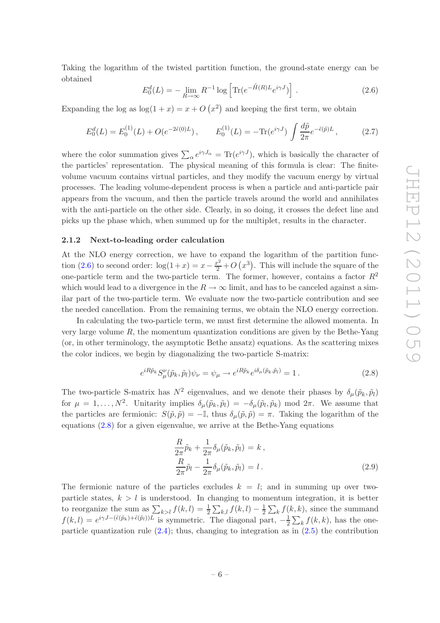Taking the logarithm of the twisted partition function, the ground-state energy can be obtained

<span id="page-6-1"></span>
$$
E_0^d(L) = -\lim_{R \to \infty} R^{-1} \log \left[ \text{Tr} (e^{-\tilde{H}(R)L} e^{i\gamma J}) \right]. \tag{2.6}
$$

Expanding the log as  $log(1+x) = x + O(x^2)$  and keeping the first term, we obtain

<span id="page-6-3"></span>
$$
E_0^d(L) = E_0^{(1)}(L) + O(e^{-2\tilde{\epsilon}(0)L}), \qquad E_0^{(1)}(L) = -\text{Tr}(e^{i\gamma J}) \int \frac{d\tilde{p}}{2\pi} e^{-\tilde{\epsilon}(\tilde{p})L}, \qquad (2.7)
$$

where the color summation gives  $\sum_{\alpha} e^{i\gamma J_{\alpha}} = \text{Tr}(e^{i\gamma J})$ , which is basically the character of the particles' representation. The physical meaning of this formula is clear: The finitevolume vacuum contains virtual particles, and they modify the vacuum energy by virtual processes. The leading volume-dependent process is when a particle and anti-particle pair appears from the vacuum, and then the particle travels around the world and annihilates with the anti-particle on the other side. Clearly, in so doing, it crosses the defect line and picks up the phase which, when summed up for the multiplet, results in the character.

#### <span id="page-6-0"></span>2.1.2 Next-to-leading order calculation

At the NLO energy correction, we have to expand the logarithm of the partition func-tion [\(2.6\)](#page-6-1) to second order:  $\log(1+x) = x - \frac{x^2}{2} + O(x^3)$ . This will include the square of the one-particle term and the two-particle term. The former, however, contains a factor  $R^2$ which would lead to a divergence in the  $R \to \infty$  limit, and has to be canceled against a similar part of the two-particle term. We evaluate now the two-particle contribution and see the needed cancellation. From the remaining terms, we obtain the NLO energy correction.

In calculating the two-particle term, we must first determine the allowed momenta. In very large volume  $R$ , the momentum quantization conditions are given by the Bethe-Yang (or, in other terminology, the asymptotic Bethe ansatz) equations. As the scattering mixes the color indices, we begin by diagonalizing the two-particle S-matrix:

<span id="page-6-2"></span>
$$
e^{iR\tilde{p}_k} S_{\mu}^{\nu}(\tilde{p}_k, \tilde{p}_l) \psi_{\nu} = \psi_{\mu} \to e^{iR\tilde{p}_k} e^{i\delta_{\mu}(\tilde{p}_k, \tilde{p}_l)} = 1.
$$
\n(2.8)

The two-particle S-matrix has  $N^2$  eigenvalues, and we denote their phases by  $\delta_{\mu}(\tilde{p}_k, \tilde{p}_l)$ for  $\mu = 1, ..., N^2$ . Unitarity implies  $\delta_{\mu}(\tilde{p}_k, \tilde{p}_l) = -\delta_{\mu}(\tilde{p}_l, \tilde{p}_k)$  mod  $2\pi$ . We assume that the particles are fermionic:  $S(\tilde{p}, \tilde{p}) = -\mathbb{I}$ , thus  $\delta_{\mu}(\tilde{p}, \tilde{p}) = \pi$ . Taking the logarithm of the equations [\(2.8\)](#page-6-2) for a given eigenvalue, we arrive at the Bethe-Yang equations

$$
\frac{R}{2\pi}\tilde{p}_k + \frac{1}{2\pi}\delta_\mu(\tilde{p}_k, \tilde{p}_l) = k,
$$
\n
$$
\frac{R}{2\pi}\tilde{p}_l - \frac{1}{2\pi}\delta_\mu(\tilde{p}_k, \tilde{p}_l) = l.
$$
\n(2.9)

The fermionic nature of the particles excludes  $k = l$ ; and in summing up over twoparticle states,  $k > l$  is understood. In changing to momentum integration, it is better to reorganize the sum as  $\sum_{k>l} f(k,l) = \frac{1}{2} \sum_{k,l} f(k,l) - \frac{1}{2}$  $\frac{1}{2}\sum_{k} f(k,k)$ , since the summand  $f(k,l) = e^{i\gamma J - (\tilde{\epsilon}(\tilde{p}_k) + \tilde{\epsilon}(\tilde{p}_l))L}$  is symmetric. The diagonal part,  $-\frac{1}{2}$  $\frac{1}{2}\sum_{k} f(k,k)$ , has the oneparticle quantization rule  $(2.4)$ ; thus, changing to integration as in  $(2.5)$  the contribution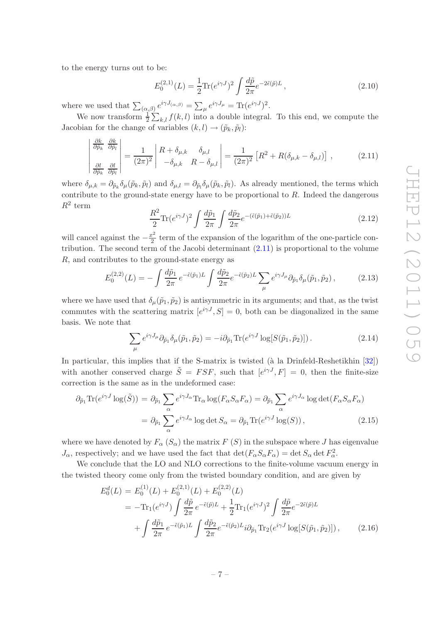to the energy turns out to be:

<span id="page-7-3"></span>
$$
E_0^{(2,1)}(L) = \frac{1}{2} \text{Tr}(e^{i\gamma J})^2 \int \frac{d\tilde{p}}{2\pi} e^{-2\tilde{\epsilon}(\tilde{p})L},\tag{2.10}
$$

where we used that  $\sum_{(\alpha,\beta)} e^{i\gamma J_{(\alpha,\beta)}} = \sum_{\mu} e^{i\gamma J_{\mu}} = \text{Tr}(e^{i\gamma J})^2$ .

We now transform  $\frac{1}{2} \sum_{k,l} f(k,l)$  into a double integral. To this end, we compute the Jacobian for the change of variables  $(k, l) \rightarrow (\tilde{p}_k, \tilde{p}_l)$ :

<span id="page-7-0"></span>
$$
\begin{vmatrix}\n\frac{\partial k}{\partial \tilde{p}_k} & \frac{\partial k}{\partial \tilde{p}_l} \\
\frac{\partial l}{\partial \tilde{p}_k} & \frac{\partial l}{\partial \tilde{p}_l}\n\end{vmatrix} = \frac{1}{(2\pi)^2} \begin{vmatrix}\nR + \delta_{\mu,k} & \delta_{\mu,l} \\
-\delta_{\mu,k} & R - \delta_{\mu,l}\n\end{vmatrix} = \frac{1}{(2\pi)^2} \left[R^2 + R(\delta_{\mu,k} - \delta_{\mu,l})\right],
$$
\n(2.11)

where  $\delta_{\mu,k} = \partial_{\tilde{p}_k} \delta_{\mu}(\tilde{p}_k, \tilde{p}_l)$  and  $\delta_{\mu,l} = \partial_{\tilde{p}_l} \delta_{\mu}(\tilde{p}_k, \tilde{p}_l)$ . As already mentioned, the terms which contribute to the ground-state energy have to be proportional to R. Indeed the dangerous  $R^2$  term

$$
\frac{R^2}{2}\text{Tr}(e^{i\gamma J})^2 \int \frac{d\tilde{p}_1}{2\pi} \int \frac{d\tilde{p}_2}{2\pi} e^{-(\tilde{\epsilon}(\tilde{p}_1) + \tilde{\epsilon}(\tilde{p}_2))L}
$$
(2.12)

will cancel against the  $-\frac{x^2}{2}$  $\frac{c^2}{2}$  term of the expansion of the logarithm of the one-particle contribution. The second term of the Jacobi determinant [\(2.11\)](#page-7-0) is proportional to the volume R, and contributes to the ground-state energy as

<span id="page-7-4"></span>
$$
E_0^{(2,2)}(L) = -\int \frac{d\tilde{p}_1}{2\pi} e^{-\tilde{\epsilon}(\tilde{p}_1)L} \int \frac{d\tilde{p}_2}{2\pi} e^{-\tilde{\epsilon}(\tilde{p}_2)L} \sum_{\mu} e^{i\gamma J_{\mu}} \partial_{\tilde{p}_1} \delta_{\mu}(\tilde{p}_1, \tilde{p}_2), \tag{2.13}
$$

where we have used that  $\delta_{\mu}(\tilde{p}_1, \tilde{p}_2)$  is antisymmetric in its arguments; and that, as the twist commutes with the scattering matrix  $[e^{i\gamma J}, S] = 0$ , both can be diagonalized in the same basis. We note that

<span id="page-7-5"></span>
$$
\sum_{\mu} e^{i\gamma J_{\mu}} \partial_{\tilde{p}_1} \delta_{\mu}(\tilde{p}_1, \tilde{p}_2) = -i \partial_{\tilde{p}_1} \text{Tr}(e^{i\gamma J} \log[S(\tilde{p}_1, \tilde{p}_2)]). \tag{2.14}
$$

In particular, this implies that if the S-matrix is twisted ( $\hat{a}$  la Drinfeld-Reshetikhin [\[32](#page-47-3)]) with another conserved charge  $\tilde{S} = FSF$ , such that  $[e^{i\gamma J}, F] = 0$ , then the finite-size correction is the same as in the undeformed case:

<span id="page-7-2"></span>
$$
\partial_{\tilde{p}_1} \text{Tr}(e^{i\gamma J} \log(\tilde{S})) = \partial_{\tilde{p}_1} \sum_{\alpha} e^{i\gamma J_{\alpha}} \text{Tr}_{\alpha} \log(F_{\alpha} S_{\alpha} F_{\alpha}) = \partial_{\tilde{p}_1} \sum_{\alpha} e^{i\gamma J_{\alpha}} \log \det(F_{\alpha} S_{\alpha} F_{\alpha})
$$

$$
= \partial_{\tilde{p}_1} \sum_{\alpha} e^{i\gamma J_{\alpha}} \log \det S_{\alpha} = \partial_{\tilde{p}_1} \text{Tr}(e^{i\gamma J} \log(S)), \tag{2.15}
$$

where we have denoted by  $F_{\alpha}(S_{\alpha})$  the matrix  $F(S)$  in the subspace where J has eigenvalue  $J_{\alpha}$ , respectively; and we have used the fact that  $\det(F_{\alpha}S_{\alpha}F_{\alpha}) = \det S_{\alpha} \det F_{\alpha}^2$ .

We conclude that the LO and NLO corrections to the finite-volume vacuum energy in the twisted theory come only from the twisted boundary condition, and are given by

<span id="page-7-1"></span>
$$
E_0^d(L) = E_0^{(1)}(L) + E_0^{(2,1)}(L) + E_0^{(2,2)}(L)
$$
  
= 
$$
-\text{Tr}_1(e^{i\gamma J}) \int \frac{d\tilde{p}}{2\pi} e^{-\tilde{\epsilon}(\tilde{p})L} + \frac{1}{2} \text{Tr}_1(e^{i\gamma J})^2 \int \frac{d\tilde{p}}{2\pi} e^{-2\tilde{\epsilon}(\tilde{p})L} + \int \frac{d\tilde{p}_1}{2\pi} e^{-\tilde{\epsilon}(\tilde{p}_1)L} \int \frac{d\tilde{p}_2}{2\pi} e^{-\tilde{\epsilon}(\tilde{p}_2)L} i \partial_{\tilde{p}_1} \text{Tr}_2(e^{i\gamma J} \log[S(\tilde{p}_1, \tilde{p}_2)]), \qquad (2.16)
$$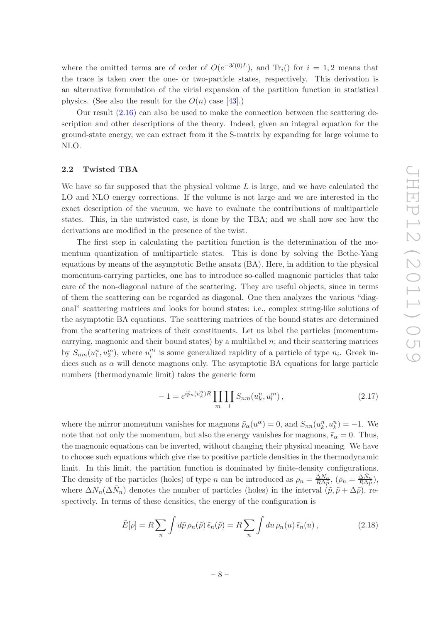where the omitted terms are of order of  $O(e^{-3\tilde{\epsilon}(0)L})$ , and  $Tr_i()$  for  $i = 1, 2$  means that the trace is taken over the one- or two-particle states, respectively. This derivation is an alternative formulation of the virial expansion of the partition function in statistical physics. (See also the result for the  $O(n)$  case [\[43\]](#page-48-0).)

Our result [\(2.16\)](#page-7-1) can also be used to make the connection between the scattering description and other descriptions of the theory. Indeed, given an integral equation for the ground-state energy, we can extract from it the S-matrix by expanding for large volume to NLO.

## <span id="page-8-0"></span>2.2 Twisted TBA

We have so far supposed that the physical volume  $L$  is large, and we have calculated the LO and NLO energy corrections. If the volume is not large and we are interested in the exact description of the vacuum, we have to evaluate the contributions of multiparticle states. This, in the untwisted case, is done by the TBA; and we shall now see how the derivations are modified in the presence of the twist.

The first step in calculating the partition function is the determination of the momentum quantization of multiparticle states. This is done by solving the Bethe-Yang equations by means of the asymptotic Bethe ansatz (BA). Here, in addition to the physical momentum-carrying particles, one has to introduce so-called magnonic particles that take care of the non-diagonal nature of the scattering. They are useful objects, since in terms of them the scattering can be regarded as diagonal. One then analyzes the various "diagonal" scattering matrices and looks for bound states: i.e., complex string-like solutions of the asymptotic BA equations. The scattering matrices of the bound states are determined from the scattering matrices of their constituents. Let us label the particles (momentumcarrying, magnonic and their bound states) by a multilabel  $n$ ; and their scattering matrices by  $S_{nm}(u_1^n, u_2^m)$ , where  $u_i^{n_i}$  is some generalized rapidity of a particle of type  $n_i$ . Greek indices such as  $\alpha$  will denote magnons only. The asymptotic BA equations for large particle numbers (thermodynamic limit) takes the generic form

<span id="page-8-1"></span>
$$
-1 = e^{i\tilde{p}_n(u_k^n)R} \prod_m \prod_l S_{nm}(u_k^n, u_l^m), \qquad (2.17)
$$

where the mirror momentum vanishes for magnons  $\tilde{p}_{\alpha}(u^{\alpha}) = 0$ , and  $S_{nn}(u_k^n, u_k^n) = -1$ . We note that not only the momentum, but also the energy vanishes for magnons,  $\tilde{\epsilon}_{\alpha} = 0$ . Thus, the magnonic equations can be inverted, without changing their physical meaning. We have to choose such equations which give rise to positive particle densities in the thermodynamic limit. In this limit, the partition function is dominated by finite-density configurations. The density of the particles (holes) of type n can be introduced as  $\rho_n = \frac{\Delta N_n}{R\Delta \tilde{p}}, (\bar{\rho}_n = \frac{\Delta \bar{N}_n}{R\Delta \tilde{p}})$ , where  $\Delta N_n(\Delta \bar{N}_n)$  denotes the number of particles (holes) in the interval  $(\tilde{p}, \tilde{p} + \Delta \tilde{p})$ , respectively. In terms of these densities, the energy of the configuration is

$$
\tilde{E}[\rho] = R \sum_{n} \int d\tilde{p} \,\rho_{n}(\tilde{p}) \,\tilde{\epsilon}_{n}(\tilde{p}) = R \sum_{n} \int du \,\rho_{n}(u) \,\tilde{\epsilon}_{n}(u) \,, \tag{2.18}
$$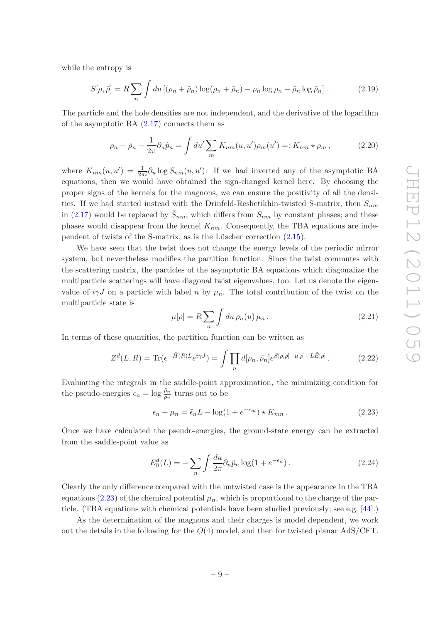while the entropy is

$$
S[\rho,\bar{\rho}] = R \sum_{n} \int du \left[ (\rho_n + \bar{\rho}_n) \log(\rho_n + \bar{\rho}_n) - \rho_n \log \rho_n - \bar{\rho}_n \log \bar{\rho}_n \right]. \tag{2.19}
$$

The particle and the hole densities are not independent, and the derivative of the logarithm of the asymptotic BA  $(2.17)$  connects them as

$$
\rho_n + \bar{\rho}_n - \frac{1}{2\pi} \partial_u \tilde{p}_n = \int du' \sum_m K_{nm}(u, u') \rho_m(u') =: K_{nm} \star \rho_m, \qquad (2.20)
$$

where  $K_{nm}(u, u') = \frac{1}{2\pi i} \partial_u \log S_{nm}(u, u')$ . If we had inverted any of the asymptotic BA equations, then we would have obtained the sign-changed kernel here. By choosing the proper signs of the kernels for the magnons, we can ensure the positivity of all the densities. If we had started instead with the Drinfeld-Reshetikhin-twisted S-matrix, then  $S_{nm}$ in [\(2.17\)](#page-8-1) would be replaced by  $\tilde{S}_{nm}$ , which differs from  $S_{nm}$  by constant phases; and these phases would disappear from the kernel  $K_{nm}$ . Consequently, the TBA equations are independent of twists of the S-matrix, as is the Lüscher correction  $(2.15)$ .

We have seen that the twist does not change the energy levels of the periodic mirror system, but nevertheless modifies the partition function. Since the twist commutes with the scattering matrix, the particles of the asymptotic BA equations which diagonalize the multiparticle scatterings will have diagonal twist eigenvalues, too. Let us denote the eigenvalue of  $i\gamma J$  on a particle with label n by  $\mu_n$ . The total contribution of the twist on the multiparticle state is

$$
\mu[\rho] = R \sum_{n} \int du \, \rho_n(u) \, \mu_n \,. \tag{2.21}
$$

In terms of these quantities, the partition function can be written as

<span id="page-9-1"></span>
$$
Z^{d}(L,R) = \text{Tr}(e^{-\tilde{H}(R)L}e^{i\gamma J}) = \int \prod_{n} d[\rho_n, \bar{\rho}_n] e^{S[\rho, \bar{\rho}]+\mu[\rho]-L\tilde{E}[\rho]}.
$$
 (2.22)

Evaluating the integrals in the saddle-point approximation, the minimizing condition for the pseudo-energies  $\epsilon_n = \log \frac{\bar{\rho}_n}{\rho_n}$  turns out to be

<span id="page-9-0"></span>
$$
\epsilon_n + \mu_n = \tilde{\epsilon}_n L - \log(1 + e^{-\epsilon_m}) \star K_{mn} \,. \tag{2.23}
$$

Once we have calculated the pseudo-energies, the ground-state energy can be extracted from the saddle-point value as

$$
E_0^d(L) = -\sum_n \int \frac{du}{2\pi} \partial_u \tilde{p}_n \log(1 + e^{-\epsilon_n}). \tag{2.24}
$$

Clearly the only difference compared with the untwisted case is the appearance in the TBA equations [\(2.23\)](#page-9-0) of the chemical potential  $\mu_n$ , which is proportional to the charge of the particle. (TBA equations with chemical potentials have been studied previously; see e.g.  $[44]$ .)

As the determination of the magnons and their charges is model dependent, we work out the details in the following for the  $O(4)$  model, and then for twisted planar AdS/CFT.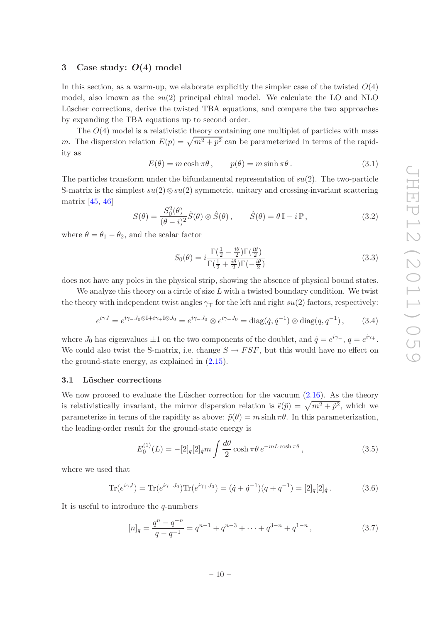## <span id="page-10-0"></span>3 Case study:  $O(4)$  model

In this section, as a warm-up, we elaborate explicitly the simpler case of the twisted  $O(4)$ model, also known as the  $su(2)$  principal chiral model. We calculate the LO and NLO Lüscher corrections, derive the twisted TBA equations, and compare the two approaches by expanding the TBA equations up to second order.

The  $O(4)$  model is a relativistic theory containing one multiplet of particles with mass m. The dispersion relation  $E(p) = \sqrt{m^2 + p^2}$  can be parameterized in terms of the rapidity as

$$
E(\theta) = m \cosh \pi \theta, \qquad p(\theta) = m \sinh \pi \theta.
$$
 (3.1)

The particles transform under the bifundamental representation of  $su(2)$ . The two-particle S-matrix is the simplest  $su(2) \otimes su(2)$  symmetric, unitary and crossing-invariant scattering matrix [\[45,](#page-48-2) [46](#page-48-3)]

$$
S(\theta) = \frac{S_0^2(\theta)}{(\theta - i)^2} \hat{S}(\theta) \otimes \hat{S}(\theta), \qquad \hat{S}(\theta) = \theta \mathbb{I} - i \mathbb{P}, \qquad (3.2)
$$

where  $\theta = \theta_1 - \theta_2$ , and the scalar factor

$$
S_0(\theta) = i \frac{\Gamma(\frac{1}{2} - \frac{i\theta}{2}) \Gamma(\frac{i\theta}{2})}{\Gamma(\frac{1}{2} + \frac{i\theta}{2}) \Gamma(-\frac{i\theta}{2})}
$$
(3.3)

does not have any poles in the physical strip, showing the absence of physical bound states.

We analyze this theory on a circle of size  $L$  with a twisted boundary condition. We twist the theory with independent twist angles  $\gamma_{\mp}$  for the left and right su(2) factors, respectively:

$$
e^{i\gamma J} = e^{i\gamma - J_0 \otimes \mathbb{I} + i\gamma + \mathbb{I} \otimes J_0} = e^{i\gamma - J_0} \otimes e^{i\gamma + J_0} = \text{diag}(\dot{q}, \dot{q}^{-1}) \otimes \text{diag}(q, q^{-1}), \quad (3.4)
$$

where  $J_0$  has eigenvalues  $\pm 1$  on the two components of the doublet, and  $\dot{q} = e^{i\gamma_-}$ ,  $q = e^{i\gamma_+}$ . We could also twist the S-matrix, i.e. change  $S \to FSF$ , but this would have no effect on the ground-state energy, as explained in [\(2.15\)](#page-7-2).

## <span id="page-10-1"></span>3.1 Lüscher corrections

We now proceed to evaluate the Lüscher correction for the vacuum  $(2.16)$ . As the theory is relativistically invariant, the mirror dispersion relation is  $\tilde{\epsilon}(\tilde{p}) = \sqrt{m^2 + \tilde{p}^2}$ , which we parameterize in terms of the rapidity as above:  $\tilde{p}(\theta) = m \sinh \pi \theta$ . In this parameterization, the leading-order result for the ground-state energy is

<span id="page-10-2"></span>
$$
E_0^{(1)}(L) = -[2]_q[2]_q m \int \frac{d\theta}{2} \cosh \pi \theta \, e^{-mL \cosh \pi \theta}, \qquad (3.5)
$$

where we used that

$$
\text{Tr}(e^{i\gamma J}) = \text{Tr}(e^{i\gamma - J_0}) \text{Tr}(e^{i\gamma + J_0}) = (\dot{q} + \dot{q}^{-1})(q + q^{-1}) = [2]_q [2]_{\dot{q}}.
$$
 (3.6)

It is useful to introduce the  $q$ -numbers

$$
[n]_q = \frac{q^n - q^{-n}}{q - q^{-1}} = q^{n-1} + q^{n-3} + \dots + q^{3-n} + q^{1-n},
$$
\n(3.7)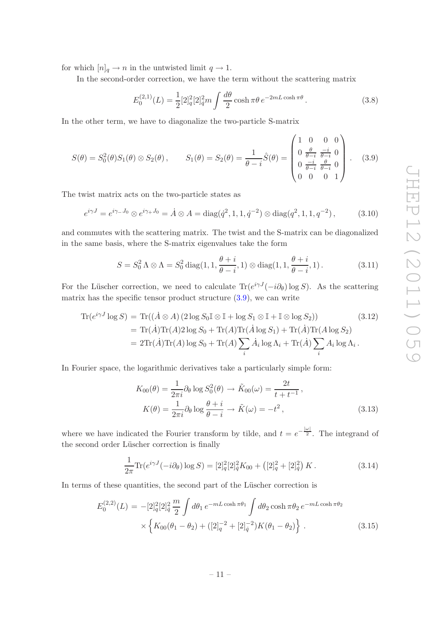for which  $[n]_q \to n$  in the untwisted limit  $q \to 1$ .

In the second-order correction, we have the term without the scattering matrix

<span id="page-11-1"></span>
$$
E_0^{(2,1)}(L) = \frac{1}{2} [2]_q^2 [2]_q^2 m \int \frac{d\theta}{2} \cosh \pi \theta \, e^{-2mL \cosh \pi \theta} \,. \tag{3.8}
$$

In the other term, we have to diagonalize the two-particle S-matrix

<span id="page-11-0"></span>
$$
S(\theta) = S_0^2(\theta) S_1(\theta) \otimes S_2(\theta), \qquad S_1(\theta) = S_2(\theta) = \frac{1}{\theta - i} \hat{S}(\theta) = \begin{pmatrix} 1 & 0 & 0 & 0 \\ 0 & \frac{\theta}{\theta - i} & \frac{-i}{\theta - i} & 0 \\ 0 & \frac{-i}{\theta - i} & \frac{\theta}{\theta - i} & 0 \\ 0 & 0 & 0 & 1 \end{pmatrix}.
$$
 (3.9)

The twist matrix acts on the two-particle states as

$$
e^{i\gamma J} = e^{i\gamma - J_0} \otimes e^{i\gamma + J_0} = \dot{A} \otimes A = \text{diag}(\dot{q}^2, 1, 1, \dot{q}^{-2}) \otimes \text{diag}(q^2, 1, 1, q^{-2}), \quad (3.10)
$$

and commutes with the scattering matrix. The twist and the S-matrix can be diagonalized in the same basis, where the S-matrix eigenvalues take the form

$$
S = S_0^2 \Lambda \otimes \Lambda = S_0^2 \operatorname{diag}(1, 1, \frac{\theta + i}{\theta - i}, 1) \otimes \operatorname{diag}(1, 1, \frac{\theta + i}{\theta - i}, 1).
$$
 (3.11)

For the Lüscher correction, we need to calculate  $\text{Tr}(e^{i\gamma J}(-i\partial_{\theta})\log S)$ . As the scattering matrix has the specific tensor product structure  $(3.9)$ , we can write

$$
\operatorname{Tr}(e^{i\gamma J} \log S) = \operatorname{Tr}((\dot{A} \otimes A) (2 \log S_0 \mathbb{I} \otimes \mathbb{I} + \log S_1 \otimes \mathbb{I} + \mathbb{I} \otimes \log S_2))
$$
(3.12)  
=  $\operatorname{Tr}(\dot{A}) \operatorname{Tr}(A) 2 \log S_0 + \operatorname{Tr}(A) \operatorname{Tr}(\dot{A} \log S_1) + \operatorname{Tr}(\dot{A}) \operatorname{Tr}(A \log S_2)$   
=  $2 \operatorname{Tr}(\dot{A}) \operatorname{Tr}(A) \log S_0 + \operatorname{Tr}(A) \sum_i \dot{A}_i \log \Lambda_i + \operatorname{Tr}(\dot{A}) \sum_i A_i \log \Lambda_i.$ 

In Fourier space, the logarithmic derivatives take a particularly simple form:

$$
K_{00}(\theta) = \frac{1}{2\pi i} \partial_{\theta} \log S_{0}^{2}(\theta) \to \tilde{K}_{00}(\omega) = \frac{2t}{t + t^{-1}},
$$
  

$$
K(\theta) = \frac{1}{2\pi i} \partial_{\theta} \log \frac{\theta + i}{\theta - i} \to \tilde{K}(\omega) = -t^{2},
$$
(3.13)

where we have indicated the Fourier transform by tilde, and  $t = e^{-\frac{|\omega|}{2}}$ . The integrand of the second order Lüscher correction is finally

$$
\frac{1}{2\pi} \text{Tr}(e^{i\gamma J}(-i\partial_{\theta}) \log S) = [2]_q^2 [2]_{\dot{q}}^2 K_{00} + ([2]_q^2 + [2]_{\dot{q}}^2) K. \tag{3.14}
$$

In terms of these quantities, the second part of the Lüscher correction is

<span id="page-11-2"></span>
$$
E_0^{(2,2)}(L) = -[2]_q^2 [2]_{\dot{q}}^2 \frac{m}{2} \int d\theta_1 e^{-mL \cosh \pi \theta_1} \int d\theta_2 \cosh \pi \theta_2 e^{-mL \cosh \pi \theta_2}
$$
  
 
$$
\times \left\{ K_{00}(\theta_1 - \theta_2) + ([2]_q^{-2} + [2]_q^{-2}) K(\theta_1 - \theta_2) \right\}. \tag{3.15}
$$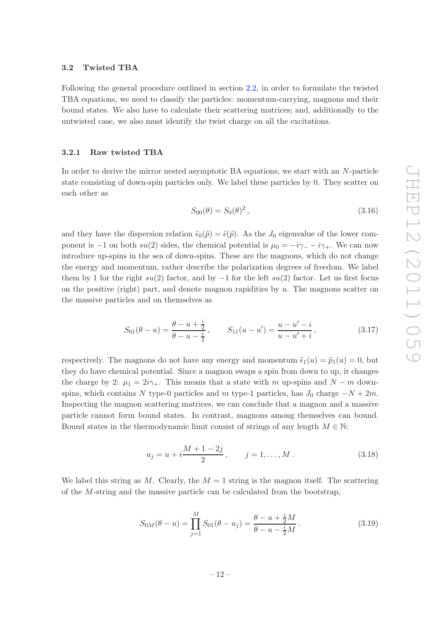#### <span id="page-12-0"></span>3.2 Twisted TBA

Following the general procedure outlined in section [2.2,](#page-8-0) in order to formulate the twisted TBA equations, we need to classify the particles: momentum-carrying, magnons and their bound states. We also have to calculate their scattering matrices; and, additionally to the untwisted case, we also must identify the twist charge on all the excitations.

## <span id="page-12-1"></span>3.2.1 Raw twisted TBA

In order to derive the mirror nested asymptotic BA equations, we start with an N-particle state consisting of down-spin particles only. We label these particles by 0. They scatter on each other as

$$
S_{00}(\theta) = S_0(\theta)^2, \tag{3.16}
$$

and they have the dispersion relation  $\tilde{\epsilon}_0(\tilde{p}) = \tilde{\epsilon}(\tilde{p})$ . As the  $J_0$  eigenvalue of the lower component is −1 on both  $su(2)$  sides, the chemical potential is  $\mu_0 = -i\gamma - i\gamma_+$ . We can now introduce up-spins in the sea of down-spins. These are the magnons, which do not change the energy and momentum, rather describe the polarization degrees of freedom. We label them by 1 for the right  $su(2)$  factor, and by  $-1$  for the left  $su(2)$  factor. Let us first focus on the positive (right) part, and denote magnon rapidities by  $u$ . The magnons scatter on the massive particles and on themselves as

$$
S_{01}(\theta - u) = \frac{\theta - u + \frac{i}{2}}{\theta - u - \frac{i}{2}}, \qquad S_{11}(u - u') = \frac{u - u' - i}{u - u' + i}, \tag{3.17}
$$

respectively. The magnons do not have any energy and momentum  $\tilde{\epsilon}_1(u) = \tilde{p}_1(u) = 0$ , but they do have chemical potential. Since a magnon swaps a spin from down to up, it changes the charge by 2:  $\mu_1 = 2i\gamma_+$ . This means that a state with m up-spins and  $N - m$  downspins, which contains N type-0 particles and m type-1 particles, has  $J_0$  charge  $-N+2m$ . Inspecting the magnon scattering matrices, we can conclude that a magnon and a massive particle cannot form bound states. In contrast, magnons among themselves can bound. Bound states in the thermodynamic limit consist of strings of any length  $M \in \mathbb{N}$ :

$$
u_j = u + i\frac{M+1-2j}{2}, \qquad j = 1, \dots, M. \tag{3.18}
$$

We label this string as M. Clearly, the  $M = 1$  string is the magnon itself. The scattering of the M-string and the massive particle can be calculated from the bootstrap,

$$
S_{0M}(\theta - u) = \prod_{j=1}^{M} S_{01}(\theta - u_j) = \frac{\theta - u + \frac{i}{2}M}{\theta - u - \frac{i}{2}M}.
$$
 (3.19)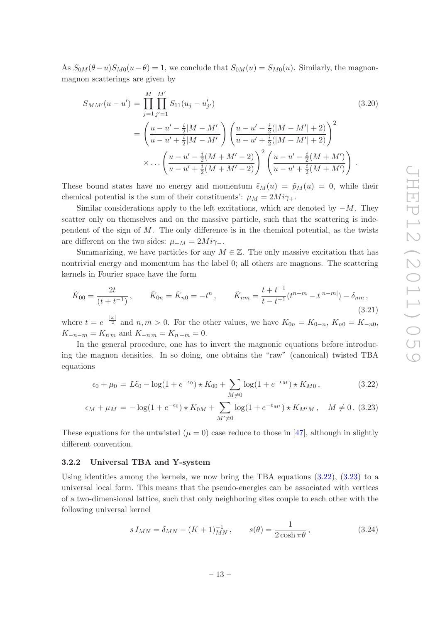As  $S_{0M}(\theta - u)S_{M0}(u - \theta) = 1$ , we conclude that  $S_{0M}(u) = S_{M0}(u)$ . Similarly, the magnonmagnon scatterings are given by

$$
S_{MM'}(u - u') = \prod_{j=1}^{M} \prod_{j'=1}^{M'} S_{11}(u_j - u'_{j'})
$$
(3.20)  

$$
= \left(\frac{u - u' - \frac{i}{2}|M - M'|}{u - u' + \frac{i}{2}|M - M'|}\right) \left(\frac{u - u' - \frac{i}{2}(|M - M'| + 2)}{u - u' + \frac{i}{2}(|M - M'| + 2)}\right)^2
$$
  

$$
\times \dots \left(\frac{u - u' - \frac{i}{2}(M + M' - 2)}{u - u' + \frac{i}{2}(M + M' - 2)}\right)^2 \left(\frac{u - u' - \frac{i}{2}(M + M')}{u - u' + \frac{i}{2}(M + M')}\right).
$$

These bound states have no energy and momentum  $\tilde{\epsilon}_M(u) = \tilde{p}_M(u) = 0$ , while their chemical potential is the sum of their constituents':  $\mu_M = 2Mi\gamma_+$ .

Similar considerations apply to the left excitations, which are denoted by  $-M$ . They scatter only on themselves and on the massive particle, such that the scattering is independent of the sign of  $M$ . The only difference is in the chemical potential, as the twists are different on the two sides:  $\mu_{-M} = 2Mi\gamma_{-}$ .

Summarizing, we have particles for any  $M \in \mathbb{Z}$ . The only massive excitation that has nontrivial energy and momentum has the label 0; all others are magnons. The scattering kernels in Fourier space have the form

$$
\tilde{K}_{00} = \frac{2t}{(t+t^{-1})}, \qquad \tilde{K}_{0n} = \tilde{K}_{n0} = -t^n, \qquad \tilde{K}_{nm} = \frac{t+t^{-1}}{t-t^{-1}}(t^{n+m} - t^{|n-m|}) - \delta_{nm},
$$
\n(3.21)

where  $t = e^{-\frac{|\omega|}{2}}$  and  $n, m > 0$ . For the other values, we have  $K_{0n} = K_{0-n}$ ,  $K_{n0} = K_{-n0}$ ,  $K_{-n-m} = K_{n,m}$  and  $K_{-n,m} = K_{n-m} = 0$ .

In the general procedure, one has to invert the magnonic equations before introducing the magnon densities. In so doing, one obtains the "raw" (canonical) twisted TBA equations

<span id="page-13-1"></span>
$$
\epsilon_0 + \mu_0 = L\tilde{\epsilon}_0 - \log(1 + e^{-\epsilon_0}) \star K_{00} + \sum_{M \neq 0} \log(1 + e^{-\epsilon_M}) \star K_{M0}, \qquad (3.22)
$$

$$
\epsilon_M + \mu_M = -\log(1 + e^{-\epsilon_0}) \star K_{0M} + \sum_{M' \neq 0} \log(1 + e^{-\epsilon_{M'}}) \star K_{M'M}, \quad M \neq 0. \tag{3.23}
$$

These equations for the untwisted  $(\mu = 0)$  case reduce to those in [\[47](#page-48-4)], although in slightly different convention.

#### <span id="page-13-0"></span>3.2.2 Universal TBA and Y-system

Using identities among the kernels, we now bring the TBA equations  $(3.22)$ ,  $(3.23)$  to a universal local form. This means that the pseudo-energies can be associated with vertices of a two-dimensional lattice, such that only neighboring sites couple to each other with the following universal kernel

$$
s I_{MN} = \delta_{MN} - (K+1)_{MN}^{-1}, \qquad s(\theta) = \frac{1}{2 \cosh \pi \theta}, \qquad (3.24)
$$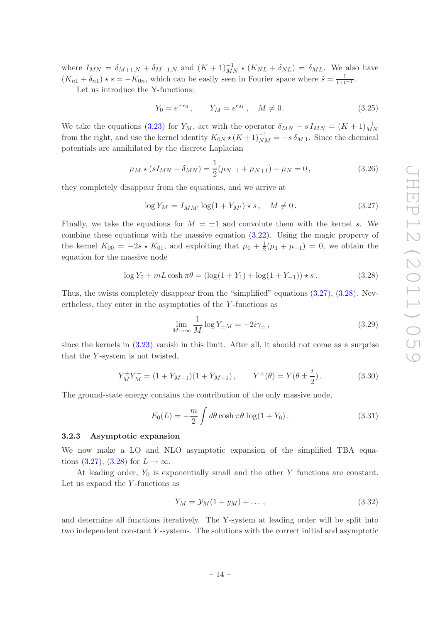where  $I_{MN} = \delta_{M+1,N} + \delta_{M-1,N}$  and  $(K+1)_{MN}^{-1} \star (K_{NL} + \delta_{NL}) = \delta_{ML}$ . We also have  $(K_{n1} + \delta_{n1}) \star s = -K_{0n}$ , which can be easily seen in Fourier space where  $\tilde{s} = \frac{1}{t+t^{-1}}$ .

Let us introduce the Y-functions:

$$
Y_0 = e^{-\epsilon_0}, \qquad Y_M = e^{\epsilon_M}, \quad M \neq 0.
$$
 (3.25)

We take the equations [\(3.23\)](#page-13-1) for  $Y_M$ , act with the operator  $\delta_{MN} - s I_{MN} = (K+1)_{MN}^{-1}$ from the right, and use the kernel identity  $K_{0N} \star (K+1)_{NM}^{-1} = -s \delta_{M,1}$ . Since the chemical potentials are annihilated by the discrete Laplacian

$$
\mu_M \star (sI_{MN} - \delta_{MN}) = \frac{1}{2}(\mu_{N-1} + \mu_{N+1}) - \mu_N = 0, \qquad (3.26)
$$

they completely disappear from the equations, and we arrive at

<span id="page-14-1"></span>
$$
\log Y_M = I_{MM'} \log(1 + Y_{M'}) \star s \,, \quad M \neq 0 \,. \tag{3.27}
$$

Finally, we take the equations for  $M = \pm 1$  and convolute them with the kernel s. We combine these equations with the massive equation [\(3.22\)](#page-13-1). Using the magic property of the kernel  $K_{00} = -2s \star K_{01}$ , and exploiting that  $\mu_0 + \frac{1}{2}$  $\frac{1}{2}(\mu_1 + \mu_{-1}) = 0$ , we obtain the equation for the massive node

<span id="page-14-2"></span>
$$
\log Y_0 + mL \cosh \pi \theta = (\log(1 + Y_1) + \log(1 + Y_{-1})) \star s. \tag{3.28}
$$

Thus, the twists completely disappear from the "simplified" equations [\(3.27\)](#page-14-1), [\(3.28\)](#page-14-2). Nevertheless, they enter in the asymptotics of the Y -functions as

<span id="page-14-3"></span>
$$
\lim_{M \to \infty} \frac{1}{M} \log Y_{\pm M} = -2i\gamma_{\pm} \,,\tag{3.29}
$$

since the kernels in [\(3.23\)](#page-13-1) vanish in this limit. After all, it should not come as a surprise that the Y -system is not twisted,

$$
Y_M^+ Y_M^- = (1 + Y_{M-1})(1 + Y_{M+1}), \qquad Y^{\pm}(\theta) = Y(\theta \pm \frac{i}{2}). \tag{3.30}
$$

The ground-state energy contains the contribution of the only massive node,

<span id="page-14-4"></span>
$$
E_0(L) = -\frac{m}{2} \int d\theta \cosh \pi \theta \log(1 + Y_0).
$$
 (3.31)

## <span id="page-14-0"></span>3.2.3 Asymptotic expansion

We now make a LO and NLO asymptotic expansion of the simplified TBA equa-tions [\(3.27\)](#page-14-1), [\(3.28\)](#page-14-2) for  $L \to \infty$ .

At leading order,  $Y_0$  is exponentially small and the other Y functions are constant. Let us expand the  $Y$ -functions as

<span id="page-14-5"></span>
$$
Y_M = \mathcal{Y}_M(1 + y_M) + \dots,\tag{3.32}
$$

and determine all functions iteratively. The Y-system at leading order will be split into two independent constant Y -systems. The solutions with the correct initial and asymptotic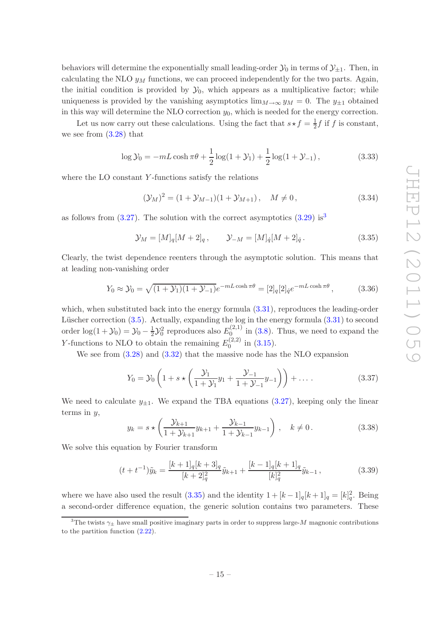behaviors will determine the exponentially small leading-order  $\mathcal{Y}_0$  in terms of  $\mathcal{Y}_{\pm 1}$ . Then, in calculating the NLO  $y_M$  functions, we can proceed independently for the two parts. Again, the initial condition is provided by  $\mathcal{Y}_0$ , which appears as a multiplicative factor; while uniqueness is provided by the vanishing asymptotics  $\lim_{M\to\infty}y_M = 0$ . The  $y_{+1}$  obtained in this way will determine the NLO correction  $y_0$ , which is needed for the energy correction.

Let us now carry out these calculations. Using the fact that  $s \star f = \frac{1}{2} f$  if f is constant, we see from [\(3.28\)](#page-14-2) that

$$
\log \mathcal{Y}_0 = -mL \cosh \pi \theta + \frac{1}{2} \log(1 + \mathcal{Y}_1) + \frac{1}{2} \log(1 + \mathcal{Y}_{-1}), \tag{3.33}
$$

where the LO constant Y-functions satisfy the relations

$$
(\mathcal{Y}_M)^2 = (1 + \mathcal{Y}_{M-1})(1 + \mathcal{Y}_{M+1}), \quad M \neq 0, \tag{3.34}
$$

as follows from  $(3.27)$  $(3.27)$  $(3.27)$ . The solution with the correct asymptotics  $(3.29)$  is<sup>3</sup>

<span id="page-15-1"></span>
$$
\mathcal{Y}_M = [M]_q [M+2]_q, \qquad \mathcal{Y}_{-M} = [M]_q [M+2]_q. \tag{3.35}
$$

Clearly, the twist dependence reenters through the asymptotic solution. This means that at leading non-vanishing order

$$
Y_0 \approx \mathcal{Y}_0 = \sqrt{(1+\mathcal{Y}_1)(1+\mathcal{Y}_{-1})}e^{-mL\cosh\pi\theta} = [2]_q[2]_q e^{-mL\cosh\pi\theta},\tag{3.36}
$$

which, when substituted back into the energy formula  $(3.31)$ , reproduces the leading-order Lüscher correction  $(3.5)$ . Actually, expanding the log in the energy formula  $(3.31)$  to second order  $log(1 + \mathcal{Y}_0) = \mathcal{Y}_0 - \frac{1}{2}$  $\frac{1}{2}$  $\mathcal{Y}_0^2$  reproduces also  $E_0^{(2,1)}$  $\int_0^{(2,1)}$  in [\(3.8\)](#page-11-1). Thus, we need to expand the Y-functions to NLO to obtain the remaining  $E_0^{(2,2)}$  $\int_0^{(2,2)}$  in  $(3.15)$ .

We see from  $(3.28)$  and  $(3.32)$  that the massive node has the NLO expansion

<span id="page-15-2"></span>
$$
Y_0 = \mathcal{Y}_0 \left( 1 + s \star \left( \frac{\mathcal{Y}_1}{1 + \mathcal{Y}_1} y_1 + \frac{\mathcal{Y}_{-1}}{1 + \mathcal{Y}_{-1}} y_{-1} \right) \right) + \dots \tag{3.37}
$$

We need to calculate  $y_{\pm 1}$ . We expand the TBA equations [\(3.27\)](#page-14-1), keeping only the linear terms in  $y$ ,

$$
y_k = s \star \left(\frac{\mathcal{Y}_{k+1}}{1 + \mathcal{Y}_{k+1}} y_{k+1} + \frac{\mathcal{Y}_{k-1}}{1 + \mathcal{Y}_{k-1}} y_{k-1}\right), \quad k \neq 0. \tag{3.38}
$$

We solve this equation by Fourier transform

$$
(t+t^{-1})\tilde{y}_k = \frac{[k+1]_q[k+3]_q}{[k+2]_q^2}\tilde{y}_{k+1} + \frac{[k-1]_q[k+1]_q}{[k]_q^2}\tilde{y}_{k-1},
$$
\n(3.39)

where we have also used the result  $(3.35)$  and the identity  $1 + [k-1]_q [k+1]_q = [k]_q^2$ . Being a second-order difference equation, the generic solution contains two parameters. These

<span id="page-15-0"></span><sup>&</sup>lt;sup>3</sup>The twists  $\gamma_{\pm}$  have small positive imaginary parts in order to suppress large-M magnonic contributions to the partition function [\(2.22\)](#page-9-1).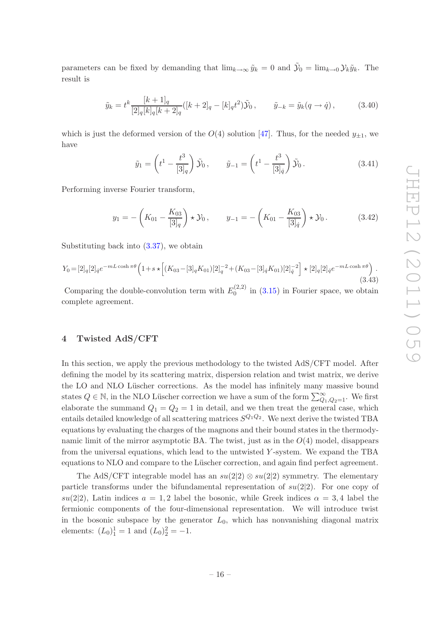parameters can be fixed by demanding that  $\lim_{k\to\infty} \tilde{y}_k = 0$  and  $\tilde{\mathcal{Y}}_0 = \lim_{k\to 0} \mathcal{Y}_k \tilde{y}_k$ . The result is

$$
\tilde{y}_k = t^k \frac{[k+1]_q}{[2]_q [k]_q [k+2]_q} ([k+2]_q - [k]_q t^2) \tilde{\mathcal{Y}}_0, \qquad \tilde{y}_{-k} = \tilde{y}_k (q \to \dot{q}), \qquad (3.40)
$$

which is just the deformed version of the  $O(4)$  solution [\[47\]](#page-48-4). Thus, for the needed  $y_{+1}$ , we have

$$
\tilde{y}_1 = \left(t^1 - \frac{t^3}{[3]_q}\right)\tilde{\mathcal{Y}}_0, \qquad \tilde{y}_{-1} = \left(t^1 - \frac{t^3}{[3]_q}\right)\tilde{\mathcal{Y}}_0.
$$
\n(3.41)

Performing inverse Fourier transform,

$$
y_1 = -\left(K_{01} - \frac{K_{03}}{[3]_q}\right) \star \mathcal{Y}_0, \qquad y_{-1} = -\left(K_{01} - \frac{K_{03}}{[3]_q}\right) \star \mathcal{Y}_0.
$$
 (3.42)

Substituting back into [\(3.37\)](#page-15-2), we obtain

$$
Y_0 = [2]_q [2]_{\dot{q}} e^{-mL \cosh \pi \theta} \left( 1 + s \star \left[ (K_{03} - [3]_q K_{01}) [2]_q^{-2} + (K_{03} - [3]_{\dot{q}} K_{01}) [2]_{\dot{q}}^{-2} \right] \star [2]_q [2]_{\dot{q}} e^{-mL \cosh \pi \theta} \right). \tag{3.43}
$$

Comparing the double-convolution term with  $E_0^{(2,2)}$  $\int_0^{(2,2)}$  in [\(3.15\)](#page-11-2) in Fourier space, we obtain complete agreement.

## <span id="page-16-0"></span>4 Twisted AdS/CFT

In this section, we apply the previous methodology to the twisted AdS/CFT model. After defining the model by its scattering matrix, dispersion relation and twist matrix, we derive the LO and NLO Lüscher corrections. As the model has infinitely many massive bound states  $Q \in \mathbb{N}$ , in the NLO Lüscher correction we have a sum of the form  $\sum_{Q_1,Q_2=1}^{\infty}$ . We first elaborate the summand  $Q_1 = Q_2 = 1$  in detail, and we then treat the general case, which entails detailed knowledge of all scattering matrices  $S^{Q_1Q_2}$ . We next derive the twisted TBA equations by evaluating the charges of the magnons and their bound states in the thermodynamic limit of the mirror asymptotic BA. The twist, just as in the  $O(4)$  model, disappears from the universal equations, which lead to the untwisted Y -system. We expand the TBA equations to NLO and compare to the Lüscher correction, and again find perfect agreement.

The AdS/CFT integrable model has an  $su(2|2) \otimes su(2|2)$  symmetry. The elementary particle transforms under the bifundamental representation of  $su(2|2)$ . For one copy of  $su(2|2)$ , Latin indices  $a = 1, 2$  label the bosonic, while Greek indices  $\alpha = 3, 4$  label the fermionic components of the four-dimensional representation. We will introduce twist in the bosonic subspace by the generator  $L_0$ , which has nonvanishing diagonal matrix elements:  $(L_0)_1^1 = 1$  and  $(L_0)_2^2 = -1$ .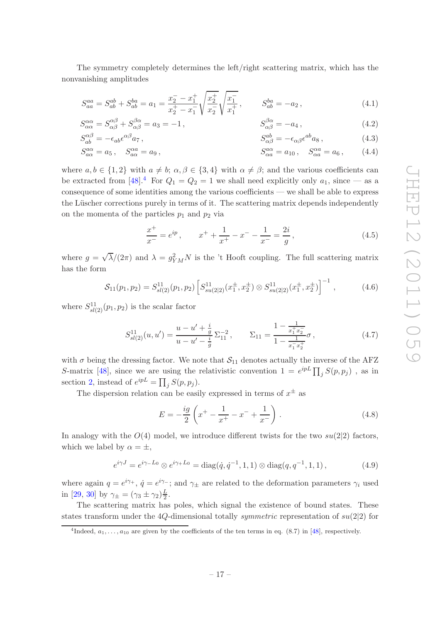The symmetry completely determines the left/right scattering matrix, which has the nonvanishing amplitudes

$$
S_{aa}^{aa} = S_{ab}^{ab} + S_{ab}^{ba} = a_1 = \frac{x_2^- - x_1^+}{x_2^+ - x_1^-} \sqrt{\frac{x_2^+}{x_2^-}} \sqrt{\frac{x_1^-}{x_1^+}}, \qquad S_{ab}^{ba} = -a_2, \qquad (4.1)
$$

$$
S_{\alpha\alpha}^{\alpha\alpha} = S_{\alpha\beta}^{\alpha\beta} + S_{\alpha\beta}^{\beta\alpha} = a_3 = -1, \qquad S_{\alpha\beta}^{\beta\alpha} = -a_4, \qquad (4.2)
$$

$$
S_{ab}^{\alpha\beta} = -\epsilon_{ab}\epsilon^{\alpha\beta}a_7\,,\tag{4.3}
$$

$$
S_{a\alpha}^{a\alpha} = a_5, \quad S_{a\alpha}^{c\alpha} = a_9, \qquad S_{\alpha a}^{a\alpha} = a_{10}, \quad S_{\alpha a}^{c\alpha} = a_6, \qquad (4.4)
$$

where  $a, b \in \{1, 2\}$  with  $a \neq b$ ;  $\alpha, \beta \in \{3, 4\}$  with  $\alpha \neq \beta$ ; and the various coefficients can be extracted from [\[48](#page-48-5)].<sup>[4](#page-17-0)</sup> For  $Q_1 = Q_2 = 1$  we shall need explicitly only  $a_1$ , since — as a consequence of some identities among the various coefficients — we shall be able to express the Lüscher corrections purely in terms of it. The scattering matrix depends independently on the momenta of the particles  $p_1$  and  $p_2$  via

<span id="page-17-3"></span>
$$
\frac{x^{+}}{x^{-}} = e^{ip} , \qquad x^{+} + \frac{1}{x^{+}} - x^{-} - \frac{1}{x^{-}} = \frac{2i}{g} , \qquad (4.5)
$$

where  $g = \sqrt{\lambda}/(2\pi)$  and  $\lambda = g_{YM}^2 N$  is the 't Hooft coupling. The full scattering matrix has the form

$$
S_{11}(p_1, p_2) = S_{sl(2)}^{11}(p_1, p_2) \left[ S_{su(2|2)}^{11}(x_1^{\pm}, x_2^{\pm}) \otimes S_{su(2|2)}^{11}(x_1^{\pm}, x_2^{\pm}) \right]^{-1}, \tag{4.6}
$$

where  $S_{sl(2)}^{11}(p_1, p_2)$  is the scalar factor

<span id="page-17-2"></span>
$$
S_{sl(2)}^{11}(u, u') = \frac{u - u' + \frac{i}{g}}{u - u' - \frac{i}{g}} \Sigma_{11}^{-2}, \qquad \Sigma_{11} = \frac{1 - \frac{1}{x_1^+ x_2^-}}{1 - \frac{1}{x_1^- x_2^+}} \sigma,
$$
\n(4.7)

with  $\sigma$  being the dressing factor. We note that  $S_{11}$  denotes actually the inverse of the AFZ S-matrix [\[48\]](#page-48-5), since we are using the relativistic convention  $1 = e^{ipL} \prod_j S(p, p_j)$ , as in section [2,](#page-4-0) instead of  $e^{ipL} = \prod_j S(p, p_j)$ .

The dispersion relation can be easily expressed in terms of  $x^{\pm}$  as

<span id="page-17-1"></span>
$$
E = -\frac{ig}{2} \left( x^+ - \frac{1}{x^+} - x^- + \frac{1}{x^-} \right) . \tag{4.8}
$$

In analogy with the  $O(4)$  model, we introduce different twists for the two  $su(2|2)$  factors, which we label by  $\alpha = \pm$ ,

$$
e^{i\gamma J} = e^{i\gamma - L_0} \otimes e^{i\gamma + L_0} = \text{diag}(\dot{q}, \dot{q}^{-1}, 1, 1) \otimes \text{diag}(q, q^{-1}, 1, 1), \qquad (4.9)
$$

where again  $q = e^{i\gamma_+}, \dot{q} = e^{i\gamma_-}$ ; and  $\gamma_\pm$  are related to the deformation parameters  $\gamma_i$  used in [\[29](#page-47-14), [30](#page-47-15)] by  $\gamma_{\pm} = (\gamma_3 \pm \gamma_2) \frac{L}{2}$  $\frac{L}{2}$ .

The scattering matrix has poles, which signal the existence of bound states. These states transform under the 4Q-dimensional totally *symmetric* representation of  $su(2|2)$  for

<span id="page-17-0"></span><sup>&</sup>lt;sup>4</sup>Indeed,  $a_1, \ldots, a_{10}$  are given by the coefficients of the ten terms in eq. (8.7) in [\[48](#page-48-5)], respectively.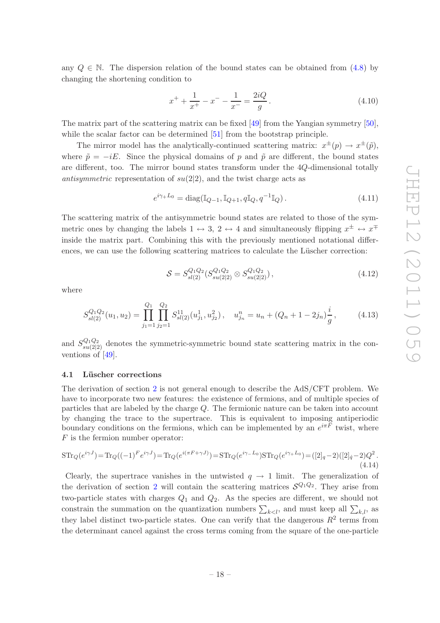any  $Q \in \mathbb{N}$ . The dispersion relation of the bound states can be obtained from [\(4.8\)](#page-17-1) by changing the shortening condition to

<span id="page-18-1"></span>
$$
x^{+} + \frac{1}{x^{+}} - x^{-} - \frac{1}{x^{-}} = \frac{2iQ}{g}.
$$
\n(4.10)

The matrix part of the scattering matrix can be fixed [\[49](#page-48-6)] from the Yangian symmetry [\[50\]](#page-48-7), while the scalar factor can be determined [\[51\]](#page-48-8) from the bootstrap principle.

The mirror model has the analytically-continued scattering matrix:  $x^{\pm}(p) \rightarrow x^{\pm}(\tilde{p}),$ where  $\tilde{p} = -iE$ . Since the physical domains of p and  $\tilde{p}$  are different, the bound states are different, too. The mirror bound states transform under the 4Q-dimensional totally antisymmetric representation of  $su(2|2)$ , and the twist charge acts as

<span id="page-18-3"></span>
$$
e^{i\gamma + L_0} = \text{diag}(\mathbb{I}_{Q-1}, \mathbb{I}_{Q+1}, q\mathbb{I}_Q, q^{-1}\mathbb{I}_Q). \tag{4.11}
$$

The scattering matrix of the antisymmetric bound states are related to those of the symmetric ones by changing the labels  $1 \leftrightarrow 3$ ,  $2 \leftrightarrow 4$  and simultaneously flipping  $x^{\pm} \leftrightarrow x^{\mp}$ inside the matrix part. Combining this with the previously mentioned notational differences, we can use the following scattering matrices to calculate the Lüscher correction:

<span id="page-18-2"></span>
$$
S = S_{sl(2)}^{Q_1 Q_2} (S_{su(2|2)}^{Q_1 Q_2} \otimes S_{su(2|2)}^{Q_1 Q_2}), \qquad (4.12)
$$

where

<span id="page-18-4"></span>
$$
S_{sl(2)}^{Q_1 Q_2}(u_1, u_2) = \prod_{j_1=1}^{Q_1} \prod_{j_2=1}^{Q_2} S_{sl(2)}^{11}(u_{j_1}^1, u_{j_2}^2), \quad u_{j_n}^n = u_n + (Q_n + 1 - 2j_n) \frac{i}{g}, \tag{4.13}
$$

and  $S_{su(2|2)}^{Q_1Q_2}$  denotes the symmetric-symmetric bound state scattering matrix in the conventions of [\[49](#page-48-6)].

#### <span id="page-18-0"></span>4.1 Lüscher corrections

The derivation of section [2](#page-4-0) is not general enough to describe the AdS/CFT problem. We have to incorporate two new features: the existence of fermions, and of multiple species of particles that are labeled by the charge Q. The fermionic nature can be taken into account by changing the trace to the supertrace. This is equivalent to imposing antiperiodic boundary conditions on the fermions, which can be implemented by an  $e^{i\pi F}$  twist, where  $F$  is the fermion number operator:

$$
\mathrm{STr}_Q(e^{i\gamma J}) = \mathrm{Tr}_Q((-1)^F e^{i\gamma J}) = \mathrm{Tr}_Q(e^{i(\pi F + \gamma J)}) = \mathrm{STr}_Q(e^{i\gamma - L_0}) \mathrm{STr}_Q(e^{i\gamma + L_0}) = ([2]_q - 2)([2]_q - 2)Q^2.
$$
\n(4.14)

Clearly, the supertrace vanishes in the untwisted  $q \to 1$  limit. The generalization of the derivation of section [2](#page-4-0) will contain the scattering matrices  $S^{Q_1Q_2}$ . They arise from two-particle states with charges  $Q_1$  and  $Q_2$ . As the species are different, we should not constrain the summation on the quantization numbers  $\sum_{k, and must keep all  $\sum_{k,l}$ , as$ they label distinct two-particle states. One can verify that the dangerous  $R^2$  terms from the determinant cancel against the cross terms coming from the square of the one-particle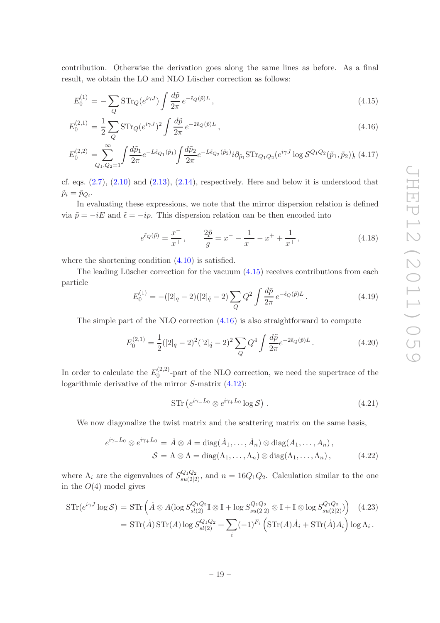contribution. Otherwise the derivation goes along the same lines as before. As a final result, we obtain the LO and NLO Lüscher correction as follows:

<span id="page-19-0"></span>
$$
E_0^{(1)} = -\sum_Q \mathrm{STr}_Q(e^{i\gamma J}) \int \frac{d\tilde{p}}{2\pi} e^{-\tilde{\epsilon}_Q(\tilde{p})L}, \qquad (4.15)
$$

$$
E_0^{(2,1)} = \frac{1}{2} \sum_{Q} \text{STr}_Q (e^{i\gamma J})^2 \int \frac{d\tilde{p}}{2\pi} e^{-2\tilde{\epsilon}_Q(\tilde{p})L}, \qquad (4.16)
$$

$$
E_0^{(2,2)} = \sum_{Q_1,Q_2=1}^{\infty} \int \frac{d\tilde{p}_1}{2\pi} e^{-L\tilde{\epsilon}_{Q_1}(\tilde{p}_1)} \int \frac{d\tilde{p}_2}{2\pi} e^{-L\tilde{\epsilon}_{Q_2}(\tilde{p}_2)} i \partial_{\tilde{p}_1} \text{STr}_{Q_1Q_2}(e^{i\gamma J} \log \mathcal{S}^{Q_1Q_2}(\tilde{p}_1, \tilde{p}_2)), \ (4.17)
$$

cf. eqs.  $(2.7), (2.10)$  $(2.7), (2.10)$  and  $(2.13), (2.14)$  $(2.13), (2.14)$ , respectively. Here and below it is understood that  $\tilde{p}_i = \tilde{p}_{Q_i}.$ 

In evaluating these expressions, we note that the mirror dispersion relation is defined via  $\tilde{p} = -iE$  and  $\tilde{\epsilon} = -ip$ . This dispersion relation can be then encoded into

<span id="page-19-3"></span>
$$
e^{\tilde{\epsilon}_Q(\tilde{p})} = \frac{x^-}{x^+}, \qquad \frac{2\tilde{p}}{g} = x^- - \frac{1}{x^-} - x^+ + \frac{1}{x^+}, \tag{4.18}
$$

where the shortening condition  $(4.10)$  is satisfied.

The leading Lüscher correction for the vacuum  $(4.15)$  receives contributions from each particle

<span id="page-19-1"></span>
$$
E_0^{(1)} = -([2]_q - 2)([2]_q - 2) \sum_Q Q^2 \int \frac{d\tilde{p}}{2\pi} e^{-\tilde{\epsilon}_Q(\tilde{p})L}.
$$
 (4.19)

The simple part of the NLO correction  $(4.16)$  is also straightforward to compute

<span id="page-19-2"></span>
$$
E_0^{(2,1)} = \frac{1}{2} ([2]_q - 2)^2 ([2]_q - 2)^2 \sum_Q Q^4 \int \frac{d\tilde{p}}{2\pi} e^{-2\tilde{\epsilon}_Q(\tilde{p})L}.
$$
 (4.20)

In order to calculate the  $E_0^{(2,2)}$  $0^{(2,2)}$ -part of the NLO correction, we need the supertrace of the logarithmic derivative of the mirror S-matrix [\(4.12\)](#page-18-2):

$$
\text{STr}\left(e^{i\gamma - L_0} \otimes e^{i\gamma + L_0} \log \mathcal{S}\right) \,. \tag{4.21}
$$

We now diagonalize the twist matrix and the scattering matrix on the same basis,

$$
e^{i\gamma_{-}L_{0}} \otimes e^{i\gamma_{+}L_{0}} = \dot{A} \otimes A = \text{diag}(\dot{A}_{1}, \dots, \dot{A}_{n}) \otimes \text{diag}(A_{1}, \dots, A_{n}),
$$
  

$$
S = \Lambda \otimes \Lambda = \text{diag}(\Lambda_{1}, \dots, \Lambda_{n}) \otimes \text{diag}(\Lambda_{1}, \dots, \Lambda_{n}),
$$
(4.22)

where  $\Lambda_i$  are the eigenvalues of  $S_{su(2|2)}^{Q_1Q_2}$ , and  $n = 16Q_1Q_2$ . Calculation similar to the one in the  $O(4)$  model gives

$$
\begin{split} \mathrm{STr}(e^{i\gamma J}\log\mathcal{S}) &= \mathrm{STr}\left(\dot{A}\otimes A(\log S_{sl(2)}^{Q_1Q_2}\mathbb{I}\otimes\mathbb{I} + \log S_{su(2|2)}^{Q_1Q_2}\otimes\mathbb{I} + \mathbb{I}\otimes\log S_{su(2|2)}^{Q_1Q_2})\right) \tag{4.23} \\ &= \mathrm{STr}(\dot{A})\,\mathrm{STr}(A)\log S_{sl(2)}^{Q_1Q_2} + \sum_i (-1)^{F_i} \left(\mathrm{STr}(A)\dot{A}_i + \mathrm{STr}(\dot{A})A_i\right)\log\Lambda_i \,. \end{split}
$$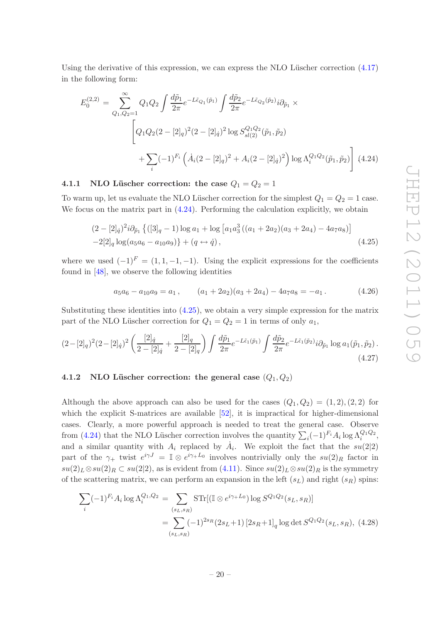Using the derivative of this expression, we can express the NLO Lüscher correction  $(4.17)$ in the following form:

<span id="page-20-2"></span>
$$
E_0^{(2,2)} = \sum_{Q_1,Q_2=1}^{\infty} Q_1 Q_2 \int \frac{d\tilde{p}_1}{2\pi} e^{-L\tilde{\epsilon}_{Q_1}(\tilde{p}_1)} \int \frac{d\tilde{p}_2}{2\pi} e^{-L\tilde{\epsilon}_{Q_2}(\tilde{p}_2)} i \partial_{\tilde{p}_1} \times
$$
  

$$
\left[ Q_1 Q_2 (2 - [2]_q)^2 (2 - [2]_q)^2 \log S_{sl(2)}^{Q_1 Q_2}(\tilde{p}_1, \tilde{p}_2) + \sum_i (-1)^{F_i} \left( \dot{A}_i (2 - [2]_q)^2 + A_i (2 - [2]_q)^2 \right) \log \Lambda_i^{Q_1 Q_2}(\tilde{p}_1, \tilde{p}_2) \right]
$$
(4.24)

## <span id="page-20-0"></span>4.1.1 NLO Lüscher correction: the case  $Q_1 = Q_2 = 1$

To warm up, let us evaluate the NLO Lüscher correction for the simplest  $Q_1 = Q_2 = 1$  case. We focus on the matrix part in  $(4.24)$ . Performing the calculation explicitly, we obtain

<span id="page-20-3"></span>
$$
(2 - [2]_{\dot{q}})^2 i \partial_{\tilde{p}_1} \left\{ ([3]_q - 1) \log a_1 + \log \left[ a_1 a_3^3 \left( (a_1 + 2a_2)(a_3 + 2a_4) - 4a_7 a_8 \right) \right] - 2 [2]_q \log (a_5 a_6 - a_{10} a_9) \right\} + (q \leftrightarrow \dot{q}), \tag{4.25}
$$

where we used  $(-1)^{F} = (1, 1, -1, -1)$ . Using the explicit expressions for the coefficients found in [\[48\]](#page-48-5), we observe the following identities

$$
a_5a_6 - a_{10}a_9 = a_1, \qquad (a_1 + 2a_2)(a_3 + 2a_4) - 4a_7a_8 = -a_1. \tag{4.26}
$$

Substituting these identities into [\(4.25\)](#page-20-3), we obtain a very simple expression for the matrix part of the NLO Lüscher correction for  $Q_1 = Q_2 = 1$  in terms of only  $a_1$ ,

<span id="page-20-5"></span>
$$
(2-[2]_q)^2(2-[2]_q)^2\left(\frac{[2]_q}{2-[2]_q}+\frac{[2]_q}{2-[2]_q}\right)\int\frac{d\tilde{p}_1}{2\pi}e^{-L\tilde{\epsilon}_1(\tilde{p}_1)}\int\frac{d\tilde{p}_2}{2\pi}e^{-L\tilde{\epsilon}_1(\tilde{p}_2)}i\partial_{\tilde{p}_1}\log a_1(\tilde{p}_1,\tilde{p}_2). \tag{4.27}
$$

## <span id="page-20-1"></span>4.1.2 NLO Lüscher correction: the general case  $(Q_1, Q_2)$

Although the above approach can also be used for the cases  $(Q_1, Q_2) = (1, 2), (2, 2)$  for which the explicit S-matrices are available [\[52](#page-48-9)], it is impractical for higher-dimensional cases. Clearly, a more powerful approach is needed to treat the general case. Observe from [\(4.24\)](#page-20-2) that the NLO Lüscher correction involves the quantity  $\sum_i (-1)^{F_i} A_i \log \Lambda_i^{Q_1 Q_2}$ , and a similar quantity with  $A_i$  replaced by  $\dot{A}_i$ . We exploit the fact that the  $su(2|2)$ part of the  $\gamma_+$  twist  $e^{i\gamma J} = \mathbb{I} \otimes e^{i\gamma+L_0}$  involves nontrivially only the  $su(2)_R$  factor in  $su(2)_L \otimes su(2)_R \subset su(2|2)$ , as is evident from [\(4.11\)](#page-18-3). Since  $su(2)_L \otimes su(2)_R$  is the symmetry of the scattering matrix, we can perform an expansion in the left  $(s_L)$  and right  $(s_R)$  spins:

<span id="page-20-4"></span>
$$
\sum_{i} (-1)^{F_i} A_i \log \Lambda_i^{Q_1, Q_2} = \sum_{(s_L, s_R)} \text{STr}[(\mathbb{I} \otimes e^{i\gamma + L_0}) \log S^{Q_1 Q_2}(s_L, s_R)]
$$

$$
= \sum_{(s_L, s_R)} (-1)^{2s_R} (2s_L + 1) [2s_R + 1]_q \log \det S^{Q_1 Q_2}(s_L, s_R), \quad (4.28)
$$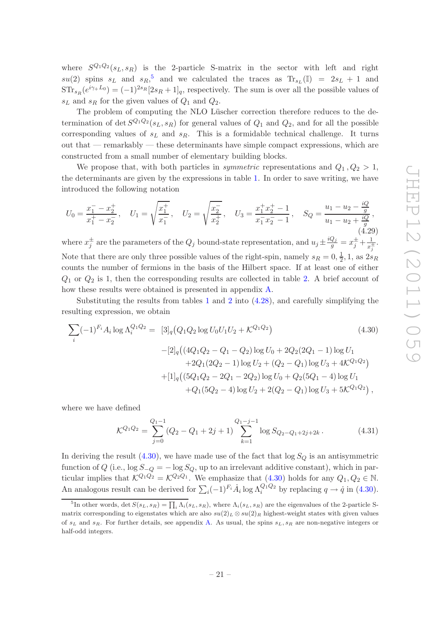where  $S^{Q_1Q_2}(s_L,s_R)$  is the 2-particle S-matrix in the sector with left and right  $su(2)$  spins  $s_L$  and  $s_R$ <sup>[5](#page-21-0)</sup> and we calculated the traces as  $\text{Tr}_{s_L}(\mathbb{I}) = 2s_L + 1$  and  $STr_{sR}(e^{i\gamma+L_0}) = (-1)^{2sR} [2s_R + 1]_q$ , respectively. The sum is over all the possible values of  $s_L$  and  $s_R$  for the given values of  $Q_1$  and  $Q_2$ .

The problem of computing the NLO Lüscher correction therefore reduces to the determination of det  $S^{Q_1Q_2}(s_L,s_R)$  for general values of  $Q_1$  and  $Q_2$ , and for all the possible corresponding values of  $s<sub>L</sub>$  and  $s<sub>R</sub>$ . This is a formidable technical challenge. It turns out that — remarkably — these determinants have simple compact expressions, which are constructed from a small number of elementary building blocks.

We propose that, with both particles in *symmetric* representations and  $Q_1$ ,  $Q_2 > 1$ , the determinants are given by the expressions in table [1.](#page-22-0) In order to save writing, we have introduced the following notation

<span id="page-21-2"></span>
$$
U_0 = \frac{x_1^- - x_2^+}{x_1^+ - x_2^-}, \quad U_1 = \sqrt{\frac{x_1^+}{x_1^-}}, \quad U_2 = \sqrt{\frac{x_2^-}{x_2^+}}, \quad U_3 = \frac{x_1^+ x_2^+ - 1}{x_1^- x_2^- - 1}, \quad S_Q = \frac{u_1 - u_2 - \frac{iQ}{g}}{u_1 - u_2 + \frac{iQ}{g}},\tag{4.29}
$$

where  $x_j^{\pm}$  are the parameters of the  $Q_j$  bound-state representation, and  $u_j \pm \frac{iQ_j}{g} = x_j^{\pm} + \frac{1}{x_j^{\pm}}$  $\frac{1}{x_j^{\pm}}$ . Note that there are only three possible values of the right-spin, namely  $s_R = 0, \frac{1}{2}$  $\frac{1}{2}$ , 1, as  $2s_R$ counts the number of fermions in the basis of the Hilbert space. If at least one of either  $Q_1$  or  $Q_2$  is 1, then the corresponding results are collected in table [2.](#page-22-1) A brief account of how these results were obtained is presented in appendix [A.](#page-39-1)

Substituting the results from tables [1](#page-22-0) and [2](#page-22-1) into  $(4.28)$ , and carefully simplifying the resulting expression, we obtain

<span id="page-21-1"></span>
$$
\sum_{i} (-1)^{F_i} A_i \log \Lambda_i^{Q_1 Q_2} = [3]_q (Q_1 Q_2 \log U_0 U_1 U_2 + \mathcal{K}^{Q_1 Q_2})
$$
\n
$$
-[2]_q ((4Q_1 Q_2 - Q_1 - Q_2) \log U_0 + 2Q_2 (2Q_1 - 1) \log U_1
$$
\n
$$
+ 2Q_1 (2Q_2 - 1) \log U_2 + (Q_2 - Q_1) \log U_3 + 4\mathcal{K}^{Q_1 Q_2}
$$
\n
$$
+[1]_q ((5Q_1 Q_2 - 2Q_1 - 2Q_2) \log U_0 + Q_2 (5Q_1 - 4) \log U_1
$$
\n
$$
+ Q_1 (5Q_2 - 4) \log U_2 + 2(Q_2 - Q_1) \log U_3 + 5\mathcal{K}^{Q_1 Q_2}),
$$
\n
$$
(4.30)
$$

where we have defined

<span id="page-21-3"></span>
$$
\mathcal{K}^{Q_1 Q_2} = \sum_{j=0}^{Q_1 - 1} (Q_2 - Q_1 + 2j + 1) \sum_{k=1}^{Q_1 - j - 1} \log S_{Q_2 - Q_1 + 2j + 2k}.
$$
 (4.31)

In deriving the result  $(4.30)$ , we have made use of the fact that  $\log S_Q$  is an antisymmetric function of Q (i.e.,  $\log S_{-Q} = -\log S_Q$ , up to an irrelevant additive constant), which in particular implies that  $\mathcal{K}^{Q_1 Q_2} = \mathcal{K}^{Q_2 Q_1}$ . We emphasize that  $(4.30)$  holds for any  $Q_1, Q_2 \in \mathbb{N}$ . An analogous result can be derived for  $\sum_i (-1)^{F_i} \dot{A}_i \log \Lambda_i^{Q_1 Q_2}$  by replacing  $q \to \dot{q}$  in [\(4.30\)](#page-21-1).

<span id="page-21-0"></span><sup>&</sup>lt;sup>5</sup>In other words, det  $S(s_L, s_R) = \prod_i \Lambda_i(s_L, s_R)$ , where  $\Lambda_i(s_L, s_R)$  are the eigenvalues of the 2-particle Smatrix corresponding to eigenstates which are also  $su(2)_L \otimes su(2)_R$  highest-weight states with given values of  $s<sub>L</sub>$  and  $s<sub>R</sub>$ . For further details, see appendix [A.](#page-39-1) As usual, the spins  $s<sub>L</sub>$ ,  $s<sub>R</sub>$  are non-negative integers or half-odd integers.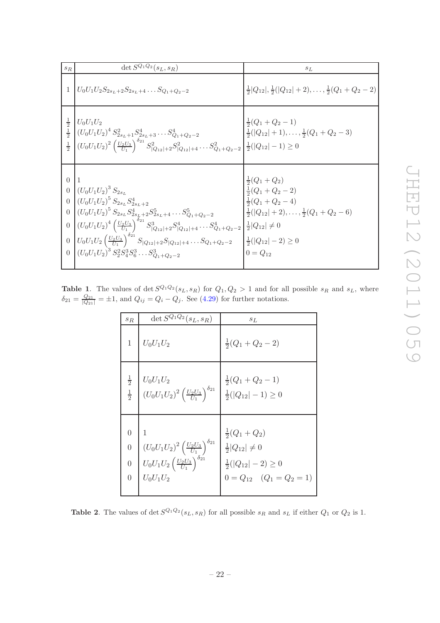| $S_{R}$                                         | det $S^{Q_1 Q_2}(s_L, s_R)$                                                                                                                                                                                                                                                                                                                                                                                                                                                                                              | $s_L$                                                                                                                                                                                           |
|-------------------------------------------------|--------------------------------------------------------------------------------------------------------------------------------------------------------------------------------------------------------------------------------------------------------------------------------------------------------------------------------------------------------------------------------------------------------------------------------------------------------------------------------------------------------------------------|-------------------------------------------------------------------------------------------------------------------------------------------------------------------------------------------------|
| 1                                               | $U_0U_1U_2S_{2s_L+2}S_{2s_L+4}\ldots S_{Q_1+Q_2-2}$                                                                                                                                                                                                                                                                                                                                                                                                                                                                      | $\frac{1}{2} Q_{12} , \frac{1}{2}( Q_{12} +2), \ldots, \frac{1}{2}(Q_1+Q_2-2)$                                                                                                                  |
| $\frac{1}{2}$<br>$\frac{1}{2}$<br>$\frac{1}{2}$ | $U_0U_1U_2$<br>$(U_0U_1U_2)^4 S_{2s_L+1}^2 S_{2s_L+3}^4 \dots S_{Q_1+Q_2-2}^4$<br>$(U_0U_1U_2)^2\left(\frac{U_2U_3}{U_1}\right)^{\delta_{21}}S^2_{ Q_{12} +2}S^2_{ Q_{12} +4}\dots S^2_{Q_1+Q_2-2}\left \frac{1}{2}( Q_{12} -1)\geq 0\right $                                                                                                                                                                                                                                                                            | $\frac{1}{2}(Q_1+Q_2-1)$<br>$\frac{1}{2}( Q_{12} +1), \ldots, \frac{1}{2}(Q_1+Q_2-3)$                                                                                                           |
| $\Omega$<br>$\boldsymbol{0}$                    | $0 \left( U_0 U_1 U_2 \right)^3 S_{2s}$<br>0 $(U_0U_1U_2)^5S_{2s_L}S_{2s_L+2}^4$<br>$\left( U_0 U_1 U_2 \right)^5 S_{2s_L} S_{2s_L+2}^4 S_{2s_L+4}^5 \dots S_{Q_1+Q_2-2}^5$<br>$ (U_0U_1U_2)^4 \left(\frac{U_2U_3}{U_1}\right)^{\delta_{21}} S_{ Q_{12} +2}^3 S_{ Q_{12} +4}^4 \dots S_{Q_1+Q_2-2}^4 \left \frac{1}{2} Q_{12}  \neq 0\right $<br>0 $U_0U_1U_2\left(\frac{U_2U_3}{U_1}\right)^{\delta_{21}}S_{ Q_{12} +2}S_{ Q_{12} +4}\ldots S_{Q_1+Q_2-2}$<br>0 $(U_0U_1U_2)^3 S_2^2 S_4^3 S_6^3 \dots S_{Q_1+Q_2-2}^3$ | $\frac{1}{2}(Q_1+Q_2)$<br>$\frac{1}{2}(Q_1+Q_2-2)$<br>$\frac{1}{2}(Q_1+Q_2-4)$<br>$\frac{1}{2}( Q_{12} +2), \ldots, \frac{1}{2}(Q_1+Q_2-6)$<br>$\frac{1}{2}( Q_{12} -2) \geq 0$<br>$0 = Q_{12}$ |
|                                                 |                                                                                                                                                                                                                                                                                                                                                                                                                                                                                                                          |                                                                                                                                                                                                 |

**Table 1.** The values of  $\det S^{Q_1 Q_2}(s_L, s_R)$  for  $Q_1, Q_2 > 1$  and for all possible  $s_R$  and  $s_L$ , where  $\delta_{21} = \frac{Q_{21}}{|Q_{21}|} = \pm 1$ , and  $Q_{ij} = Q_i - Q_j$ . See [\(4.29\)](#page-21-2) for further notations.

<span id="page-22-0"></span>

| $S_{R}$                                                                | det $S^{Q_1 Q_2}(s_L, s_R)$                                                                                                                                                                             | $s_L$                                                                                                                        |
|------------------------------------------------------------------------|---------------------------------------------------------------------------------------------------------------------------------------------------------------------------------------------------------|------------------------------------------------------------------------------------------------------------------------------|
| 1                                                                      | $U_0U_1U_2$                                                                                                                                                                                             | $\frac{1}{2}(Q_1+Q_2-2)$                                                                                                     |
| $\frac{1}{2}$<br>$\frac{1}{2}$                                         | $U_0U_1U_2$<br>$\left( U_{0}U_{1}U_{2}\right) ^{2}\left( \frac{U_{2}U_{3}}{U_{1}}\right) ^{\delta _{21}}$                                                                                               | $\frac{1}{2}(Q_1+Q_2-1)$<br>$\frac{1}{2}( Q_{12} -1) \geq 0$                                                                 |
| $\overline{0}$<br>$\boldsymbol{0}$<br>$\overline{0}$<br>$\overline{0}$ | $\begin{array}{l} \left(U_{0}U_{1}U_{2}\right)^{2}\left(\frac{U_{2}U_{3}}{U_{1}}\right)^{\delta_{21}} \\ U_{0}U_{1}U_{2}\left(\frac{U_{2}U_{3}}{U_{1}}\right)^{\delta_{21}} \end{array}$<br>$U_0U_1U_2$ | $\frac{1}{2}(Q_1+Q_2)$<br>$\frac{1}{2} Q_{12}  \neq 0$<br>$\frac{1}{2}( Q_{12} -2) \geq 0$<br>$0 = Q_{12}$ $(Q_1 = Q_2 = 1)$ |

<span id="page-22-1"></span>**Table 2**. The values of det  $S^{Q_1Q_2}(s_L, s_R)$  for all possible  $s_R$  and  $s_L$  if either  $Q_1$  or  $Q_2$  is 1.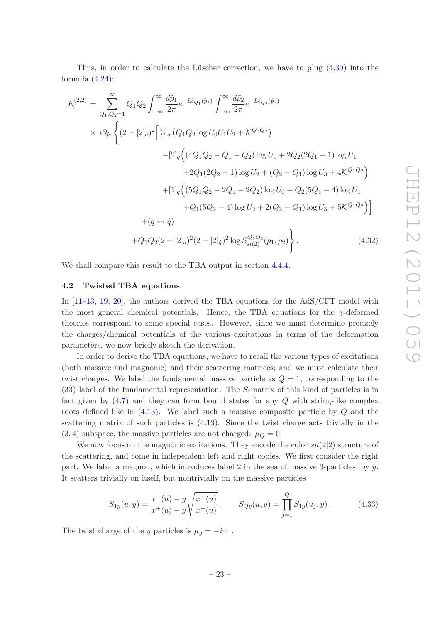Thus, in order to calculate the Lüscher correction, we have to plug  $(4.30)$  into the formula  $(4.24)$ :

<span id="page-23-1"></span>
$$
E_0^{(2,2)} = \sum_{Q_1, Q_2=1}^{\infty} Q_1 Q_2 \int_{-\infty}^{\infty} \frac{d\tilde{p}_1}{2\pi} e^{-L\tilde{\epsilon}_{Q_1}(\tilde{p}_1)} \int_{-\infty}^{\infty} \frac{d\tilde{p}_2}{2\pi} e^{-L\tilde{\epsilon}_{Q_2}(\tilde{p}_2)} \times i \partial_{\tilde{p}_1} \Biggl\{ (2 - [2]_q)^2 \Biggl[ [3]_q (Q_1 Q_2 \log U_0 U_1 U_2 + \mathcal{K}^{Q_1 Q_2}) \Biggr\} - [2]_q \Biggl( (4Q_1 Q_2 - Q_1 - Q_2) \log U_0 + 2Q_2 (2Q_1 - 1) \log U_1 \Biggr) + 2Q_1 (2Q_2 - 1) \log U_2 + (Q_2 - Q_1) \log U_3 + 4\mathcal{K}^{Q_1 Q_2} \Biggr) + [1]_q \Biggl( (5Q_1 Q_2 - 2Q_1 - 2Q_2) \log U_0 + Q_2 (5Q_1 - 4) \log U_1 \Biggr) + Q_1 (5Q_2 - 4) \log U_2 + 2(Q_2 - Q_1) \log U_3 + 5\mathcal{K}^{Q_1 Q_2} \Biggr) \Biggr] + (q \leftrightarrow \dot{q})
$$
  
+ 
$$
+ Q_1 Q_2 (2 - [2]_q)^2 (2 - [2]_q)^2 \log S_{sl(2)}^{Q_1 Q_2}(\tilde{p}_1, \tilde{p}_2) \Biggr\} . \tag{4.32}
$$

<span id="page-23-0"></span>We shall compare this result to the TBA output in section [4.4.4.](#page-31-0)

#### 4.2 Twisted TBA equations

In [\[11](#page-46-12)[–13,](#page-46-13) [19,](#page-46-7) [20](#page-46-8)], the authors derived the TBA equations for the AdS/CFT model with the most general chemical potentials. Hence, the TBA equations for the  $\gamma$ -deformed theories correspond to some special cases. However, since we must determine precisely the charges/chemical potentials of the various excitations in terms of the deformation parameters, we now briefly sketch the derivation.

In order to derive the TBA equations, we have to recall the various types of excitations (both massive and magnonic) and their scattering matrices; and we must calculate their twist charges. We label the fundamental massive particle as  $Q = 1$ , corresponding to the  $(33)$  label of the fundamental representation. The *S*-matrix of this kind of particles is in fact given by  $(4.7)$  and they can form bound states for any  $Q$  with string-like complex roots defined like in [\(4.13\)](#page-18-4). We label such a massive composite particle by Q and the scattering matrix of such particles is [\(4.13\)](#page-18-4). Since the twist charge acts trivially in the  $(3, 4)$  subspace, the massive particles are not charged:  $\mu_Q = 0$ .

We now focus on the magnonic excitations. They encode the color  $su(2|2)$  structure of the scattering, and come in independent left and right copies. We first consider the right part. We label a magnon, which introduces label 2 in the sea of massive 3-particles, by y. It scatters trivially on itself, but nontrivially on the massive particles

$$
S_{1y}(u,y) = \frac{x^-(u) - y}{x^+(u) - y} \sqrt{\frac{x^+(u)}{x^-(u)}}, \qquad S_{Qy}(u,y) = \prod_{j=1}^Q S_{1y}(u_j, y). \tag{4.33}
$$

The twist charge of the y particles is  $\mu_y = -i\gamma_+$ .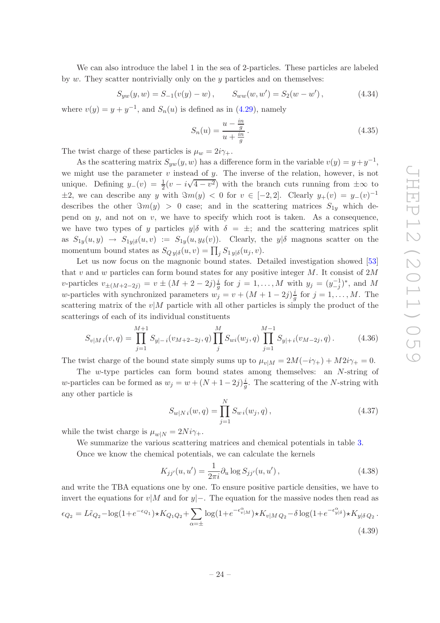We can also introduce the label 1 in the sea of 2-particles. These particles are labeled by  $w$ . They scatter nontrivially only on the  $y$  particles and on themselves:

$$
S_{yw}(y, w) = S_{-1}(v(y) - w), \qquad S_{ww}(w, w') = S_2(w - w'), \qquad (4.34)
$$

where  $v(y) = y + y^{-1}$ , and  $S_n(u)$  is defined as in [\(4.29\)](#page-21-2), namely

<span id="page-24-1"></span>
$$
S_n(u) = \frac{u - \frac{in}{g}}{u + \frac{in}{g}}.
$$
\n
$$
(4.35)
$$

The twist charge of these particles is  $\mu_w = 2i\gamma_+$ .

As the scattering matrix  $S_{yw}(y, w)$  has a difference form in the variable  $v(y) = y + y^{-1}$ , we might use the parameter  $v$  instead of  $y$ . The inverse of the relation, however, is not unique. Defining  $y=(v) = \frac{1}{2}(v - i\sqrt{4-v^2})$  with the branch cuts running from  $\pm \infty$  to  $\pm 2$ , we can describe any y with  $\Im m(y) < 0$  for  $v \in [-2, 2]$ . Clearly  $y_{+}(v) = y_{-}(v)^{-1}$ describes the other  $\Im m(y) > 0$  case; and in the scattering matrices  $S_{1y}$  which depend on  $y$ , and not on  $v$ , we have to specify which root is taken. As a consequence, we have two types of y particles  $y|\delta$  with  $\delta = \pm$ ; and the scattering matrices split as  $S_{1y}(u, y) \rightarrow S_{1y|\delta}(u, v) := S_{1y}(u, y_\delta(v))$ . Clearly, the  $y|\delta$  magnons scatter on the momentum bound states as  $S_{Qy|\delta}(u, v) = \prod_j S_{1y|\delta}(u_j, v)$ .

Let us now focus on the magnonic bound states. Detailed investigation showed [\[53\]](#page-48-10) that v and w particles can form bound states for any positive integer  $M$ . It consist of  $2M$ v-particles  $v_{\pm(M+2-2j)} = v \pm (M+2-2j)\frac{i}{g}$  $\frac{i}{g}$  for  $j = 1, \ldots, M$  with  $y_j = (y_{-j}^{-1})^*$ , and M w-particles with synchronized parameters  $w_j = v + (M + 1 - 2j)\frac{i}{g}$  $\frac{i}{g}$  for  $j = 1, \ldots, M$ . The scattering matrix of the  $v/M$  particle with all other particles is simply the product of the scatterings of each of its individual constituents

$$
S_{v|M i}(v,q) = \prod_{j=1}^{M+1} S_{y|-i}(v_{M+2-2j},q) \prod_{j}^{M} S_{wi}(w_j,q) \prod_{j=1}^{M-1} S_{y|+i}(v_{M-2j},q).
$$
 (4.36)

The twist charge of the bound state simply sums up to  $\mu_{\nu|M} = 2M(-i\gamma_+) + M2i\gamma_+ = 0$ .

The w-type particles can form bound states among themselves: an N-string of w-particles can be formed as  $w_j = w + (N + 1 - 2j)\frac{j}{g}$  $\frac{i}{g}$ . The scattering of the *N*-string with any other particle is

$$
S_{w|N}i(w,q) = \prod_{j=1}^{N} S_{w}i(w_j,q), \qquad (4.37)
$$

while the twist charge is  $\mu_{w|N} = 2Ni\gamma_+$ .

We summarize the various scattering matrices and chemical potentials in table [3.](#page-25-1)

Once we know the chemical potentials, we can calculate the kernels

$$
K_{jj'}(u, u') = \frac{1}{2\pi i} \partial_u \log S_{jj'}(u, u'), \qquad (4.38)
$$

and write the TBA equations one by one. To ensure positive particle densities, we have to invert the equations for v|M and for y|−. The equation for the massive nodes then read as

<span id="page-24-0"></span>
$$
\epsilon_{Q_2} = L\tilde{\epsilon}_{Q_2} - \log(1 + e^{-\epsilon_{Q_1}}) \star K_{Q_1 Q_2} + \sum_{\alpha = \pm} \log(1 + e^{-\epsilon_{v|M}^{\alpha}}) \star K_{v|M Q_2} - \delta \log(1 + e^{-\epsilon_{v|\delta}^{\alpha}}) \star K_{y|\delta Q_2}.
$$
\n(4.39)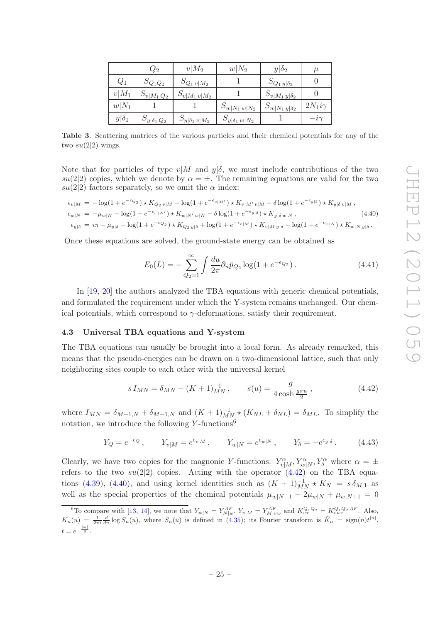|              | $\mathcal{Q}_2$           | $v M_2$                              | $w N_2$                         | $y \delta_2$                       | $\mu$         |
|--------------|---------------------------|--------------------------------------|---------------------------------|------------------------------------|---------------|
| $Q_1$        | $S_{Q_1Q_2}$              | $S_{Q_1\,v M_2}$                     |                                 | $S_{Q_1 y \delta_2}$               |               |
| $v M_1$      | $S_{v M_1 Q_2}$           | $S_{v M_1}$ $\sqrt{\frac{M_2}{M_2}}$ |                                 | $S_{v M_1 y \underline{\delta_2}}$ |               |
| $w N_1$      |                           |                                      | $S_{w N_1 w N_2}$               | $S_{w N_1y \delta_2}$              | $2N_1i\gamma$ |
| $y \delta_1$ | $S_{y\vert \delta_1 Q_2}$ | $S_{y\mid\delta_1\mid v\mid_{M_2}}$  | $S_{y\mid \delta_1 w \mid N_2}$ |                                    | $-i\gamma$    |

<span id="page-25-1"></span>Table 3. Scattering matrices of the various particles and their chemical potentials for any of the two  $su(2|2)$  wings.

Note that for particles of type  $v/M$  and  $y/\delta$ , we must include contributions of the two  $su(2|2)$  copies, which we denote by  $\alpha = \pm$ . The remaining equations are valid for the two  $su(2|2)$  factors separately, so we omit the  $\alpha$  index:

<span id="page-25-4"></span>
$$
\epsilon_{v|M} = -\log(1 + e^{-\epsilon_{Q_2}}) \star K_{Q_2 v|M} + \log(1 + e^{-\epsilon_{v|M'}}) \star K_{v|M'v|M} - \delta \log(1 + e^{-\epsilon_{y|\delta}}) \star K_{y|\delta v|M},
$$
  
\n
$$
\epsilon_{w|N} = -\mu_{w|N} - \log(1 + e^{-\epsilon_{w|N'}}) \star K_{w|N'w|N} - \delta \log(1 + e^{-\epsilon_{y|\delta}}) \star K_{y|\delta w|N},
$$
  
\n
$$
\epsilon_{y|\delta} = i\pi - \mu_{y|\delta} - \log(1 + e^{-\epsilon_{Q_2}}) \star K_{Q_2 y|\delta} + \log(1 + e^{-\epsilon_{v|M}}) \star K_{v|My|\delta} - \log(1 + e^{-\epsilon_{w|N}}) \star K_{w|Ny|\delta}.
$$
\n(4.40)

Once these equations are solved, the ground-state energy can be obtained as

$$
E_0(L) = -\sum_{Q_2=1}^{\infty} \int \frac{du}{2\pi} \partial_u \tilde{p}_{Q_2} \log(1 + e^{-\epsilon_{Q_2}}). \tag{4.41}
$$

In [\[19](#page-46-7), [20](#page-46-8)] the authors analyzed the TBA equations with generic chemical potentials, and formulated the requirement under which the Y-system remains unchanged. Our chemical potentials, which correspond to  $\gamma$ -deformations, satisfy their requirement.

#### <span id="page-25-0"></span>4.3 Universal TBA equations and Y-system

The TBA equations can usually be brought into a local form. As already remarked, this means that the pseudo-energies can be drawn on a two-dimensional lattice, such that only neighboring sites couple to each other with the universal kernel

<span id="page-25-3"></span>
$$
s I_{MN} = \delta_{MN} - (K+1)_{MN}^{-1}, \qquad s(u) = \frac{g}{4 \cosh \frac{g \pi u}{2}}, \qquad (4.42)
$$

where  $I_{MN} = \delta_{M+1,N} + \delta_{M-1,N}$  and  $(K+1)_{MN}^{-1} \star (K_{NL} + \delta_{NL}) = \delta_{ML}$ . To simplify the notation, we introduce the following Y-functions<sup>[6](#page-25-2)</sup>

$$
Y_Q = e^{-\epsilon_Q}, \t Y_{v|M} = e^{\epsilon_{v|M}}, \t Y_{w|N} = e^{\epsilon_{w|N}}, \t Y_{\delta} = -e^{\epsilon_{y|\delta}}.
$$
 (4.43)

Clearly, we have two copies for the magnonic Y-functions:  $Y^{\alpha}_{v|M}$ ,  $Y^{\alpha}_{w|N}$ ,  $Y^{\alpha}_{\delta}$  where  $\alpha = \pm$ refers to the two  $su(2|2)$  copies. Acting with the operator  $(4.42)$  on the TBA equa-tions [\(4.39\)](#page-24-0), [\(4.40\)](#page-25-4), and using kernel identities such as  $(K + 1)^{-1}_{MN} \star K_N = s \delta_{M,1}$  as well as the special properties of the chemical potentials  $\mu_{w|N-1} - 2\mu_{w|N} + \mu_{w|N+1} = 0$ 

<span id="page-25-2"></span><sup>&</sup>lt;sup>6</sup>To compare with [\[13](#page-46-13), [14](#page-46-3)], we note that  $Y_{w|N} = Y_{N|w}^{AF}$ ,  $Y_{v|M} = Y_{M|vw}^{AF}$  and  $K_{vx}^{Q_1Q_2} = K_{vwx}^{Q_1Q_2 AF}$ . Also,  $K_n(u) = \frac{1}{2\pi i} \frac{d}{du} \log S_n(u)$ , where  $S_n(u)$  is defined in [\(4.35\)](#page-24-1); its Fourier transform is  $\tilde{K}_n = \text{sign}(n)t^{|n|}$ ,  $t=e^{-\frac{|\omega|}{g}}.$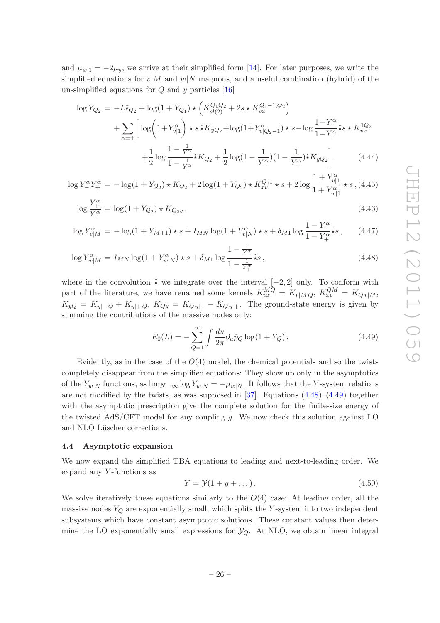and  $\mu_{w|1} = -2\mu_y$ , we arrive at their simplified form [\[14\]](#page-46-3). For later purposes, we write the simplified equations for  $v/M$  and  $w/N$  magnons, and a useful combination (hybrid) of the un-simplified equations for  $Q$  and  $y$  particles [\[16](#page-46-5)]

<span id="page-26-1"></span>
$$
\log Y_{Q_2} = -L\tilde{\epsilon}_{Q_2} + \log(1 + Y_{Q_1}) \star \left( K_{sl(2)}^{Q_1 Q_2} + 2s \star K_{vx}^{Q_1 - 1, Q_2} \right)
$$
  
+ 
$$
\sum_{\alpha = \pm} \left[ \log \left( 1 + Y_{v|1}^{\alpha} \right) \star s \hat{\star} K_{yQ_2} + \log(1 + Y_{v|Q_2 - 1}^{\alpha}) \star s - \log \frac{1 - Y_{-}^{\alpha}}{1 - Y_{+}^{\alpha}} \hat{\star} s \star K_{vx}^{1Q_2} + \frac{1}{2} \log \frac{1 - \frac{1}{Y_{-}^{\alpha}}}{1 - \frac{1}{Y_{+}^{\alpha}}} \hat{\star} K_{Q_2} + \frac{1}{2} \log(1 - \frac{1}{Y_{-}^{\alpha}})(1 - \frac{1}{Y_{+}^{\alpha}}) \hat{\star} K_{yQ_2} \right], \tag{4.44}
$$

$$
\log Y_{-}^{\alpha} Y_{+}^{\alpha} = -\log(1 + Y_{Q_2}) \star K_{Q_2} + 2\log(1 + Y_{Q_2}) \star K_{xv}^{Q_2 1} \star s + 2\log \frac{1 + Y_{v|1}^{\alpha}}{1 + Y_{w|1}^{\alpha}} \star s, (4.45)
$$

$$
\log \frac{Y_{+}^{\alpha}}{Y_{-}^{\alpha}} = \log(1 + Y_{Q_2}) \star K_{Q_2y} , \qquad (4.46)
$$

$$
\log Y_{v|M}^{\alpha} = -\log(1 + Y_{M+1}) \star s + I_{MN} \log(1 + Y_{v|N}^{\alpha}) \star s + \delta_{M1} \log \frac{1 - Y_{-}^{\alpha}}{1 - Y_{+}^{\alpha}} \hat{\star} s, \qquad (4.47)
$$

$$
\log Y_{w|M}^{\alpha} = I_{MN} \log(1 + Y_{w|N}^{\alpha}) \star s + \delta_{M1} \log \frac{1 - \frac{1}{Y_{-}^{\alpha}}}{1 - \frac{1}{Y_{+}^{\alpha}}} \hat{\star} s, \qquad (4.48)
$$

where in the convolution  $\hat{\star}$  we integrate over the interval  $[-2, 2]$  only. To conform with part of the literature, we have renamed some kernels  $K_{vx}^{MQ} = K_{v|MQ}$ ,  $K_{xv}^{QM} = K_{Qv|M}$ ,  $K_{yQ} = K_{y|-Q} + K_{y|+Q}, K_{Qy} = K_{Qy|-} - K_{Qy|+}$ . The ground-state energy is given by summing the contributions of the massive nodes only:

<span id="page-26-2"></span>
$$
E_0(L) = -\sum_{Q=1}^{\infty} \int \frac{du}{2\pi} \partial_u \tilde{p}_Q \log(1 + Y_Q).
$$
 (4.49)

Evidently, as in the case of the  $O(4)$  model, the chemical potentials and so the twists completely disappear from the simplified equations: They show up only in the asymptotics of the  $Y_{w|N}$  functions, as  $\lim_{N\to\infty} \log Y_{w|N} = -\mu_{w|N}$ . It follows that the Y-system relations are not modified by the twists, as was supposed in  $[37]$ . Equations  $(4.48)$ – $(4.49)$  together with the asymptotic prescription give the complete solution for the finite-size energy of the twisted  $AdS/CFT$  model for any coupling q. We now check this solution against LO and NLO Lüscher corrections.

#### <span id="page-26-0"></span>4.4 Asymptotic expansion

We now expand the simplified TBA equations to leading and next-to-leading order. We expand any Y -functions as

$$
Y = \mathcal{Y}(1 + y + \dots). \tag{4.50}
$$

We solve iteratively these equations similarly to the  $O(4)$  case: At leading order, all the massive nodes  $Y_Q$  are exponentially small, which splits the Y-system into two independent subsystems which have constant asymptotic solutions. These constant values then determine the LO exponentially small expressions for  $\mathcal{Y}_Q$ . At NLO, we obtain linear integral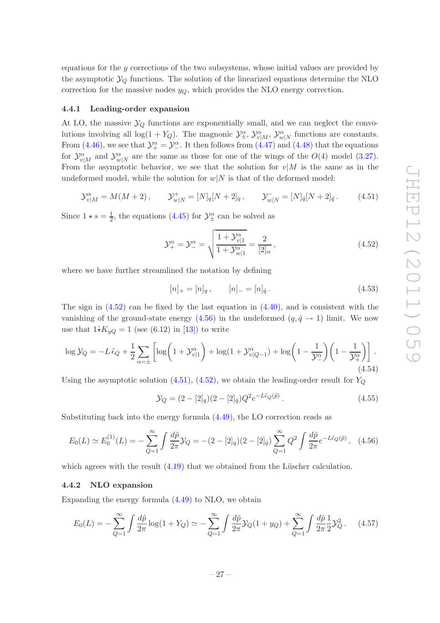equations for the y corrections of the two subsystems, whose initial values are provided by the asymptotic  $\mathcal{Y}_Q$  functions. The solution of the linearized equations determine the NLO correction for the massive nodes  $y_Q$ , which provides the NLO energy correction.

## <span id="page-27-0"></span>4.4.1 Leading-order expansion

At LO, the massive  $\mathcal{Y}_Q$  functions are exponentially small, and we can neglect the convolutions involving all  $log(1 + Y_Q)$ . The magnonic  $\mathcal{Y}^{\alpha}_{\pm}$ ,  $\mathcal{Y}^{\alpha}_{v|M}$ ,  $\mathcal{Y}^{\alpha}_{w|N}$  functions are constants. From [\(4.46\)](#page-26-1), we see that  $\mathcal{Y}^{\alpha}_{+} = \mathcal{Y}^{\alpha}_{-}$ . It then follows from [\(4.47\)](#page-26-1) and [\(4.48\)](#page-26-1) that the equations for  $\mathcal{Y}_{v|M}^{\alpha}$  and  $\mathcal{Y}_{w|N}^{\alpha}$  are the same as those for one of the wings of the  $O(4)$  model [\(3.27\)](#page-14-1). From the asymptotic behavior, we see that the solution for  $v|M$  is the same as in the undeformed model, while the solution for  $w/N$  is that of the deformed model:

<span id="page-27-4"></span>
$$
\mathcal{Y}_{v|M}^{\alpha} = M(M+2), \qquad \mathcal{Y}_{w|N}^{+} = [N]_q[N+2]_q, \qquad \mathcal{Y}_{w|N}^{-} = [N]_q[N+2]_q. \tag{4.51}
$$

Since  $1 \star s = \frac{1}{2}$  $\frac{1}{2}$ , the equations [\(4.45\)](#page-26-1) for  $\mathcal{Y}_{\pm}^{\alpha}$  can be solved as

<span id="page-27-2"></span>
$$
\mathcal{Y}_+^{\alpha} = \mathcal{Y}_-^{\alpha} = \sqrt{\frac{1 + \mathcal{Y}_{v|1}^{\alpha}}{1 + \mathcal{Y}_{w|1}^{\alpha}} = \frac{2}{[2]_{\alpha}}},
$$
\n(4.52)

where we have further streamlined the notation by defining

$$
[n]_+ = [n]_q, \qquad [n]_- = [n]_q. \tag{4.53}
$$

The sign in  $(4.52)$  can be fixed by the last equation in  $(4.40)$ , and is consistent with the vanishing of the ground-state energy [\(4.56\)](#page-27-3) in the undeformed  $(q, \dot{q} \rightarrow 1)$  limit. We now use that  $1\hat{*}K_{yQ} = 1$  (see (6.12) in [\[13](#page-46-13)]) to write

$$
\log \mathcal{Y}_Q = -L \,\tilde{\epsilon}_Q + \frac{1}{2} \sum_{\alpha = \pm} \left[ \log \left( 1 + \mathcal{Y}_{v|1}^{\alpha} \right) + \log \left( 1 + \mathcal{Y}_{v|Q-1}^{\alpha} \right) + \log \left( 1 - \frac{1}{\mathcal{Y}_-^{\alpha}} \right) \left( 1 - \frac{1}{\mathcal{Y}_+^{\alpha}} \right) \right].
$$
\n(4.54)

Using the asymptotic solution  $(4.51)$ ,  $(4.52)$ , we obtain the leading-order result for  $Y_Q$ 

<span id="page-27-5"></span>
$$
\mathcal{Y}_Q = (2 - [2]_q)(2 - [2]_q)Q^2 e^{-L\tilde{\epsilon}_Q(\tilde{p})}.
$$
\n(4.55)

Substituting back into the energy formula [\(4.49\)](#page-26-2), the LO correction reads as

<span id="page-27-3"></span>
$$
E_0(L) \simeq E_0^{(1)}(L) = -\sum_{Q=1}^{\infty} \int \frac{d\tilde{p}}{2\pi} \mathcal{Y}_Q = -(2 - [2]_q)(2 - [2]_{\dot{q}}) \sum_{Q=1}^{\infty} Q^2 \int \frac{d\tilde{p}}{2\pi} e^{-L\tilde{\epsilon}_Q(\tilde{p})}, \quad (4.56)
$$

<span id="page-27-1"></span>which agrees with the result  $(4.19)$  that we obtained from the Lüscher calculation.

## 4.4.2 NLO expansion

Expanding the energy formula [\(4.49\)](#page-26-2) to NLO, we obtain

$$
E_0(L) = -\sum_{Q=1}^{\infty} \int \frac{d\tilde{p}}{2\pi} \log(1 + Y_Q) \simeq -\sum_{Q=1}^{\infty} \int \frac{d\tilde{p}}{2\pi} \mathcal{Y}_Q(1 + y_Q) + \sum_{Q=1}^{\infty} \int \frac{d\tilde{p}}{2\pi} \frac{1}{2} \mathcal{Y}_Q^2.
$$
 (4.57)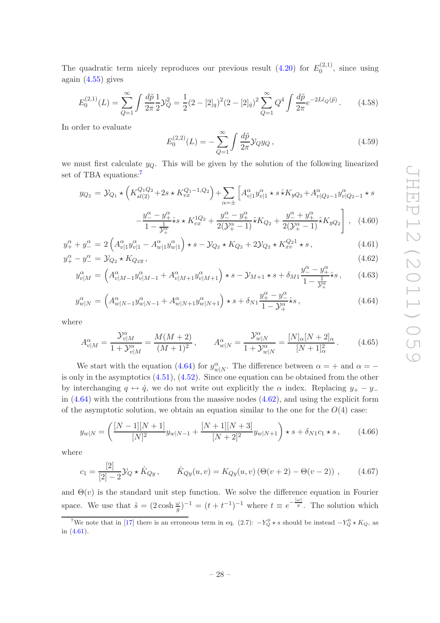The quadratic term nicely reproduces our previous result  $(4.20)$  for  $E_0^{(2,1)}$  $\int_0^{(2,1)}$ , since using again [\(4.55\)](#page-27-5) gives

<span id="page-28-3"></span>
$$
E_0^{(2,1)}(L) = \sum_{Q=1}^{\infty} \int \frac{d\tilde{p}}{2\pi} \frac{1}{2} \mathcal{Y}_Q^2 = \frac{1}{2} (2 - [2]_q)^2 (2 - [2]_q)^2 \sum_{Q=1}^{\infty} Q^4 \int \frac{d\tilde{p}}{2\pi} e^{-2L\tilde{\epsilon}_Q(\tilde{p})}.
$$
 (4.58)

In order to evaluate

<span id="page-28-2"></span>
$$
E_0^{(2,2)}(L) = -\sum_{Q=1}^{\infty} \int \frac{d\tilde{p}}{2\pi} y_Q y_Q , \qquad (4.59)
$$

we must first calculate  $y<sub>O</sub>$ . This will be given by the solution of the following linearized set of TBA equations:<sup>[7](#page-28-0)</sup>

<span id="page-28-1"></span>
$$
y_{Q_2} = \mathcal{Y}_{Q_1} \star \left( K_{sl(2)}^{Q_1 Q_2} + 2s \star K_{vx}^{Q_1 - 1, Q_2} \right) + \sum_{\alpha = \pm} \left[ A_{v|1}^{\alpha} y_{v|1}^{\alpha} \star s \hat{\star} K_{yQ_2} + A_{v|Q_2 - 1}^{\alpha} y_{v|Q_2 - 1}^{\alpha} \star s \right]
$$

$$
-\frac{y_-^{\alpha} - y_+^{\alpha}}{1 - \frac{1}{\mathcal{V}_+^{\alpha}}} \hat{\star} s \star K_{vx}^{1Q_2} + \frac{y_-^{\alpha} - y_+^{\alpha}}{2(\mathcal{Y}_+^{\alpha} - 1)} \hat{\star} K_{Q_2} + \frac{y_-^{\alpha} + y_+^{\alpha}}{2(\mathcal{Y}_+^{\alpha} - 1)} \hat{\star} K_{yQ_2} \bigg], \quad (4.60)
$$

$$
y_+^{\alpha} + y_-^{\alpha} = 2 \left( A_{v|1}^{\alpha} y_{v|1}^{\alpha} - A_{w|1}^{\alpha} y_{w|1}^{\alpha} \right) \star s - \mathcal{Y}_{Q_2} \star K_{Q_2} + 2 \mathcal{Y}_{Q_2} \star K_{xv}^{Q_2 1} \star s, \tag{4.61}
$$
  

$$
y_+^{\alpha} - y_-^{\alpha} = \mathcal{Y}_{Q_2} \star K_{Q_2 y} , \tag{4.62}
$$

$$
y_{v|M}^{\alpha} = \left(A_{v|M-1}^{\alpha} y_{v|M-1}^{\alpha} + A_{v|M+1}^{\alpha} y_{v|M+1}^{\alpha}\right) \star s - \mathcal{Y}_{M+1} \star s + \delta_{M1} \frac{y_{-}^{\alpha} - y_{+}^{\alpha}}{1 - \frac{1}{\mathcal{Y}_{+}^{\alpha}}} \hat{\star} s\,,\tag{4.63}
$$

$$
y_{w|N}^{\alpha} = \left(A_{w|N-1}^{\alpha} y_{w|N-1}^{\alpha} + A_{w|N+1}^{\alpha} y_{w|N+1}^{\alpha}\right) \star s + \delta_{N1} \frac{y_{+}^{\alpha} - y_{-}^{\alpha}}{1 - \mathcal{Y}_{+}^{\alpha}} \hat{\star} s\,,\tag{4.64}
$$

where

$$
A^{\alpha}_{v|M} = \frac{\mathcal{Y}^{\alpha}_{v|M}}{1 + \mathcal{Y}^{\alpha}_{v|M}} = \frac{M(M+2)}{(M+1)^2}, \qquad A^{\alpha}_{w|N} = \frac{\mathcal{Y}^{\alpha}_{w|N}}{1 + \mathcal{Y}^{\alpha}_{w|N}} = \frac{[N]_{\alpha}[N+2]_{\alpha}}{[N+1]_{\alpha}^2}.
$$
 (4.65)

We start with the equation [\(4.64\)](#page-28-1) for  $y^{\alpha}_{w|N}$ . The difference between  $\alpha = +$  and  $\alpha =$ is only in the asymptotics [\(4.51\)](#page-27-4), [\(4.52\)](#page-27-2). Since one equation can be obtained from the other by interchanging  $q \leftrightarrow \dot{q}$ , we do not write out explicitly the  $\alpha$  index. Replacing  $y_+ - y_$ in  $(4.64)$  with the contributions from the massive nodes  $(4.62)$ , and using the explicit form of the asymptotic solution, we obtain an equation similar to the one for the  $O(4)$  case:

$$
y_{w|N} = \left(\frac{[N-1][N+1]}{[N]^2}y_{w|N-1} + \frac{[N+1][N+3]}{[N+2]^2}y_{w|N+1}\right) \star s + \delta_{N1}c_1 \star s, \qquad (4.66)
$$

where

$$
c_1 = \frac{[2]}{[2]-2} \mathcal{Y}_Q \star \hat{K}_{Qy}, \qquad \hat{K}_{Qy}(u,v) = K_{Qy}(u,v) \left(\Theta(v+2) - \Theta(v-2)\right), \qquad (4.67)
$$

and  $\Theta(v)$  is the standard unit step function. We solve the difference equation in Fourier space. We use that  $\tilde{s} = (2 \cosh \frac{\omega}{g})^{-1} = (t + t^{-1})^{-1}$  where  $t \equiv e^{-\frac{|\omega|}{g}}$ . The solution which

<span id="page-28-0"></span><sup>&</sup>lt;sup>7</sup>We note that in [\[17](#page-46-14)] there is an erroneous term in eq.  $(2.7):$   $-Y_Q^0 * s$  should be instead  $-Y_Q^0 * K_Q$ , as in [\(4.61\)](#page-28-1).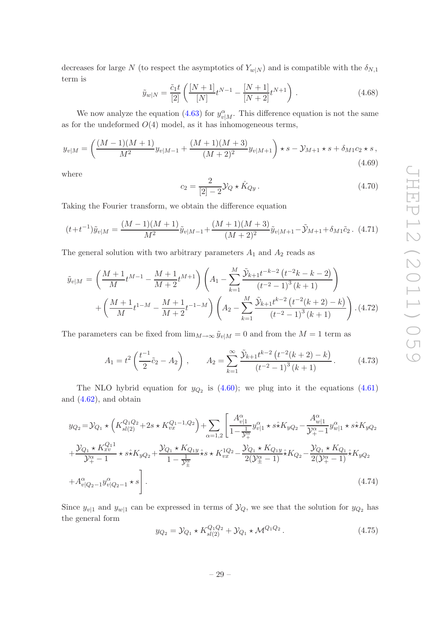decreases for large N (to respect the asymptotics of  $Y_{w|N}$ ) and is compatible with the  $\delta_{N,1}$ term is

$$
\tilde{y}_{w|N} = \frac{\tilde{c}_1 t}{[2]} \left( \frac{[N+1]}{[N]} t^{N-1} - \frac{[N+1]}{[N+2]} t^{N+1} \right) . \tag{4.68}
$$

We now analyze the equation [\(4.63\)](#page-28-1) for  $y_{v|M}^{\alpha}$ . This difference equation is not the same as for the undeformed  $O(4)$  model, as it has inhomogeneous terms,

$$
y_{v|M} = \left(\frac{(M-1)(M+1)}{M^2}y_{v|M-1} + \frac{(M+1)(M+3)}{(M+2)^2}y_{v|M+1}\right) \star s - y_{M+1} \star s + \delta_{M1}c_2 \star s,
$$
\n(4.69)

where

$$
c_2 = \frac{2}{[2] - 2} \mathcal{Y}_Q \star \hat{K}_{Qy} \,. \tag{4.70}
$$

Taking the Fourier transform, we obtain the difference equation

$$
(t+t^{-1})\tilde{y}_{v|M} = \frac{(M-1)(M+1)}{M^2}\tilde{y}_{v|M-1} + \frac{(M+1)(M+3)}{(M+2)^2}\tilde{y}_{v|M+1} - \tilde{\mathcal{Y}}_{M+1} + \delta_{M1}\tilde{c}_2.
$$
 (4.71)

The general solution with two arbitrary parameters  $A_1$  and  $A_2$  reads as

<span id="page-29-2"></span>
$$
\tilde{y}_{v|M} = \left(\frac{M+1}{M}t^{M-1} - \frac{M+1}{M+2}t^{M+1}\right)\left(A_1 - \sum_{k=1}^M \frac{\tilde{y}_{k+1}t^{-k-2}\left(t^{-2}k - k - 2\right)}{\left(t^{-2} - 1\right)^3\left(k + 1\right)}\right) + \left(\frac{M+1}{M}t^{1-M} - \frac{M+1}{M+2}t^{-1-M}\right)\left(A_2 - \sum_{k=1}^M \frac{\tilde{y}_{k+1}t^{k-2}\left(t^{-2}\left(k + 2\right) - k\right)}{\left(t^{-2} - 1\right)^3\left(k + 1\right)}\right). \tag{4.72}
$$

The parameters can be fixed from  $\lim_{M\to\infty} \tilde{y}_{v|M} = 0$  and from the  $M = 1$  term as

$$
A_1 = t^2 \left( \frac{t^{-1}}{2} \tilde{c}_2 - A_2 \right) , \qquad A_2 = \sum_{k=1}^{\infty} \frac{\tilde{\mathcal{Y}}_{k+1} t^{k-2} \left( t^{-2} (k+2) - k \right)}{\left( t^{-2} - 1 \right)^3 (k+1)} . \tag{4.73}
$$

The NLO hybrid equation for  $y_{Q_2}$  is [\(4.60\)](#page-28-1); we plug into it the equations [\(4.61\)](#page-28-1) and [\(4.62\)](#page-28-1), and obtain

<span id="page-29-1"></span>
$$
y_{Q_2} = \mathcal{Y}_{Q_1} \star \left( K_{sl(2)}^{Q_1 Q_2} + 2s \star K_{vx}^{Q_1 - 1, Q_2} \right) + \sum_{\alpha = 1,2} \left[ \frac{A_{v|1}^{\alpha}}{1 - \frac{1}{\mathcal{Y}_{\gamma}^{\alpha}}} y_{v|1}^{\alpha} \star s \star K_{yQ_2} - \frac{A_{w|1}^{\alpha}}{\mathcal{Y}_{\gamma}^{\alpha} - 1} y_{w|1}^{\alpha} \star s \star K_{yQ_2} \right]
$$
  
+ 
$$
\frac{\mathcal{Y}_{Q_1} \star K_{xv}^{Q_1 1}}{\mathcal{Y}_{\gamma}^{\alpha} - 1} \star s \star K_{yQ_2} + \frac{\mathcal{Y}_{Q_1} \star K_{Q_1 y}}{1 - \frac{1}{\mathcal{Y}_{\gamma}^{\alpha}}} \hat{\star} s \star K_{vx}^{1Q_2} - \frac{\mathcal{Y}_{Q_1} \star K_{Q_1 y}}{2(\mathcal{Y}_{\gamma}^{\alpha} - 1)} \hat{\star} K_{Q_2} - \frac{\mathcal{Y}_{Q_1} \star K_{Q_1}}{2(\mathcal{Y}_{\gamma}^{\alpha} - 1)} \hat{\star} K_{yQ_2}
$$
  
+ 
$$
A_{v|Q_2 - 1}^{\alpha} y_{v|Q_2 - 1}^{\alpha} \star s \right].
$$
 (4.74)

Since  $y_{v|1}$  and  $y_{w|1}$  can be expressed in terms of  $\mathcal{Y}_Q$ , we see that the solution for  $y_{Q_2}$  has the general form

<span id="page-29-0"></span>
$$
y_{Q_2} = \mathcal{Y}_{Q_1} \star K_{sl(2)}^{Q_1 Q_2} + \mathcal{Y}_{Q_1} \star \mathcal{M}^{Q_1 Q_2}.
$$
 (4.75)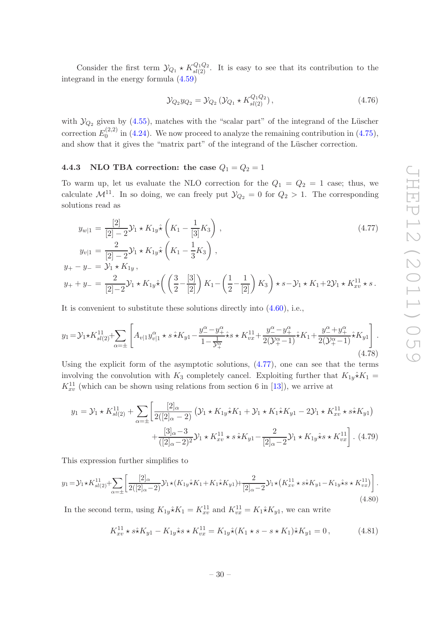Consider the first term  $\mathcal{Y}_{Q_1} \star K_{sl(2)}^{Q_1 Q_2}$ . It is easy to see that its contribution to the integrand in the energy formula [\(4.59\)](#page-28-2)

$$
\mathcal{Y}_{Q_2} y_{Q_2} = \mathcal{Y}_{Q_2} \left( \mathcal{Y}_{Q_1} \star K_{sl(2)}^{Q_1 Q_2} \right),\tag{4.76}
$$

with  $\mathcal{Y}_{Q_2}$  given by [\(4.55\)](#page-27-5), matches with the "scalar part" of the integrand of the Lüscher correction  $E_0^{(2,2)}$  $\int_0^{(2,2)}$  in [\(4.24\)](#page-20-2). We now proceed to analyze the remaining contribution in [\(4.75\)](#page-29-0), and show that it gives the "matrix part" of the integrand of the Lüscher correction.

## <span id="page-30-0"></span>4.4.3 NLO TBA correction: the case  $Q_1 = Q_2 = 1$

To warm up, let us evaluate the NLO correction for the  $Q_1 = Q_2 = 1$  case; thus, we calculate  $\mathcal{M}^{11}$ . In so doing, we can freely put  $\mathcal{Y}_{Q_2} = 0$  for  $Q_2 > 1$ . The corresponding solutions read as

<span id="page-30-1"></span>
$$
y_{w|1} = \frac{[2]}{[2]-2} \mathcal{Y}_1 \star K_{1y} \hat{\star} \left( K_1 - \frac{1}{[3]} K_3 \right),
$$
\n
$$
y_{v|1} = \frac{2}{[2]-2} \mathcal{Y}_1 \star K_{1y} \hat{\star} \left( K_1 - \frac{1}{3} K_3 \right),
$$
\n
$$
y_{+} - y_{-} = \mathcal{Y}_1 \star K_{1y},
$$
\n
$$
y_{+} + y_{-} = \frac{2}{[2]-2} \mathcal{Y}_1 \star K_{1y} \hat{\star} \left( \left( \frac{3}{2} - \frac{[3]}{[2]} \right) K_1 - \left( \frac{1}{2} - \frac{1}{[2]} \right) K_3 \right) \star s - \mathcal{Y}_1 \star K_1 + 2 \mathcal{Y}_1 \star K_{xv}^{11} \star s.
$$
\n(4.77)

It is convenient to substitute these solutions directly into [\(4.60\)](#page-28-1), i.e.,

$$
y_1 = \mathcal{Y}_1 \star K_{sl(2)}^{11} + \sum_{\alpha = \pm} \left[ A_{v|1} y_{v|1}^{\alpha} \star s \hat{\star} K_{y1} - \frac{y_-^{\alpha} - y_+^{\alpha}}{1 - \frac{1}{\mathcal{Y}_+^{\alpha}}} \hat{\star} s \star K_{vx}^{11} + \frac{y_-^{\alpha} - y_+^{\alpha}}{2(\mathcal{Y}_+^{\alpha} - 1)} \hat{\star} K_1 + \frac{y_-^{\alpha} + y_+^{\alpha}}{2(\mathcal{Y}_+^{\alpha} - 1)} \hat{\star} K_{y1} \right].
$$
\n(4.78)

Using the explicit form of the asymptotic solutions,  $(4.77)$ , one can see that the terms involving the convolution with K<sub>3</sub> completely cancel. Exploiting further that  $K_{1y}\hat{*}K_{1} =$  $K_{xv}^{11}$  (which can be shown using relations from section 6 in [\[13](#page-46-13)]), we arrive at

$$
y_1 = \mathcal{Y}_1 \star K_{sl(2)}^{11} + \sum_{\alpha = \pm} \left[ \frac{[2]_{\alpha}}{2([2]_{\alpha} - 2)} \left( \mathcal{Y}_1 \star K_{1y} \hat{\star} K_1 + \mathcal{Y}_1 \star K_1 \hat{\star} K_{y1} - 2 \mathcal{Y}_1 \star K_{xv}^{11} \star s \hat{\star} K_{y1} \right) \right. \\ \left. + \frac{[3]_{\alpha} - 3}{([2]_{\alpha} - 2)^2} \mathcal{Y}_1 \star K_{xv}^{11} \star s \hat{\star} K_{y1} - \frac{2}{[2]_{\alpha} - 2} \mathcal{Y}_1 \star K_{1y} \hat{\star} s \star K_{vx}^{11} \right].
$$
 (4.79)

This expression further simplifies to

<span id="page-30-2"></span>
$$
y_1 = \mathcal{Y}_1 \star K_{sl(2)}^{11} + \sum_{\alpha = \pm} \left[ \frac{[2]_{\alpha}}{2([2]_{\alpha} - 2)} \mathcal{Y}_1 \star (K_{1y} \hat{\star} K_1 + K_1 \hat{\star} K_{y1}) + \frac{2}{[2]_{\alpha} - 2} \mathcal{Y}_1 \star (K_{xv}^{11} \star s \hat{\star} K_{y1} - K_{1y} \hat{\star} s \star K_{vx}^{11}) \right].
$$
\n(4.80)

In the second term, using  $K_{1y}\hat{\star}K_{1} = K_{xv}^{11}$  and  $K_{vx}^{11} = K_{1}\hat{\star}K_{y1}$ , we can write

$$
K_{xv}^{11} \star s\hat{\star}K_{y1} - K_{1y}\hat{\star} s \star K_{vx}^{11} = K_{1y}\hat{\star}(K_1 \star s - s \star K_1)\hat{\star} K_{y1} = 0, \qquad (4.81)
$$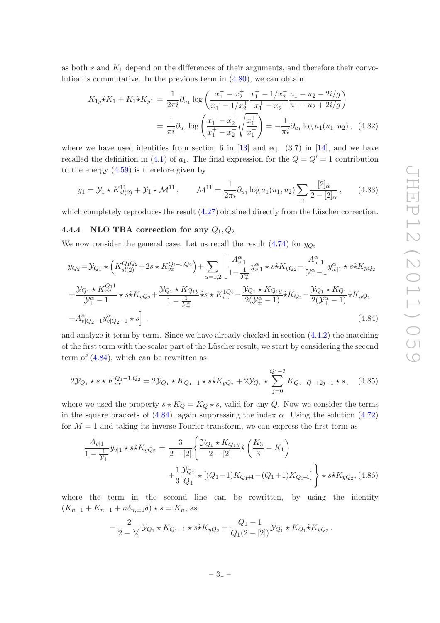as both  $s$  and  $K_1$  depend on the differences of their arguments, and therefore their convolution is commutative. In the previous term in [\(4.80\)](#page-30-2), we can obtain

<span id="page-31-3"></span>
$$
K_{1y}\hat{\star}K_{1} + K_{1}\hat{\star}K_{y1} = \frac{1}{2\pi i}\partial_{u_{1}}\log\left(\frac{x_{1}^{-} - x_{2}^{+}}{x_{1}^{-} - 1/x_{2}^{+}}\frac{x_{1}^{+} - 1/x_{2}^{-}}{x_{1}^{+} - x_{2}^{-}}\frac{u_{1} - u_{2} - 2i/g}{u_{1} - u_{2} + 2i/g}\right)
$$
  
=  $\frac{1}{\pi i}\partial_{u_{1}}\log\left(\frac{x_{1}^{-} - x_{2}^{+}}{x_{1}^{+} - x_{2}^{-}}\sqrt{\frac{x_{1}^{+}}{x_{1}^{-}}}\right) = -\frac{1}{\pi i}\partial_{u_{1}}\log a_{1}(u_{1}, u_{2}),$  (4.82)

where we have used identities from section 6 in [\[13](#page-46-13)] and eq.  $(3.7)$  in [\[14](#page-46-3)], and we have recalled the definition in [\(4.1\)](#page-17-3) of  $a_1$ . The final expression for the  $Q = Q' = 1$  contribution to the energy  $(4.59)$  is therefore given by

$$
y_1 = \mathcal{Y}_1 \star K_{sl(2)}^{11} + \mathcal{Y}_1 \star \mathcal{M}^{11}, \qquad \mathcal{M}^{11} = \frac{1}{2\pi i} \partial_{u_1} \log a_1(u_1, u_2) \sum_{\alpha} \frac{[2]_{\alpha}}{2 - [2]_{\alpha}}, \qquad (4.83)
$$

<span id="page-31-0"></span>which completely reproduces the result  $(4.27)$  obtained directly from the Lüscher correction.

## 4.4.4 NLO TBA correction for any  $Q_1, Q_2$

We now consider the general case. Let us recall the result  $(4.74)$  for  $y_{Q_2}$ 

<span id="page-31-1"></span>
$$
y_{Q_2} = \mathcal{Y}_{Q_1} \star \left( K_{sl(2)}^{Q_1 Q_2} + 2s \star K_{vx}^{Q_1 - 1, Q_2} \right) + \sum_{\alpha = 1, 2} \left[ \frac{A_{v|1}^{\alpha}}{1 - \frac{1}{\mathcal{Y}_{\varphi}^{\alpha}}} y_{v|1}^{\alpha} \star s \star K_{yQ_2} - \frac{A_{w|1}^{\alpha}}{\mathcal{Y}_{\varphi}^{\alpha} - 1} y_{w|1}^{\alpha} \star s \star K_{yQ_2} \right] + \frac{\mathcal{Y}_{Q_1} \star K_{xv}^{Q_1 1}}{\mathcal{Y}_{\varphi}^{\alpha} - 1} \star s \star K_{yQ_2} + \frac{\mathcal{Y}_{Q_1} \star K_{Q_1 y}}{1 - \frac{1}{\mathcal{Y}_{\varphi}^{\alpha}}} \hat{\star} s \star K_{vx}^{1Q_2} - \frac{\mathcal{Y}_{Q_1} \star K_{Q_1 y}}{2(\mathcal{Y}_{\varphi}^{\alpha} - 1)} \hat{\star} K_{Q_2} - \frac{\mathcal{Y}_{Q_1} \star K_{Q_1}}{2(\mathcal{Y}_{\varphi}^{\alpha} - 1)} \hat{\star} K_{yQ_2} + A_{v|Q_2 - 1}^{\alpha} y_{v|Q_2 - 1}^{\alpha} \star s \right],
$$
\n(4.84)

and analyze it term by term. Since we have already checked in section [\(4.4.2\)](#page-27-1) the matching of the first term with the scalar part of the Lüscher result, we start by considering the second term of  $(4.84)$ , which can be rewritten as

<span id="page-31-4"></span>
$$
2\mathcal{Y}_{Q_1} \star s \star K_{vx}^{Q_1 - 1, Q_2} = 2\mathcal{Y}_{Q_1} \star K_{Q_1 - 1} \star s \hat{\star} K_{yQ_2} + 2\mathcal{Y}_{Q_1} \star \sum_{j=0}^{Q_1 - 2} K_{Q_2 - Q_1 + 2j + 1} \star s \,, \quad (4.85)
$$

where we used the property  $s \star K_Q = K_Q \star s$ , valid for any Q. Now we consider the terms in the square brackets of [\(4.84\)](#page-31-1), again suppressing the index  $\alpha$ . Using the solution [\(4.72\)](#page-29-2) for  $M = 1$  and taking its inverse Fourier transform, we can express the first term as

<span id="page-31-2"></span>
$$
\frac{A_{v|1}}{1 - \frac{1}{\mathcal{Y}_+}} y_{v|1} \star s \hat{\star} K_{yQ_2} = \frac{3}{2 - [2]} \left\{ \frac{\mathcal{Y}_{Q_1} \star K_{Q_1y}}{2 - [2]} \hat{\star} \left( \frac{K_3}{3} - K_1 \right) + \frac{1}{3} \frac{\mathcal{Y}_{Q_1}}{Q_1} \star [(Q_1 - 1)K_{Q_1 + 1} - (Q_1 + 1)K_{Q_1 - 1}] \right\} \star s \hat{\star} K_{yQ_2}, (4.86)
$$

where the term in the second line can be rewritten, by using the identity  $(K_{n+1} + K_{n-1} + n\delta_{n,\pm 1}\delta) \star s = K_n$ , as

$$
-\frac{2}{2-[2]}\mathcal{Y}_{Q_1}\star K_{Q_1-1}\star s\hat{\star}K_{yQ_2}+\frac{Q_1-1}{Q_1(2-[2])}\mathcal{Y}_{Q_1}\star K_{Q_1}\hat{\star}K_{yQ_2}.
$$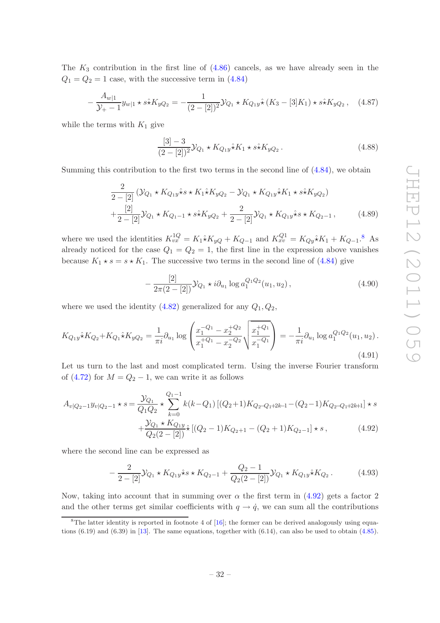The  $K_3$  contribution in the first line of  $(4.86)$  cancels, as we have already seen in the  $Q_1 = Q_2 = 1$  case, with the successive term in  $(4.84)$ 

$$
-\frac{A_{w|1}}{\mathcal{Y}_+-1}y_{w|1}\star s\hat{\star}K_{yQ_2}=-\frac{1}{(2-[2])^2}\mathcal{Y}_{Q_1}\star K_{Q_1y}\hat{\star}(K_3-[3]K_1)\star s\hat{\star}K_{yQ_2},\quad(4.87)
$$

while the terms with  $K_1$  give

$$
\frac{[3]-3}{(2-[2])^2} \mathcal{Y}_{Q_1} \star K_{Q_1y} \hat{\star} K_1 \star s \hat{\star} K_{yQ_2} . \tag{4.88}
$$

Summing this contribution to the first two terms in the second line of [\(4.84\)](#page-31-1), we obtain

$$
\frac{2}{2 - [2]} \left( \mathcal{Y}_{Q_1} \star K_{Q_1 y} \hat{\star} s \star K_1 \hat{\star} K_{yQ_2} - \mathcal{Y}_{Q_1} \star K_{Q_1 y} \hat{\star} K_1 \star s \hat{\star} K_{yQ_2} \right) \n+ \frac{[2]}{2 - [2]} \mathcal{Y}_{Q_1} \star K_{Q_1 - 1} \star s \hat{\star} K_{yQ_2} + \frac{2}{2 - [2]} \mathcal{Y}_{Q_1} \star K_{Q_1 y} \hat{\star} s \star K_{Q_2 - 1},
$$
\n(4.89)

where we used the identities  $K_{vx}^{1Q} = K_1 \hat{\star} K_{yQ} + K_{Q-1}$  and  $K_{xv}^{Q1} = K_{Qy} \hat{\star} K_1 + K_{Q-1}$ .<sup>[8](#page-32-0)</sup> As already noticed for the case  $Q_1 = Q_2 = 1$ , the first line in the expression above vanishes because  $K_1 \star s = s \star K_1$ . The successive two terms in the second line of [\(4.84\)](#page-31-1) give

$$
-\frac{[2]}{2\pi(2-[2])}\mathcal{Y}_{Q_1}\star i\partial_{u_1}\log a_1^{Q_1Q_2}(u_1,u_2)\,,\tag{4.90}
$$

where we used the identity  $(4.82)$  generalized for any  $Q_1, Q_2$ ,

<span id="page-32-2"></span>
$$
K_{Q_1y} \hat{\star} K_{Q_2} + K_{Q_1} \hat{\star} K_{yQ_2} = \frac{1}{\pi i} \partial_{u_1} \log \left( \frac{x_1^{-Q_1} - x_2^{+Q_2}}{x_1^{+Q_1} - x_2^{-Q_2}} \sqrt{\frac{x_1^{+Q_1}}{x_1^{-Q_1}}} \right) = -\frac{1}{\pi i} \partial_{u_1} \log a_1^{Q_1 Q_2}(u_1, u_2).
$$
\n(4.91)

Let us turn to the last and most complicated term. Using the inverse Fourier transform of [\(4.72\)](#page-29-2) for  $M = Q_2 - 1$ , we can write it as follows

<span id="page-32-1"></span>
$$
A_{v|Q_2-1}y_{v|Q_2-1} \star s = \frac{y_{Q_1}}{Q_1Q_2} \star \sum_{k=0}^{Q_1-1} k(k-Q_1) \left[ (Q_2+1)K_{Q_2-Q_1+2k-1} - (Q_2-1)K_{Q_2-Q_1+2k+1} \right] \star s
$$
  
 
$$
+ \frac{y_{Q_1} \star K_{Q_1y}}{Q_2(2-[2])} \hat{\star} \left[ (Q_2-1)K_{Q_2+1} - (Q_2+1)K_{Q_2-1} \right] \star s, \qquad (4.92)
$$

where the second line can be expressed as

$$
-\frac{2}{2-[2]} \mathcal{Y}_{Q_1} \star K_{Q_1y} \hat{\star} s \star K_{Q_2-1} + \frac{Q_2-1}{Q_2(2-[2])} \mathcal{Y}_{Q_1} \star K_{Q_1y} \hat{\star} K_{Q_2}. \tag{4.93}
$$

Now, taking into account that in summing over  $\alpha$  the first term in [\(4.92\)](#page-32-1) gets a factor 2 and the other terms get similar coefficients with  $q \rightarrow \dot{q}$ , we can sum all the contributions

<span id="page-32-0"></span><sup>&</sup>lt;sup>8</sup>The latter identity is reported in footnote 4 of  $[16]$ ; the former can be derived analogously using equations (6.19) and (6.39) in [\[13](#page-46-13)]. The same equations, together with (6.14), can also be used to obtain [\(4.85\)](#page-31-4).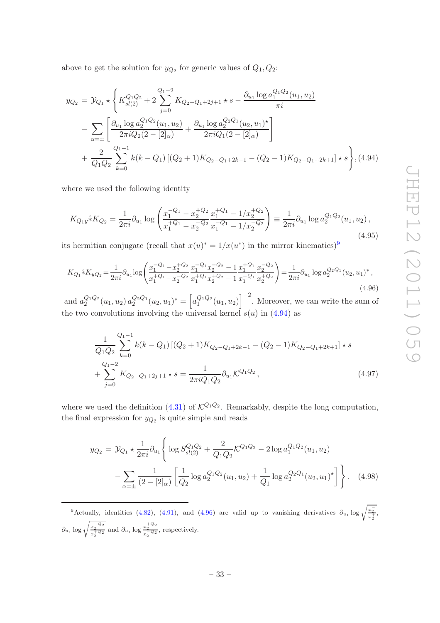above to get the solution for  $y_{Q_2}$  for generic values of  $Q_1, Q_2$ :

<span id="page-33-1"></span>
$$
y_{Q_2} = \mathcal{Y}_{Q_1} \star \left\{ K_{sl(2)}^{Q_1 Q_2} + 2 \sum_{j=0}^{Q_1 - 2} K_{Q_2 - Q_1 + 2j + 1} \star s - \frac{\partial_{u_1} \log a_1^{Q_1 Q_2}(u_1, u_2)}{\pi i} - \sum_{\alpha = \pm} \left[ \frac{\partial_{u_1} \log a_2^{Q_1 Q_2}(u_1, u_2)}{2\pi i Q_2 (2 - [2]_{\alpha})} + \frac{\partial_{u_1} \log a_2^{Q_2 Q_1}(u_2, u_1)^{\star}}{2\pi i Q_1 (2 - [2]_{\alpha})} \right] + \frac{2}{Q_1 Q_2} \sum_{k=0}^{Q_1 - 1} k(k - Q_1) \left[ (Q_2 + 1) K_{Q_2 - Q_1 + 2k - 1} - (Q_2 - 1) K_{Q_2 - Q_1 + 2k + 1} \right] \star s \right\}, (4.94)
$$

where we used the following identity

$$
K_{Q_1y} * K_{Q_2} = \frac{1}{2\pi i} \partial_{u_1} \log \left( \frac{x_1^{-Q_1} - x_2^{+Q_2}}{x_1^{+Q_1} - x_2^{-Q_2}} \frac{x_1^{+Q_1} - 1/x_2^{+Q_2}}{x_1^{-Q_1} - 1/x_2^{-Q_2}} \right) \equiv \frac{1}{2\pi i} \partial_{u_1} \log a_2^{Q_1Q_2}(u_1, u_2),
$$
\n(4.95)

its hermitian conjugate (recall that  $x(u)^* = 1/x(u^*)$  in the mirror kinematics)<sup>[9](#page-33-0)</sup>

<span id="page-33-2"></span>
$$
K_{Q_1} * K_{yQ_2} = \frac{1}{2\pi i} \partial_{u_1} \log \left( \frac{x_1^{-Q_1} - x_2^{+Q_2}}{x_1^{+Q_1} - x_2^{-Q_2}} \frac{x_1^{-Q_1} x_2^{-Q_2} - 1}{x_1^{+Q_1} x_2^{+Q_2} - 1} \frac{x_1^{+Q_1}}{x_1^{-Q_1}} \frac{x_2^{-Q_2}}{x_2^{+Q_2}} \right) = \frac{1}{2\pi i} \partial_{u_1} \log a_2^{Q_2 Q_1} (u_2, u_1)^*,
$$
\n
$$
(4.96)
$$

and  $a_2^{Q_1 Q_2}(u_1, u_2) a_2^{Q_2 Q_1}(u_2, u_1)^* = \left[a_1^{Q_1 Q_2}(u_1, u_2)\right]^{-2}$ . Moreover, we can write the sum of the two convolutions involving the universal kernel  $s(u)$  in [\(4.94\)](#page-33-1) as

$$
\frac{1}{Q_1 Q_2} \sum_{k=0}^{Q_1 - 1} k(k - Q_1) \left[ (Q_2 + 1) K_{Q_2 - Q_1 + 2k - 1} - (Q_2 - 1) K_{Q_2 - Q_1 + 2k + 1} \right] \star s
$$
\n
$$
+ \sum_{j=0}^{Q_1 - 2} K_{Q_2 - Q_1 + 2j + 1} \star s = \frac{1}{2\pi i Q_1 Q_2} \partial_{u_1} \mathcal{K}^{Q_1 Q_2} \,, \tag{4.97}
$$

where we used the definition [\(4.31\)](#page-21-3) of  $\mathcal{K}^{Q_1 Q_2}$ . Remarkably, despite the long computation, the final expression for  $y_{Q_2}$  is quite simple and reads

<span id="page-33-3"></span>
$$
y_{Q_2} = \mathcal{Y}_{Q_1} \star \frac{1}{2\pi i} \partial_{u_1} \left\{ \log S_{sl(2)}^{Q_1 Q_2} + \frac{2}{Q_1 Q_2} \mathcal{K}^{Q_1 Q_2} - 2 \log a_1^{Q_1 Q_2} (u_1, u_2) - \sum_{\alpha = \pm} \frac{1}{(2 - [2]_{\alpha})} \left[ \frac{1}{Q_2} \log a_2^{Q_1 Q_2} (u_1, u_2) + \frac{1}{Q_1} \log a_2^{Q_2 Q_1} (u_2, u_1)^{\star} \right] \right\}.
$$
 (4.98)

<span id="page-33-0"></span><sup>9</sup>Actually, identities [\(4.82\)](#page-31-3), [\(4.91\)](#page-32-2), and [\(4.96\)](#page-33-2) are valid up to vanishing derivatives  $\partial_{u_1} \log \sqrt{\frac{x_2}{x_2^+}}$ ,  $\partial_{u_1} \log \sqrt{\frac{x_2^{-Q_2}}{x_2^{+Q_2}}}$  and  $\partial_{u_1} \log \frac{x_2^{+Q_2}}{x_2^{-Q_2}}$ , respectively.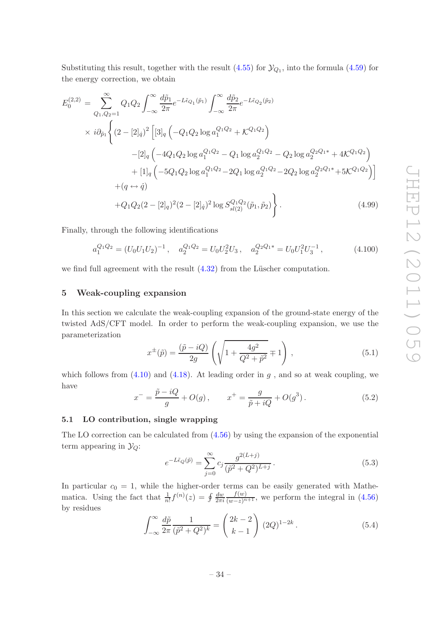Substituting this result, together with the result  $(4.55)$  for  $\mathcal{Y}_{Q_1}$ , into the formula  $(4.59)$  for the energy correction, we obtain

<span id="page-34-3"></span>
$$
E_0^{(2,2)} = \sum_{Q_1,Q_2=1}^{\infty} Q_1 Q_2 \int_{-\infty}^{\infty} \frac{d\tilde{p}_1}{2\pi} e^{-L\tilde{\epsilon}_{Q_1}(\tilde{p}_1)} \int_{-\infty}^{\infty} \frac{d\tilde{p}_2}{2\pi} e^{-L\tilde{\epsilon}_{Q_2}(\tilde{p}_2)} \times i \partial_{\tilde{p}_1} \left\{ (2 - [2]_q)^2 \left[ [3]_q \left( -Q_1 Q_2 \log a_1^{Q_1 Q_2} + \mathcal{K}^{Q_1 Q_2} \right) \right. \\ \left. - [2]_q \left( -4Q_1 Q_2 \log a_1^{Q_1 Q_2} - Q_1 \log a_2^{Q_1 Q_2} - Q_2 \log a_2^{Q_2 Q_1*} + 4\mathcal{K}^{Q_1 Q_2} \right) \right. \\ \left. + [1]_q \left( -5Q_1 Q_2 \log a_1^{Q_1 Q_2} - 2Q_1 \log a_2^{Q_1 Q_2} - 2Q_2 \log a_2^{Q_2 Q_1*} + 5\mathcal{K}^{Q_1 Q_2} \right) \right] \right\} \left. + (q \leftrightarrow \dot{q}) \right. \\ \left. + Q_1 Q_2 (2 - [2]_q)^2 (2 - [2]_{\dot{q}})^2 \log S_{\dot{s}(2)}^{Q_1 Q_2}(\tilde{p}_1, \tilde{p}_2) \right\} . \tag{4.99}
$$

Finally, through the following identifications

$$
a_1^{Q_1 Q_2} = (U_0 U_1 U_2)^{-1}, \quad a_2^{Q_1 Q_2} = U_0 U_2^2 U_3, \quad a_2^{Q_2 Q_1 *} = U_0 U_1^2 U_3^{-1}, \tag{4.100}
$$

<span id="page-34-0"></span>we find full agreement with the result  $(4.32)$  from the Lüscher computation.

#### 5 Weak-coupling expansion

In this section we calculate the weak-coupling expansion of the ground-state energy of the twisted AdS/CFT model. In order to perform the weak-coupling expansion, we use the parameterization

$$
x^{\pm}(\tilde{p}) = \frac{(\tilde{p} - iQ)}{2g} \left( \sqrt{1 + \frac{4g^2}{Q^2 + \tilde{p}^2}} \mp 1 \right),
$$
 (5.1)

which follows from  $(4.10)$  and  $(4.18)$ . At leading order in g, and so at weak coupling, we have

$$
x^{-} = \frac{\tilde{p} - iQ}{g} + O(g), \qquad x^{+} = \frac{g}{\tilde{p} + iQ} + O(g^{3}). \tag{5.2}
$$

#### <span id="page-34-1"></span>5.1 LO contribution, single wrapping

The LO correction can be calculated from [\(4.56\)](#page-27-3) by using the expansion of the exponential term appearing in  $\mathcal{Y}_Q$ :

$$
e^{-L\tilde{\epsilon}_Q(\tilde{p})} = \sum_{j=0}^{\infty} c_j \frac{g^{2(L+j)}}{(\tilde{p}^2 + Q^2)^{L+j}}.
$$
\n(5.3)

In particular  $c_0 = 1$ , while the higher-order terms can be easily generated with Mathematica. Using the fact that  $\frac{1}{n!} f^{(n)}(z) = \oint \frac{dw}{2\pi i}$  $\overline{2\pi i}$  $\frac{f(w)}{(w-z)^{n+1}}$ , we perform the integral in  $(4.56)$ by residues

<span id="page-34-2"></span>
$$
\int_{-\infty}^{\infty} \frac{d\tilde{p}}{2\pi} \frac{1}{(\tilde{p}^2 + Q^2)^k} = \begin{pmatrix} 2k - 2 \\ k - 1 \end{pmatrix} (2Q)^{1 - 2k}.
$$
 (5.4)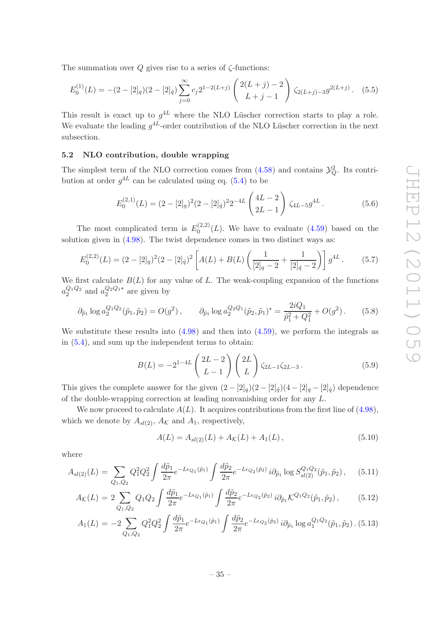The summation over  $Q$  gives rise to a series of  $\zeta$ -functions:

<span id="page-35-2"></span>
$$
E_0^{(1)}(L) = -(2 - [2]_q)(2 - [2]_q) \sum_{j=0}^{\infty} c_j 2^{1-2(L+j)} \left( \frac{2(L+j) - 2}{L+j-1} \right) \zeta_{2(L+j)-3} g^{2(L+j)}.
$$
 (5.5)

This result is exact up to  $g^{4L}$  where the NLO Lüscher correction starts to play a role. We evaluate the leading  $g^{4L}$ -order contribution of the NLO Lüscher correction in the next subsection.

#### <span id="page-35-0"></span>5.2 NLO contribution, double wrapping

The simplest term of the NLO correction comes from  $(4.58)$  and contains  $\mathcal{Y}_Q^2$ . Its contribution at order  $g^{4L}$  can be calculated using eq. [\(5.4\)](#page-34-2) to be

<span id="page-35-3"></span>
$$
E_0^{(2,1)}(L) = (2 - [2]_q)^2 (2 - [2]_{\dot{q}})^2 2^{-4L} \left( \frac{4L - 2}{2L - 1} \right) \zeta_{4L - 5} g^{4L}.
$$
 (5.6)

The most complicated term is  $E_0^{(2,2)}$  $0^{(2,2)}(L)$ . We have to evaluate  $(4.59)$  based on the solution given in [\(4.98\)](#page-33-3). The twist dependence comes in two distinct ways as:

<span id="page-35-4"></span>
$$
E_0^{(2,2)}(L) = (2 - [2]_q)^2 (2 - [2]_q)^2 \left[ A(L) + B(L) \left( \frac{1}{[2]_q - 2} + \frac{1}{[2]_q - 2} \right) \right] g^{4L}.
$$
 (5.7)

We first calculate  $B(L)$  for any value of L. The weak-coupling expansion of the functions  $a_2^{Q_1 Q_2}$  and  $a_2^{Q_2 Q_1*}$  are given by

$$
\partial_{\tilde{p}_1} \log a_2^{Q_1 Q_2}(\tilde{p}_1, \tilde{p}_2) = O(g^2), \qquad \partial_{\tilde{p}_1} \log a_2^{Q_2 Q_1}(\tilde{p}_2, \tilde{p}_1)^* = \frac{2iQ_1}{\tilde{p}_1^2 + Q_1^2} + O(g^2). \tag{5.8}
$$

We substitute these results into  $(4.98)$  and then into  $(4.59)$ , we perform the integrals as in [\(5.4\)](#page-34-2), and sum up the independent terms to obtain:

<span id="page-35-5"></span>
$$
B(L) = -2^{1-4L} \binom{2L-2}{L-1} \binom{2L}{L} \zeta_{2L-1} \zeta_{2L-3}.
$$
 (5.9)

This gives the complete answer for the given  $(2-[2]_q)(2-[2]_q)(4-[2]_q-[2]_q)$  dependence of the double-wrapping correction at leading nonvanishing order for any L.

We now proceed to calculate  $A(L)$ . It acquires contributions from the first line of [\(4.98\)](#page-33-3), which we denote by  $A_{sl(2)}$ ,  $A_{\mathcal{K}}$  and  $A_1$ , respectively,

$$
A(L) = A_{sl(2)}(L) + A_{\mathcal{K}}(L) + A_1(L), \qquad (5.10)
$$

where

<span id="page-35-1"></span>
$$
A_{sl(2)}(L) = \sum_{Q_1, Q_2} Q_1^2 Q_2^2 \int \frac{d\tilde{p}_1}{2\pi} e^{-L\epsilon_{Q_1}(\tilde{p}_1)} \int \frac{d\tilde{p}_2}{2\pi} e^{-L\epsilon_{Q_2}(\tilde{p}_2)} i \partial_{\tilde{p}_1} \log S_{sl(2)}^{Q_1 Q_2}(\tilde{p}_1, \tilde{p}_2), \quad (5.11)
$$

$$
A_{\mathcal{K}}(L) = 2 \sum_{Q_1, Q_2} Q_1 Q_2 \int \frac{d\tilde{p}_1}{2\pi} e^{-L\epsilon_{Q_1}(\tilde{p}_1)} \int \frac{d\tilde{p}_2}{2\pi} e^{-L\epsilon_{Q_2}(\tilde{p}_2)} i \partial_{\tilde{p}_1} \mathcal{K}^{Q_1 Q_2}(\tilde{p}_1, \tilde{p}_2), \qquad (5.12)
$$

$$
A_1(L) = -2 \sum_{Q_1, Q_2} Q_1^2 Q_2^2 \int \frac{d\tilde{p}_1}{2\pi} e^{-L\epsilon_{Q_1}(\tilde{p}_1)} \int \frac{d\tilde{p}_2}{2\pi} e^{-L\epsilon_{Q_2}(\tilde{p}_2)} i \partial_{\tilde{p}_1} \log a_1^{Q_1 Q_2}(\tilde{p}_1, \tilde{p}_2) .
$$
 (5.13)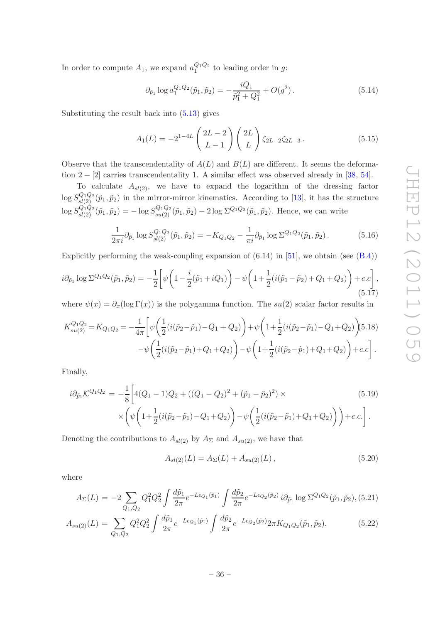In order to compute  $A_1$ , we expand  $a_1^{Q_1 Q_2}$  to leading order in g:

$$
\partial_{\tilde{p}_1} \log a_1^{Q_1 Q_2}(\tilde{p}_1, \tilde{p}_2) = -\frac{iQ_1}{\tilde{p}_1^2 + Q_1^2} + O(g^2).
$$
 (5.14)

Substituting the result back into [\(5.13\)](#page-35-1) gives

<span id="page-36-0"></span>
$$
A_1(L) = -2^{1-4L} \binom{2L-2}{L-1} \binom{2L}{L} \zeta_{2L-2} \zeta_{2L-3}.
$$
 (5.15)

Observe that the transcendentality of  $A(L)$  and  $B(L)$  are different. It seems the deformation  $2 - 2$  carries transcendentality 1. A similar effect was observed already in [\[38](#page-47-9), [54\]](#page-48-11).

To calculate  $A_{sl(2)}$ , we have to expand the logarithm of the dressing factor  $\log S_{sl(2)}^{Q_1Q_2}(\tilde{p}_1,\tilde{p}_2)$  in the mirror-mirror kinematics. According to [\[13\]](#page-46-13), it has the structure  $\log S_{sl(2)}^{Q_1 Q_2}(\tilde{p}_1, \tilde{p}_2) = -\log S_{su(2)}^{Q_1 Q_2}(\tilde{p}_1, \tilde{p}_2) - 2 \log \Sigma^{Q_1 Q_2}(\tilde{p}_1, \tilde{p}_2)$ . Hence, we can write

$$
\frac{1}{2\pi i}\partial_{\tilde{p}_1} \log S_{sl(2)}^{Q_1 Q_2}(\tilde{p}_1, \tilde{p}_2) = -K_{Q_1 Q_2} - \frac{1}{\pi i}\partial_{\tilde{p}_1} \log \Sigma^{Q_1 Q_2}(\tilde{p}_1, \tilde{p}_2).
$$
(5.16)

Explicitly performing the weak-coupling expansion of  $(6.14)$  in [\[51\]](#page-48-8), we obtain (see  $(B.4)$ )

$$
i\partial_{\tilde{p}_1} \log \Sigma^{Q_1 Q_2}(\tilde{p}_1, \tilde{p}_2) = -\frac{1}{2} \bigg[ \psi \bigg( 1 - \frac{i}{2} (\tilde{p}_1 + iQ_1) \bigg) - \psi \bigg( 1 + \frac{1}{2} (i(\tilde{p}_1 - \tilde{p}_2) + Q_1 + Q_2) \bigg) + c.c \bigg],
$$
\n(5.17)

where  $\psi(x) = \partial_x(\log \Gamma(x))$  is the polygamma function. The su(2) scalar factor results in

$$
K_{su(2)}^{Q_1Q_2} = K_{Q_1Q_2} = -\frac{1}{4\pi} \left[ \psi \left( \frac{1}{2} (i(\tilde{p}_2 - \tilde{p}_1) - Q_1 + Q_2) \right) + \psi \left( 1 + \frac{1}{2} (i(\tilde{p}_2 - \tilde{p}_1) - Q_1 + Q_2) \right) (5.18) - \psi \left( \frac{1}{2} (i(\tilde{p}_2 - \tilde{p}_1) + Q_1 + Q_2) \right) - \psi \left( 1 + \frac{1}{2} (i(\tilde{p}_2 - \tilde{p}_1) + Q_1 + Q_2) \right) + c.c \right].
$$

Finally,

$$
i\partial_{\tilde{p}_1} \mathcal{K}^{Q_1 Q_2} = -\frac{1}{8} \left[ 4(Q_1 - 1)Q_2 + ((Q_1 - Q_2)^2 + (\tilde{p}_1 - \tilde{p}_2)^2) \times \right] \times \left( \psi \left( 1 + \frac{1}{2} (i(\tilde{p}_2 - \tilde{p}_1) - Q_1 + Q_2) \right) - \psi \left( \frac{1}{2} (i(\tilde{p}_2 - \tilde{p}_1) + Q_1 + Q_2) \right) \right) + c.c. \right].
$$
\n(5.19)

Denoting the contributions to  $A_{sl(2)}$  by  $A_{\Sigma}$  and  $A_{su(2)}$ , we have that

$$
A_{sl(2)}(L) = A_{\Sigma}(L) + A_{su(2)}(L), \qquad (5.20)
$$

where

<span id="page-36-1"></span>
$$
A_{\Sigma}(L) = -2 \sum_{Q_1, Q_2} Q_1^2 Q_2^2 \int \frac{d\tilde{p}_1}{2\pi} e^{-L\epsilon_{Q_1}(\tilde{p}_1)} \int \frac{d\tilde{p}_2}{2\pi} e^{-L\epsilon_{Q_2}(\tilde{p}_2)} i \partial_{\tilde{p}_1} \log \Sigma^{Q_1 Q_2}(\tilde{p}_1, \tilde{p}_2), (5.21)
$$

$$
A_{su(2)}(L) = \sum_{Q_1, Q_2} Q_1^2 Q_2^2 \int \frac{d\tilde{p}_1}{2\pi} e^{-L\epsilon_{Q_1}(\tilde{p}_1)} \int \frac{d\tilde{p}_2}{2\pi} e^{-L\epsilon_{Q_2}(\tilde{p}_2)} 2\pi K_{Q_1 Q_2}(\tilde{p}_1, \tilde{p}_2).
$$
(5.22)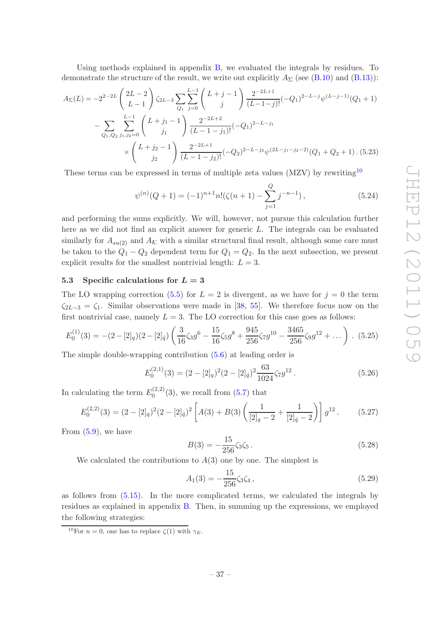Using methods explained in appendix [B,](#page-43-0) we evaluated the integrals by residues. To demonstrate the structure of the result, we write out explicitly  $A_{\Sigma}$  (see [\(B.10\)](#page-45-4) and [\(B.13\)](#page-45-5)):

<span id="page-37-3"></span>
$$
A_{\Sigma}(L) = -2^{2-2L} \binom{2L-2}{L-1} \zeta_{2L-3} \sum_{Q_1} \sum_{j=0}^{L-1} \binom{L+j-1}{j} \frac{2^{-2L+1}}{(L-1-j)!} (-Q_1)^{2-L-j} \psi^{(L-j-1)}(Q_1+1)
$$

$$
- \sum_{Q_1, Q_2} \sum_{j_1, j_2=0}^{L-1} \binom{L+j_1-1}{j_1} \frac{2^{-2L+2}}{(L-1-j_1)!} (-Q_1)^{2-L-j_1}
$$

$$
\times \binom{L+j_2-1}{j_2} \frac{2^{-2L+1}}{(L-1-j_2)!} (-Q_2)^{2-L-j_2} \psi^{(2L-j_1-j_2-2)}(Q_1+Q_2+1) \tag{5.23}
$$

These terms can be expressed in terms of multiple zeta values  $(MZV)$  by rewriting<sup>[10](#page-37-1)</sup>

<span id="page-37-2"></span>
$$
\psi^{(n)}(Q+1) = (-1)^{n+1} n! (\zeta(n+1) - \sum_{j=1}^{Q} j^{-n-1}), \qquad (5.24)
$$

and performing the sums explicitly. We will, however, not pursue this calculation further here as we did not find an explicit answer for generic L. The integrals can be evaluated similarly for  $A_{su(2)}$  and  $A_{\mathcal{K}}$  with a similar structural final result, although some care must be taken to the  $Q_1 - Q_2$  dependent term for  $Q_1 = Q_2$ . In the next subsection, we present explicit results for the smallest nontrivial length:  $L = 3$ .

## <span id="page-37-0"></span>5.3 Specific calculations for  $L = 3$

The LO wrapping correction [\(5.5\)](#page-35-2) for  $L = 2$  is divergent, as we have for  $j = 0$  the term  $\zeta_{2L-3} = \zeta_1$ . Similar observations were made in [\[38,](#page-47-9) [55](#page-48-12)]. We therefore focus now on the first nontrivial case, namely  $L = 3$ . The LO correction for this case goes as follows:

$$
E_0^{(1)}(3) = -(2 - [2]_q)(2 - [2]_{\dot{q}}) \left( \frac{3}{16} \zeta_3 g^6 - \frac{15}{16} \zeta_5 g^8 + \frac{945}{256} \zeta_7 g^{10} - \frac{3465}{256} \zeta_9 g^{12} + \dots \right) .
$$
 (5.25)

The simple double-wrapping contribution [\(5.6\)](#page-35-3) at leading order is

$$
E_0^{(2,1)}(3) = (2 - [2]_q)^2 (2 - [2]_{\dot{q}})^2 \frac{63}{1024} \zeta_7 g^{12}.
$$
 (5.26)

In calculating the term  $E_0^{(2,2)}$  $0^{(2,2)}(3)$ , we recall from  $(5.7)$  that

$$
E_0^{(2,2)}(3) = (2 - [2]_q)^2 (2 - [2]_q)^2 \left[ A(3) + B(3) \left( \frac{1}{[2]_q - 2} + \frac{1}{[2]_q - 2} \right) \right] g^{12}.
$$
 (5.27)

From  $(5.9)$ , we have

$$
B(3) = -\frac{15}{256}\zeta_3\zeta_5\,. \tag{5.28}
$$

We calculated the contributions to  $A(3)$  one by one. The simplest is

$$
A_1(3) = -\frac{15}{256}\zeta_3\zeta_4,\tag{5.29}
$$

as follows from [\(5.15\)](#page-36-0). In the more complicated terms, we calculated the integrals by residues as explained in appendix [B.](#page-43-0) Then, in summing up the expressions, we employed the following strategies:

<span id="page-37-1"></span><sup>&</sup>lt;sup>10</sup>For  $n = 0$ , one has to replace  $\zeta(1)$  with  $\gamma_E$ .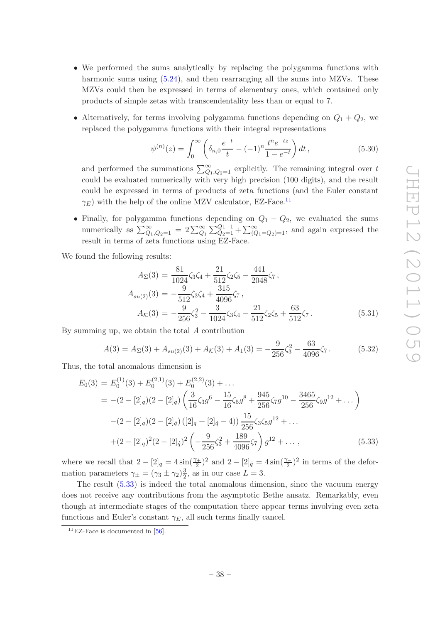- We performed the sums analytically by replacing the polygamma functions with harmonic sums using [\(5.24\)](#page-37-2), and then rearranging all the sums into MZVs. These MZVs could then be expressed in terms of elementary ones, which contained only products of simple zetas with transcendentality less than or equal to 7.
- Alternatively, for terms involving polygamma functions depending on  $Q_1 + Q_2$ , we replaced the polygamma functions with their integral representations

$$
\psi^{(n)}(z) = \int_0^\infty \left( \delta_{n,0} \frac{e^{-t}}{t} - (-1)^n \frac{t^n e^{-tz}}{1 - e^{-t}} \right) dt,
$$
\n(5.30)

and performed the summations  $\sum_{Q_1,Q_2=1}^{\infty}$  explicitly. The remaining integral over t could be evaluated numerically with very high precision (100 digits), and the result could be expressed in terms of products of zeta functions (and the Euler constant  $\gamma_E$ ) with the help of the online MZV calculator, EZ-Face.<sup>[11](#page-38-0)</sup>

• Finally, for polygamma functions depending on  $Q_1 - Q_2$ , we evaluated the sums numerically as  $\sum_{Q_1,Q_2=1}^{\infty} = 2 \sum_{Q_1}^{\infty} \sum_{Q_2=1}^{Q_1-1} + \sum_{Q_1=Q_2=1}^{\infty}$ , and again expressed the result in terms of zeta functions using EZ-Face.

We found the following results:

$$
A_{\Sigma}(3) = \frac{81}{1024}\zeta_3\zeta_4 + \frac{21}{512}\zeta_2\zeta_5 - \frac{441}{2048}\zeta_7,
$$
  
\n
$$
A_{su(2)}(3) = -\frac{9}{512}\zeta_3\zeta_4 + \frac{315}{4096}\zeta_7,
$$
  
\n
$$
A_{\mathcal{K}}(3) = -\frac{9}{256}\zeta_3^2 - \frac{3}{1024}\zeta_3\zeta_4 - \frac{21}{512}\zeta_2\zeta_5 + \frac{63}{512}\zeta_7.
$$
\n(5.31)

By summing up, we obtain the total  $A$  contribution

$$
A(3) = A_{\Sigma}(3) + A_{su(2)}(3) + A_{\mathcal{K}}(3) + A_1(3) = -\frac{9}{256}\zeta_3^2 - \frac{63}{4096}\zeta_7. \tag{5.32}
$$

Thus, the total anomalous dimension is

<span id="page-38-1"></span>
$$
E_0(3) = E_0^{(1)}(3) + E_0^{(2,1)}(3) + E_0^{(2,2)}(3) + \dots
$$
  
\n
$$
= -(2 - [2]_q)(2 - [2]_{\dot{q}}) \left( \frac{3}{16} \zeta_3 g^6 - \frac{15}{16} \zeta_5 g^8 + \frac{945}{256} \zeta_7 g^{10} - \frac{3465}{256} \zeta_9 g^{12} + \dots \right)
$$
  
\n
$$
- (2 - [2]_q)(2 - [2]_{\dot{q}}) ([2]_q + [2]_{\dot{q}} - 4)) \frac{15}{256} \zeta_3 \zeta_5 g^{12} + \dots
$$
  
\n
$$
+ (2 - [2]_q)^2 (2 - [2]_{\dot{q}})^2 \left( -\frac{9}{256} \zeta_3^2 + \frac{189}{4096} \zeta_7 \right) g^{12} + \dots,
$$
\n(5.33)

where we recall that  $2 - [2]_q = 4 \sin(\frac{\gamma_+}{2})^2$  and  $2 - [2]_q = 4 \sin(\frac{\gamma_-}{2})^2$  in terms of the deformation parameters  $\gamma_{\pm} = (\gamma_3 \pm \gamma_2)^{\frac{3}{2}}$  $\frac{3}{2}$ , as in our case  $L = 3$ .

The result [\(5.33\)](#page-38-1) is indeed the total anomalous dimension, since the vacuum energy does not receive any contributions from the asymptotic Bethe ansatz. Remarkably, even though at intermediate stages of the computation there appear terms involving even zeta functions and Euler's constant  $\gamma_E$ , all such terms finally cancel.

<span id="page-38-0"></span><sup>&</sup>lt;sup>11</sup>EZ-Face is documented in  $[56]$ .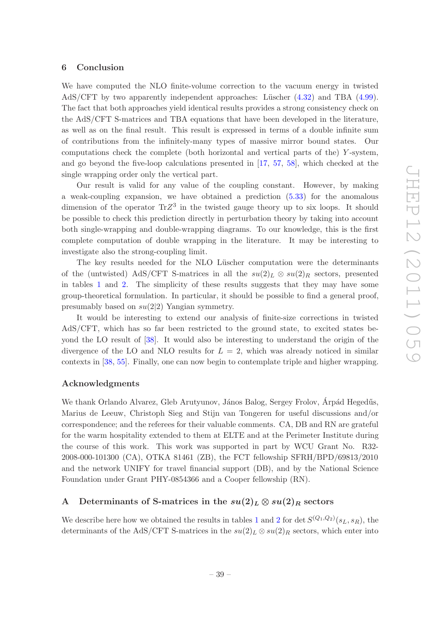#### <span id="page-39-0"></span>6 Conclusion

We have computed the NLO finite-volume correction to the vacuum energy in twisted AdS/CFT by two apparently independent approaches: Lüscher  $(4.32)$  and TBA  $(4.99)$ . The fact that both approaches yield identical results provides a strong consistency check on the AdS/CFT S-matrices and TBA equations that have been developed in the literature, as well as on the final result. This result is expressed in terms of a double infinite sum of contributions from the infinitely-many types of massive mirror bound states. Our computations check the complete (both horizontal and vertical parts of the) Y -system, and go beyond the five-loop calculations presented in [\[17](#page-46-14), [57](#page-48-14), [58\]](#page-48-15), which checked at the single wrapping order only the vertical part.

Our result is valid for any value of the coupling constant. However, by making a weak-coupling expansion, we have obtained a prediction [\(5.33\)](#page-38-1) for the anomalous dimension of the operator  $TrZ^3$  in the twisted gauge theory up to six loops. It should be possible to check this prediction directly in perturbation theory by taking into account both single-wrapping and double-wrapping diagrams. To our knowledge, this is the first complete computation of double wrapping in the literature. It may be interesting to investigate also the strong-coupling limit.

The key results needed for the NLO Lüscher computation were the determinants of the (untwisted) AdS/CFT S-matrices in all the  $su(2)<sub>L</sub> \otimes su(2)<sub>R</sub>$  sectors, presented in tables [1](#page-22-0) and [2.](#page-22-1) The simplicity of these results suggests that they may have some group-theoretical formulation. In particular, it should be possible to find a general proof, presumably based on  $su(2|2)$  Yangian symmetry.

It would be interesting to extend our analysis of finite-size corrections in twisted AdS/CFT, which has so far been restricted to the ground state, to excited states beyond the LO result of [\[38](#page-47-9)]. It would also be interesting to understand the origin of the divergence of the LO and NLO results for  $L = 2$ , which was already noticed in similar contexts in [\[38](#page-47-9), [55](#page-48-12)]. Finally, one can now begin to contemplate triple and higher wrapping.

## Acknowledgments

We thank Orlando Alvarez, Gleb Arutyunov, János Balog, Sergey Frolov, Árpád Hegedűs, Marius de Leeuw, Christoph Sieg and Stijn van Tongeren for useful discussions and/or correspondence; and the referees for their valuable comments. CA, DB and RN are grateful for the warm hospitality extended to them at ELTE and at the Perimeter Institute during the course of this work. This work was supported in part by WCU Grant No. R32- 2008-000-101300 (CA), OTKA 81461 (ZB), the FCT fellowship SFRH/BPD/69813/2010 and the network UNIFY for travel financial support (DB), and by the National Science Foundation under Grant PHY-0854366 and a Cooper fellowship (RN).

## <span id="page-39-1"></span>A Determinants of S-matrices in the  $su(2)_L \otimes su(2)_R$  sectors

We describe here how we obtained the results in tables [1](#page-22-0) and [2](#page-22-1) for det  $S^{(Q_1,Q_2)}(s_L,s_R)$ , the determinants of the AdS/CFT S-matrices in the  $su(2)_L \otimes su(2)_R$  sectors, which enter into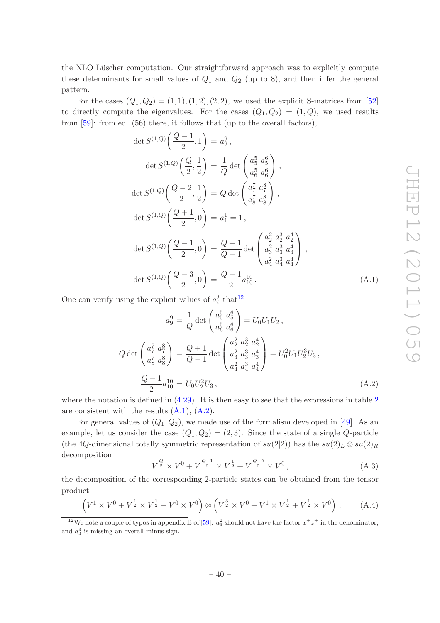the NLO Lüscher computation. Our straightforward approach was to explicitly compute these determinants for small values of  $Q_1$  and  $Q_2$  (up to 8), and then infer the general pattern.

For the cases  $(Q_1, Q_2) = (1, 1), (1, 2), (2, 2)$ , we used the explicit S-matrices from [\[52\]](#page-48-9) to directly compute the eigenvalues. For the cases  $(Q_1, Q_2) = (1, Q)$ , we used results from [\[59](#page-48-16)]: from eq. (56) there, it follows that (up to the overall factors),

<span id="page-40-1"></span>
$$
\det S^{(1,Q)}\left(\frac{Q-1}{2},1\right) = a_9^9,
$$
  
\n
$$
\det S^{(1,Q)}\left(\frac{Q}{2},\frac{1}{2}\right) = \frac{1}{Q} \det \begin{pmatrix} a_9^5 & a_9^6 \\ a_9^5 & a_9^6 \end{pmatrix},
$$
  
\n
$$
\det S^{(1,Q)}\left(\frac{Q-2}{2},\frac{1}{2}\right) = Q \det \begin{pmatrix} a_7^7 & a_7^8 \\ a_8^7 & a_8^8 \end{pmatrix},
$$
  
\n
$$
\det S^{(1,Q)}\left(\frac{Q+1}{2},0\right) = a_1^1 = 1,
$$
  
\n
$$
\det S^{(1,Q)}\left(\frac{Q-1}{2},0\right) = \frac{Q+1}{Q-1} \det \begin{pmatrix} a_2^2 & a_2^3 & a_2^4 \\ a_3^2 & a_3^3 & a_3^4 \\ a_4^2 & a_4^3 & a_4^4 \end{pmatrix},
$$
  
\n
$$
\det S^{(1,Q)}\left(\frac{Q-3}{2},0\right) = \frac{Q-1}{2} a_{10}^{10}.
$$
 (A.1)

One can verify using the explicit values of  $a_i^j$  $i$ <sup>that<sup>[12](#page-40-0)</sup></sup>

<span id="page-40-2"></span>
$$
a_9^9 = \frac{1}{Q} \det \begin{pmatrix} a_5^5 & a_5^6 \ a_6^5 & a_6^6 \end{pmatrix} = U_0 U_1 U_2 ,
$$
  
\n
$$
Q \det \begin{pmatrix} a_7^7 & a_7^8 \ a_8^7 & a_8^8 \end{pmatrix} = \frac{Q+1}{Q-1} \det \begin{pmatrix} a_2^2 & a_2^3 & a_2^4 \ a_3^2 & a_3^3 & a_3^4 \ a_4^2 & a_4^3 & a_4^4 \end{pmatrix} = U_0^2 U_1 U_2^3 U_3 ,
$$
  
\n
$$
\frac{Q-1}{2} a_{10}^{10} = U_0 U_2^2 U_3 ,
$$
\n(A.2)

where the notation is defined in  $(4.29)$  $(4.29)$  $(4.29)$ . It is then easy to see that the expressions in table 2 are consistent with the results  $(A.1)$ ,  $(A.2)$ .

For general values of  $(Q_1, Q_2)$ , we made use of the formalism developed in [\[49\]](#page-48-6). As an example, let us consider the case  $(Q_1, Q_2) = (2, 3)$ . Since the state of a single Q-particle (the 4Q-dimensional totally symmetric representation of  $su(2|2)$ ) has the  $su(2)_L \otimes su(2)_R$ decomposition

<span id="page-40-4"></span>
$$
V^{\frac{Q}{2}} \times V^0 + V^{\frac{Q-1}{2}} \times V^{\frac{1}{2}} + V^{\frac{Q-2}{2}} \times V^0, \tag{A.3}
$$

the decomposition of the corresponding 2-particle states can be obtained from the tensor product

<span id="page-40-3"></span>
$$
\left(V^{1} \times V^{0} + V^{\frac{1}{2}} \times V^{\frac{1}{2}} + V^{0} \times V^{0}\right) \otimes \left(V^{\frac{3}{2}} \times V^{0} + V^{1} \times V^{\frac{1}{2}} + V^{\frac{1}{2}} \times V^{0}\right), \quad (A.4)
$$

<span id="page-40-0"></span><sup>&</sup>lt;sup>12</sup>We note a couple of typos in appendix B of [\[59](#page-48-16)]:  $a_3^2$  should not have the factor  $x^+z^+$  in the denominator; and  $a_3^3$  is missing an overall minus sign.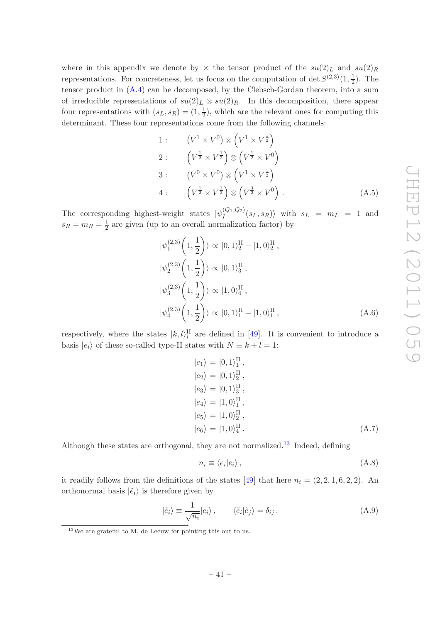where in this appendix we denote by  $\times$  the tensor product of the  $su(2)_L$  and  $su(2)_R$ representations. For concreteness, let us focus on the computation of det  $S^{(2,3)}(1, \frac{1}{2})$  $(\frac{1}{2})$ . The tensor product in [\(A.4\)](#page-40-3) can be decomposed, by the Clebsch-Gordan theorem, into a sum of irreducible representations of  $su(2)_L \otimes su(2)_R$ . In this decomposition, there appear four representations with  $(s_L, s_R) = (1, \frac{1}{2})$  $\frac{1}{2}$ , which are the relevant ones for computing this determinant. These four representations come from the following channels:

<span id="page-41-2"></span>1: 
$$
(V^1 \times V^0) \otimes (V^1 \times V^{\frac{1}{2}})
$$
  
\n2: 
$$
(V^{\frac{1}{2}} \times V^{\frac{1}{2}}) \otimes (V^{\frac{1}{2}} \times V^0)
$$
  
\n3: 
$$
(V^0 \times V^0) \otimes (V^1 \times V^{\frac{1}{2}})
$$
  
\n4: 
$$
(V^{\frac{1}{2}} \times V^{\frac{1}{2}}) \otimes (V^{\frac{3}{2}} \times V^0)
$$
 (A.5)

The corresponding highest-weight states  $|\psi_I^{(Q_1,Q_2)}\rangle$  $I_I^{(Q_1,Q_2)}(s_L,s_R)$  with  $s_L = m_L = 1$  and  $s_R = m_R = \frac{1}{2}$  $\frac{1}{2}$  are given (up to an overall normalization factor) by

<span id="page-41-1"></span>
$$
|\psi_1^{(2,3)}(1,\frac{1}{2})\rangle \propto |0,1\rangle_2^{\text{II}} - |1,0\rangle_2^{\text{II}},
$$
  

$$
|\psi_2^{(2,3)}(1,\frac{1}{2})\rangle \propto |0,1\rangle_3^{\text{II}},
$$
  

$$
|\psi_3^{(2,3)}(1,\frac{1}{2})\rangle \propto |1,0\rangle_4^{\text{II}},
$$
  

$$
|\psi_4^{(2,3)}(1,\frac{1}{2})\rangle \propto |0,1\rangle_1^{\text{II}} - |1,0\rangle_1^{\text{II}},
$$
 (A.6)

respectively, where the states  $|k,l\rangle_i^{\text{II}}$  are defined in [\[49](#page-48-6)]. It is convenient to introduce a basis  $|e_i\rangle$  of these so-called type-II states with  $N \equiv k + l = 1$ :

$$
|e_1\rangle = |0, 1\rangle_1^{\text{II}},
$$
  
\n
$$
|e_2\rangle = |0, 1\rangle_2^{\text{II}},
$$
  
\n
$$
|e_3\rangle = |0, 1\rangle_3^{\text{II}},
$$
  
\n
$$
|e_4\rangle = |1, 0\rangle_1^{\text{II}},
$$
  
\n
$$
|e_5\rangle = |1, 0\rangle_2^{\text{II}},
$$
  
\n
$$
|e_6\rangle = |1, 0\rangle_4^{\text{II}}.
$$
  
\n(A.7)

Although these states are orthogonal, they are not normalized.<sup>[13](#page-41-0)</sup> Indeed, defining

$$
n_i \equiv \langle e_i | e_i \rangle \,, \tag{A.8}
$$

it readily follows from the definitions of the states [\[49\]](#page-48-6) that here  $n_i = (2, 2, 1, 6, 2, 2)$ . An orthonormal basis  $|\tilde{e}_i\rangle$  is therefore given by

$$
|\tilde{e}_i\rangle \equiv \frac{1}{\sqrt{n_i}}|e_i\rangle, \qquad \langle \tilde{e}_i|\tilde{e}_j\rangle = \delta_{ij}.
$$
 (A.9)

<span id="page-41-0"></span><sup>13</sup>We are grateful to M. de Leeuw for pointing this out to us.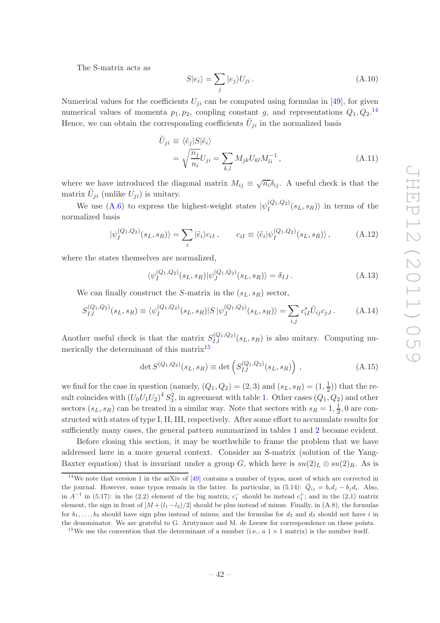The S-matrix acts as

$$
S|e_i\rangle = \sum_j |e_j\rangle U_{ji}.
$$
\n(A.10)

Numerical values for the coefficients  $U_{ji}$  can be computed using formulas in [\[49\]](#page-48-6), for given numerical values of momenta  $p_1, p_2$ , coupling constant g, and representations  $Q_1, Q_2$ .<sup>[14](#page-42-0)</sup> Hence, we can obtain the corresponding coefficients  $\tilde{U}_{ji}$  in the normalized basis

$$
\tilde{U}_{ji} \equiv \langle \tilde{e}_j | S | \tilde{e}_i \rangle
$$
\n
$$
= \sqrt{\frac{n_j}{n_i}} U_{ji} = \sum_{k,l} M_{jk} U_{kl} M_{li}^{-1},
$$
\n(A.11)

where we have introduced the diagonal matrix  $M_{ij} \equiv \sqrt{n_i} \delta_{ij}$ . A useful check is that the matrix  $\tilde{U}_{ji}$  (unlike  $U_{ji}$ ) is unitary.

We use [\(A.6\)](#page-41-1) to express the highest-weight states  $|\psi_I^{(Q_1,Q_2)}|$  $I_I^{(Q_1,Q_2)}(s_L,s_R)$  in terms of the normalized basis

$$
|\psi_I^{(Q_1, Q_2)}(s_L, s_R)\rangle = \sum_i |\tilde{e}_i\rangle c_{iI}, \qquad c_{iI} \equiv \langle \tilde{e}_i | \psi_I^{(Q_1, Q_2)}(s_L, s_R) \rangle, \tag{A.12}
$$

where the states themselves are normalized,

$$
\langle \psi_I^{(Q_1, Q_2)}(s_L, s_R) | \psi_J^{(Q_1, Q_2)}(s_L, s_R) \rangle = \delta_{IJ} \,. \tag{A.13}
$$

We can finally construct the S-matrix in the  $(s_L, s_R)$  sector,

<span id="page-42-2"></span>
$$
S_{IJ}^{(Q_1,Q_2)}(s_L,s_R) \equiv \langle \psi_I^{(Q_1,Q_2)}(s_L,s_R) | S | \psi_J^{(Q_1,Q_2)}(s_L,s_R) \rangle = \sum_{i,j} c_{iI}^* \tilde{U}_{ij} c_{jJ} . \tag{A.14}
$$

Another useful check is that the matrix  $S_{IJ}^{(Q_1,Q_2)}(s_L,s_R)$  is also unitary. Computing nu-merically the determinant of this matrix<sup>[15](#page-42-1)</sup>

$$
\det S^{(Q_1, Q_2)}(s_L, s_R) \equiv \det \left( S_{IJ}^{(Q_1, Q_2)}(s_L, s_R) \right) , \qquad (A.15)
$$

we find for the case in question (namely,  $(Q_1, Q_2) = (2, 3)$  and  $(s_L, s_R) = (1, \frac{1}{2})$ ) that the re-2 sult coincides with  $(U_0U_1U_2)^4 S_3^2$ , in agreement with table [1.](#page-22-0) Other cases  $(Q_1, Q_2)$  and other sectors  $(s_L, s_R)$  can be treated in a similar way. Note that sectors with  $s_R = 1, \frac{1}{2}$  $\frac{1}{2}$ , 0 are constructed with states of type I, II, III, respectively. After some effort to accumulate results for sufficiently many cases, the general pattern summarized in tables [1](#page-22-0) and [2](#page-22-1) became evident.

Before closing this section, it may be worthwhile to frame the problem that we have addressed here in a more general context. Consider an S-matrix (solution of the Yang-Baxter equation) that is invariant under a group G, which here is  $su(2)_L \otimes su(2)_R$ . As is

<span id="page-42-0"></span> $14$ We note that version 1 in the arXiv of [\[49](#page-48-6)] contains a number of typos, most of which are corrected in the journal. However, some typos remain in the latter. In particular, in (5.14):  $\overline{Q}_{ij} = b_i d_j - b_j d_i$ . Also, in  $A^{-1}$  in (5.17): in the (2,2) element of the big matrix,  $c_1^-$  should be instead  $c_1^+$ ; and in the (2,1) matrix element, the sign in front of  $[M + (l_1 - l_2)/2]$  should be plus instead of minus. Finally, in (A.8), the formulas for  $b_1, \ldots, b_4$  should have sign plus instead of minus; and the formulas for  $d_2$  and  $d_3$  should not have i in the denominator. We are grateful to G. Arutyunov and M. de Leeuw for correspondence on these points.

<span id="page-42-1"></span><sup>&</sup>lt;sup>15</sup>We use the convention that the determinant of a number (i.e., a  $1 \times 1$  matrix) is the number itself.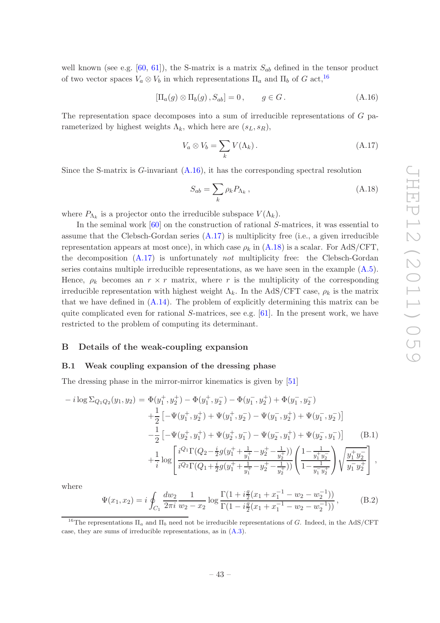well known (see e.g.  $[60, 61]$  $[60, 61]$ ), the S-matrix is a matrix  $S_{ab}$  defined in the tensor product of two vector spaces  $V_a \otimes V_b$  in which representations  $\Pi_a$  and  $\Pi_b$  of G act,<sup>[16](#page-43-2)</sup>

<span id="page-43-3"></span>
$$
[\Pi_a(g) \otimes \Pi_b(g), S_{ab}] = 0, \qquad g \in G. \tag{A.16}
$$

The representation space decomposes into a sum of irreducible representations of G parameterized by highest weights  $\Lambda_k$ , which here are  $(s_L, s_R)$ ,

<span id="page-43-4"></span>
$$
V_a \otimes V_b = \sum_k V(\Lambda_k). \tag{A.17}
$$

Since the S-matrix is  $G$ -invariant  $(A.16)$ , it has the corresponding spectral resolution

<span id="page-43-5"></span>
$$
S_{ab} = \sum_{k} \rho_k P_{\Lambda_k} \,, \tag{A.18}
$$

where  $P_{\Lambda_k}$  is a projector onto the irreducible subspace  $V(\Lambda_k)$ .

In the seminal work  $[60]$  on the construction of rational S-matrices, it was essential to assume that the Clebsch-Gordan series  $(A.17)$  is multiplicity free (i.e., a given irreducible representation appears at most once), in which case  $\rho_k$  in  $(A.18)$  is a scalar. For AdS/CFT, the decomposition  $(A.17)$  is unfortunately not multiplicity free: the Clebsch-Gordan series contains multiple irreducible representations, as we have seen in the example  $(A.5)$ . Hence,  $\rho_k$  becomes an  $r \times r$  matrix, where r is the multiplicity of the corresponding irreducible representation with highest weight  $\Lambda_k$ . In the AdS/CFT case,  $\rho_k$  is the matrix that we have defined in  $(A.14)$ . The problem of explicitly determining this matrix can be quite complicated even for rational S-matrices, see e.g.  $[61]$ . In the present work, we have restricted to the problem of computing its determinant.

## <span id="page-43-1"></span><span id="page-43-0"></span>B Details of the weak-coupling expansion

#### B.1 Weak coupling expansion of the dressing phase

The dressing phase in the mirror-mirror kinematics is given by [\[51](#page-48-8)]

$$
-i \log \Sigma_{Q_1Q_2}(y_1, y_2) = \Phi(y_1^+, y_2^+) - \Phi(y_1^+, y_2^-) - \Phi(y_1^-, y_2^+) + \Phi(y_1^-, y_2^-)
$$
  

$$
+ \frac{1}{2} \left[ -\Psi(y_1^+, y_2^+) + \Psi(y_1^+, y_2^-) - \Psi(y_1^-, y_2^+) + \Psi(y_1^-, y_2^-) \right]
$$
  

$$
- \frac{1}{2} \left[ -\Psi(y_2^+, y_1^+) + \Psi(y_2^+, y_1^-) - \Psi(y_2^-, y_1^+) + \Psi(y_2^-, y_1^-) \right]
$$
(B.1)  

$$
+ \frac{1}{i} \log \left[ \frac{i^{Q_1} \Gamma(Q_2 - \frac{i}{2} g(y_1^+ + \frac{1}{y_1^+} - y_2^+ - \frac{1}{y_2^+}))}{i^{Q_2} \Gamma(Q_1 + \frac{i}{2} g(y_1^+ + \frac{1}{y_1^+} - y_2^+ - \frac{1}{y_2^+}))} \left( \frac{1 - \frac{1}{y_1^+ y_2^-}}{1 - \frac{1}{y_1^- y_2^+}} \right) \sqrt{\frac{y_1^+ y_2^-}{y_1^- y_2^+}} \right],
$$

where

<span id="page-43-6"></span>
$$
\Psi(x_1, x_2) = i \oint_{C_1} \frac{dw_2}{2\pi i} \frac{1}{w_2 - x_2} \log \frac{\Gamma(1 + i\frac{g}{2}(x_1 + x_1^{-1} - w_2 - w_2^{-1}))}{\Gamma(1 - i\frac{g}{2}(x_1 + x_1^{-1} - w_2 - w_2^{-1}))},
$$
(B.2)

<span id="page-43-2"></span><sup>&</sup>lt;sup>16</sup>The representations  $\Pi_a$  and  $\Pi_b$  need not be irreducible representations of G. Indeed, in the AdS/CFT case, they are sums of irreducible representations, as in [\(A.3\)](#page-40-4).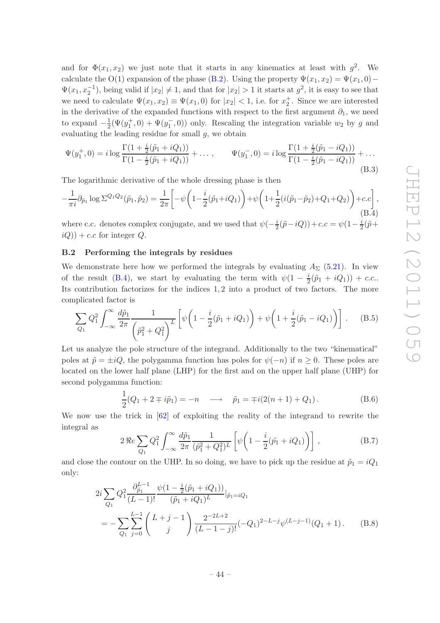JHEP12 (2011) 059 JHEP12(2011)059

and for  $\Phi(x_1, x_2)$  we just note that it starts in any kinematics at least with  $g^2$ . We calculate the O(1) expansion of the phase [\(B.2\)](#page-43-6). Using the property  $\Psi(x_1,x_2) = \Psi(x_1,0)$  –  $\Psi(x_1, x_2^{-1})$ , being valid if  $|x_2| \neq 1$ , and that for  $|x_2| > 1$  it starts at  $g^2$ , it is easy to see that we need to calculate  $\Psi(x_1, x_2) \equiv \Psi(x_1, 0)$  for  $|x_2| < 1$ , i.e. for  $x_2^+$ . Since we are interested in the derivative of the expanded functions with respect to the first argument  $\partial_1$ , we need to expand  $-\frac{1}{2}$  $\frac{1}{2}(\Psi(y_1^+,0) + \Psi(y_1^-,0))$  only. Rescaling the integration variable  $w_2$  by g and evaluating the leading residue for small  $q$ , we obtain

$$
\Psi(y_1^+,0) = i \log \frac{\Gamma(1 + \frac{i}{2}(\tilde{p}_1 + iQ_1))}{\Gamma(1 - \frac{i}{2}(\tilde{p}_1 + iQ_1))} + \dots, \qquad \Psi(y_1^-,0) = i \log \frac{\Gamma(1 + \frac{i}{2}(\tilde{p}_1 - iQ_1))}{\Gamma(1 - \frac{i}{2}(\tilde{p}_1 - iQ_1))} + \dots
$$
\n(B.3)

The logarithmic derivative of the whole dressing phase is then

<span id="page-44-1"></span>
$$
-\frac{1}{\pi i}\partial_{\tilde{p}_1} \log \Sigma^{Q_1 Q_2}(\tilde{p}_1, \tilde{p}_2) = \frac{1}{2\pi} \left[ -\psi \left( 1 - \frac{i}{2} (\tilde{p}_1 + iQ_1) \right) + \psi \left( 1 + \frac{1}{2} (i(\tilde{p}_1 - \tilde{p}_2) + Q_1 + Q_2) \right) + c.c \right],
$$
\n(B.4)

where c.c. denotes complex conjugate, and we used that  $\psi(-\frac{i}{2})$  $\frac{i}{2}(\tilde{p}-iQ)$ ) + c.c =  $\psi(1-\frac{i}{2})$  $rac{i}{2}(\tilde{p} +$  $i(Q)$ ) + c.c for integer Q.

#### <span id="page-44-0"></span>B.2 Performing the integrals by residues

We demonstrate here how we performed the integrals by evaluating  $A_{\Sigma}$  [\(5.21\)](#page-36-1). In view of the result [\(B.4\)](#page-44-1), we start by evaluating the term with  $\psi(1-\frac{i}{2})$  $\frac{i}{2}(\tilde{p}_1 + iQ_1) + c.c..$ Its contribution factorizes for the indices  $1, 2$  into a product of two factors. The more complicated factor is

$$
\sum_{Q_1} Q_1^2 \int_{-\infty}^{\infty} \frac{d\tilde{p}_1}{2\pi} \frac{1}{\left(\tilde{p}_1^2 + Q_1^2\right)^L} \left[ \psi \left(1 - \frac{i}{2} (\tilde{p}_1 + i Q_1) \right) + \psi \left(1 + \frac{i}{2} (\tilde{p}_1 - i Q_1) \right) \right]. \tag{B.5}
$$

Let us analyze the pole structure of the integrand. Additionally to the two "kinematical" poles at  $\tilde{p} = \pm iQ$ , the polygamma function has poles for  $\psi(-n)$  if  $n \geq 0$ . These poles are located on the lower half plane (LHP) for the first and on the upper half plane (UHP) for second polygamma function:

$$
\frac{1}{2}(Q_1 + 2 \mp i\tilde{p}_1) = -n \quad \longrightarrow \quad \tilde{p}_1 = \mp i(2(n+1) + Q_1).
$$
 (B.6)

We now use the trick in [\[62](#page-48-19)] of exploiting the reality of the integrand to rewrite the integral as

$$
2\Re e \sum_{Q_1} Q_1^2 \int_{-\infty}^{\infty} \frac{d\tilde{p}_1}{2\pi} \frac{1}{(\tilde{p}_1^2 + Q_1^2)^L} \left[ \psi \left( 1 - \frac{i}{2} (\tilde{p}_1 + i Q_1) \right) \right], \tag{B.7}
$$

and close the contour on the UHP. In so doing, we have to pick up the residue at  $\tilde{p}_1 = iQ_1$ only:

$$
2i\sum_{Q_1} Q_1^2 \frac{\partial_{\tilde{p}_1}^{L-1}}{(L-1)!} \frac{\psi(1-\frac{i}{2}(\tilde{p}_1+iQ_1))}{(\tilde{p}_1+iQ_1)^L}|_{\tilde{p}_1=iQ_1}
$$
  
= 
$$
-\sum_{Q_1} \sum_{j=0}^{L-1} \binom{L+j-1}{j} \frac{2^{-2L+2}}{(L-1-j)!} (-Q_1)^{2-L-j} \psi^{(L-j-1)}(Q_1+1).
$$
 (B.8)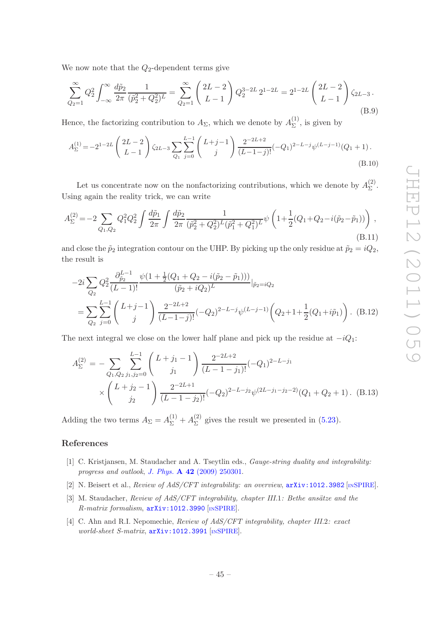We now note that the  $Q_2$ -dependent terms give

$$
\sum_{Q_2=1}^{\infty} Q_2^2 \int_{-\infty}^{\infty} \frac{d\tilde{p}_2}{2\pi} \frac{1}{(\tilde{p}_2^2 + Q_2^2)^L} = \sum_{Q_2=1}^{\infty} \binom{2L-2}{L-1} Q_2^{3-2L} 2^{1-2L} = 2^{1-2L} \binom{2L-2}{L-1} \zeta_{2L-3}.
$$
\n(B.9)

Hence, the factorizing contribution to  $A_{\Sigma}$ , which we denote by  $A_{\Sigma}^{(1)}$  $\sum_{i=1}^{N}$ , is given by

<span id="page-45-4"></span>
$$
A_{\Sigma}^{(1)} = -2^{1-2L} \begin{pmatrix} 2L-2 \ L-1 \end{pmatrix} \zeta_{2L-3} \sum_{Q_1} \sum_{j=0}^{L-1} \begin{pmatrix} L+j-1 \ j \end{pmatrix} \frac{2^{-2L+2}}{(L-1-j)!} (-Q_1)^{2-L-j} \psi^{(L-j-1)}(Q_1+1).
$$
\n(B.10)

Let us concentrate now on the nonfactorizing contributions, which we denote by  $A_{\Sigma}^{(2)}$  $\sum^{\left( 2\right) }$ Using again the reality trick, we can write

$$
A_{\Sigma}^{(2)} = -2 \sum_{Q_1, Q_2} Q_1^2 Q_2^2 \int \frac{d\tilde{p}_1}{2\pi} \int \frac{d\tilde{p}_2}{2\pi} \frac{1}{(\tilde{p}_2^2 + Q_2^2)^L (\tilde{p}_1^2 + Q_1^2)^L} \psi \left( 1 + \frac{1}{2} (Q_1 + Q_2 - i(\tilde{p}_2 - \tilde{p}_1)) \right),
$$
\n(B.11)

and close the  $\tilde{p}_2$  integration contour on the UHP. By picking up the only residue at  $\tilde{p}_2 = iQ_2$ , the result is

$$
-2i\sum_{Q_2} Q_2^2 \frac{\partial_{\tilde{p}_2}^{L-1}}{(L-1)!} \frac{\psi(1+\frac{1}{2}(Q_1+Q_2-i(\tilde{p}_2-\tilde{p}_1)))}{(\tilde{p}_2+iQ_2)^L}|_{\tilde{p}_2=iQ_2}
$$
  
=
$$
\sum_{Q_2} \sum_{j=0}^{L-1} {L+j-1 \choose j} \frac{2^{-2L+2}}{(L-1-j)!} (-Q_2)^{2-L-j} \psi^{(L-j-1)} \left(Q_2+1+\frac{1}{2}(Q_1+i\tilde{p}_1)\right).
$$
 (B.12)

The next integral we close on the lower half plane and pick up the residue at  $-iQ_1$ :

<span id="page-45-5"></span>
$$
A_{\Sigma}^{(2)} = -\sum_{Q_1, Q_2} \sum_{j_1, j_2=0}^{L-1} \binom{L+j_1-1}{j_1} \frac{2^{-2L+2}}{(L-1-j_1)!} (-Q_1)^{2-L-j_1} \times \binom{L+j_2-1}{j_2} \frac{2^{-2L+1}}{(L-1-j_2)!} (-Q_2)^{2-L-j_2} \psi^{(2L-j_1-j_2-2)}(Q_1+Q_2+1). \tag{B.13}
$$

Adding the two terms  $A_{\Sigma} = A_{\Sigma}^{(1)} + A_{\Sigma}^{(2)}$  $_{\Sigma}^{(2)}$  gives the result we presented in  $(5.23)$ .

## References

- <span id="page-45-0"></span>[1] C. Kristjansen, M. Staudacher and A. Tseytlin eds., Gauge-string duality and integrability: progress and outlook, J. Phys. A 42 [\(2009\) 250301.](http://dx.doi.org/10.1088/1751-8121/42/25/250301)
- <span id="page-45-1"></span>[2] N. Beisert et al., *Review of AdS/CFT integrability: an overview*,  $\arXiv:1012.3982$  $\arXiv:1012.3982$  [IN[SPIRE](http://inspirehep.net/search?p=find+EPRINT+arXiv:1012.3982)].
- <span id="page-45-2"></span>[3] M. Staudacher, Review of  $AdS/CFT$  integrability, chapter III.1: Bethe ansätze and the R-matrix formalism, [arXiv:1012.3990](http://arxiv.org/abs/1012.3990) [IN[SPIRE](http://inspirehep.net/search?p=find+EPRINT+arXiv:1012.3990)].
- <span id="page-45-3"></span>[4] C. Ahn and R.I. Nepomechie, Review of AdS/CFT integrability, chapter III.2: exact world-sheet S-matrix,  $arXiv:1012.3991$  [IN[SPIRE](http://inspirehep.net/search?p=find+EPRINT+arXiv:1012.3991)].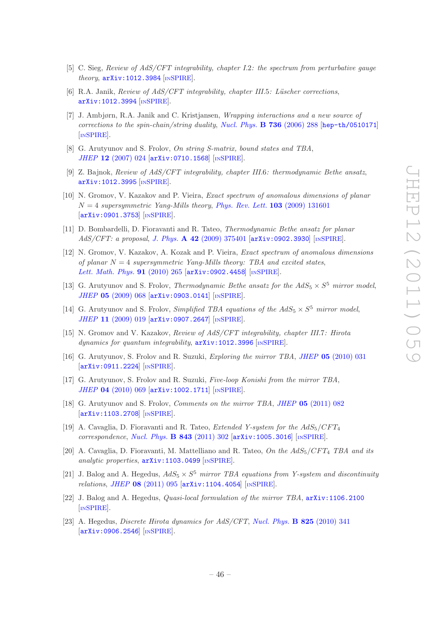- <span id="page-46-0"></span>[5] C. Sieg, Review of AdS/CFT integrability, chapter I.2: the spectrum from perturbative gauge theory,  $arXiv:1012.3984$  [IN[SPIRE](http://inspirehep.net/search?p=find+EPRINT+arXiv:1012.3984)].
- <span id="page-46-1"></span>[6] R.A. Janik, Review of  $AdS/CFT$  integrability, chapter III.5: Lüscher corrections, [arXiv:1012.3994](http://arxiv.org/abs/1012.3994) [IN[SPIRE](http://inspirehep.net/search?p=find+EPRINT+arXiv:1012.3994)].
- <span id="page-46-2"></span>[7] J. Ambjørn, R.A. Janik and C. Kristjansen, Wrapping interactions and a new source of corrections to the spin-chain/string duality, [Nucl. Phys.](http://dx.doi.org/10.1016/j.nuclphysb.2005.12.007) **B 736** (2006) 288 [[hep-th/0510171](http://arxiv.org/abs/hep-th/0510171)] [IN[SPIRE](http://inspirehep.net/search?p=find+EPRINT+hep-th/0510171)].
- [8] G. Arutyunov and S. Frolov, On string S-matrix, bound states and TBA, JHEP 12 [\(2007\) 024](http://dx.doi.org/10.1088/1126-6708/2007/12/024) [[arXiv:0710.1568](http://arxiv.org/abs/0710.1568)] [IN[SPIRE](http://inspirehep.net/search?p=find+EPRINT+arXiv:0710.1568)].
- [9] Z. Bajnok, Review of AdS/CFT integrability, chapter III.6: thermodynamic Bethe ansatz, [arXiv:1012.3995](http://arxiv.org/abs/1012.3995) [IN[SPIRE](http://inspirehep.net/search?p=find+EPRINT+arXiv:1012.3995)].
- <span id="page-46-11"></span>[10] N. Gromov, V. Kazakov and P. Vieira, Exact spectrum of anomalous dimensions of planar  $N = 4$  supersymmetric Yang-Mills theory, [Phys. Rev. Lett.](http://dx.doi.org/10.1103/PhysRevLett.103.131601) 103 (2009) 131601 [[arXiv:0901.3753](http://arxiv.org/abs/0901.3753)] [IN[SPIRE](http://inspirehep.net/search?p=find+EPRINT+arXiv:0901.3753)].
- <span id="page-46-12"></span>[11] D. Bombardelli, D. Fioravanti and R. Tateo, Thermodynamic Bethe ansatz for planar AdS/CFT: a proposal, J. Phys. A 42 [\(2009\) 375401](http://dx.doi.org/10.1088/1751-8113/42/37/375401) [[arXiv:0902.3930](http://arxiv.org/abs/0902.3930)] [IN[SPIRE](http://inspirehep.net/search?p=find+EPRINT+arXiv:0902.3930)].
- [12] N. Gromov, V. Kazakov, A. Kozak and P. Vieira, Exact spectrum of anomalous dimensions of planar  $N = 4$  supersymmetric Yang-Mills theory: TBA and excited states, [Lett. Math. Phys.](http://dx.doi.org/10.1007/s11005-010-0374-8) 91 (2010) 265 [[arXiv:0902.4458](http://arxiv.org/abs/0902.4458)] [IN[SPIRE](http://inspirehep.net/search?p=find+EPRINT+arXiv:0902.4458)].
- <span id="page-46-13"></span>[13] G. Arutyunov and S. Frolov, *Thermodynamic Bethe ansatz for the AdS*<sub>5</sub>  $\times$  S<sup>5</sup> mirror model, JHEP 05 [\(2009\) 068](http://dx.doi.org/10.1088/1126-6708/2009/05/068) [[arXiv:0903.0141](http://arxiv.org/abs/0903.0141)] [IN[SPIRE](http://inspirehep.net/search?p=find+EPRINT+arXiv:0903.0141)].
- <span id="page-46-3"></span>[14] G. Arutyunov and S. Frolov, *Simplified TBA equations of the AdS*<sub>5</sub>  $\times$  *S*<sup>5</sup> *mirror model*, JHEP 11 [\(2009\) 019](http://dx.doi.org/10.1088/1126-6708/2009/11/019) [[arXiv:0907.2647](http://arxiv.org/abs/0907.2647)] [IN[SPIRE](http://inspirehep.net/search?p=find+EPRINT+arXiv:0907.2647)].
- <span id="page-46-4"></span>[15] N. Gromov and V. Kazakov, Review of AdS/CFT integrability, chapter III.7: Hirota dynamics for quantum integrability,  $arXiv:1012.3996$  [IN[SPIRE](http://inspirehep.net/search?p=find+EPRINT+arXiv:1012.3996)].
- <span id="page-46-5"></span>[16] G. Arutyunov, S. Frolov and R. Suzuki, Exploring the mirror TBA, JHEP 05 [\(2010\) 031](http://dx.doi.org/10.1007/JHEP05(2010)031) [[arXiv:0911.2224](http://arxiv.org/abs/0911.2224)] [IN[SPIRE](http://inspirehep.net/search?p=find+EPRINT+arXiv:0911.2224)].
- <span id="page-46-14"></span>[17] G. Arutyunov, S. Frolov and R. Suzuki, Five-loop Konishi from the mirror TBA, JHEP 04  $(2010)$  069  $\text{arXiv:1002.1711}$  $\text{arXiv:1002.1711}$  $\text{arXiv:1002.1711}$   $\text{lnSPIRE}$  $\text{lnSPIRE}$  $\text{lnSPIRE}$ .
- <span id="page-46-6"></span>[18] G. Arutyunov and S. Frolov, Comments on the mirror TBA, JHEP 05 [\(2011\) 082](http://dx.doi.org/10.1007/JHEP05(2011)082) [[arXiv:1103.2708](http://arxiv.org/abs/1103.2708)] [IN[SPIRE](http://inspirehep.net/search?p=find+EPRINT+arXiv:1103.2708)].
- <span id="page-46-7"></span>[19] A. Cavaglia, D. Fioravanti and R. Tateo, *Extended Y-system for the*  $AdS_5/CFT_4$ correspondence, [Nucl. Phys.](http://dx.doi.org/10.1016/j.nuclphysb.2010.09.015) B 843 (2011) 302 [[arXiv:1005.3016](http://arxiv.org/abs/1005.3016)] [IN[SPIRE](http://inspirehep.net/search?p=find+EPRINT+arXiv:1005.3016)].
- <span id="page-46-8"></span>[20] A. Cavaglia, D. Fioravanti, M. Mattelliano and R. Tateo, On the  $AdS_5/CFT_4$  TBA and its analytic properties,  $arXiv:1103.0499$  [IN[SPIRE](http://inspirehep.net/search?p=find+EPRINT+arXiv:1103.0499)].
- <span id="page-46-9"></span>[21] J. Balog and A. Hegedus,  $AdS_5 \times S^5$  mirror TBA equations from Y-system and discontinuity relations, JHEP 08 [\(2011\) 095](http://dx.doi.org/10.1007/JHEP08(2011)095) [[arXiv:1104.4054](http://arxiv.org/abs/1104.4054)] [IN[SPIRE](http://inspirehep.net/search?p=find+EPRINT+arXiv:1104.4054)].
- <span id="page-46-10"></span>[22] J. Balog and A. Hegedus, Quasi-local formulation of the mirror TBA, [arXiv:1106.2100](http://arxiv.org/abs/1106.2100) [IN[SPIRE](http://inspirehep.net/search?p=find+EPRINT+arXiv:1106.2100)].
- [23] A. Hegedus, Discrete Hirota dynamics for AdS/CFT, [Nucl. Phys.](http://dx.doi.org/10.1016/j.nuclphysb.2009.09.012) B 825 (2010) 341 [[arXiv:0906.2546](http://arxiv.org/abs/0906.2546)] [IN[SPIRE](http://inspirehep.net/search?p=find+EPRINT+arXiv:0906.2546)].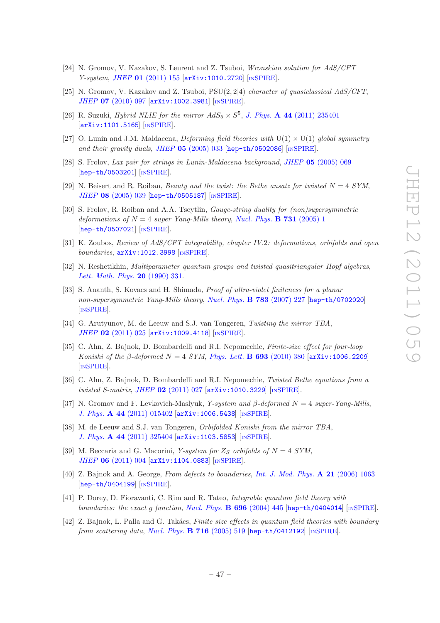- [24] N. Gromov, V. Kazakov, S. Leurent and Z. Tsuboi, Wronskian solution for AdS/CFT Y-system, JHEP 01 [\(2011\) 155](http://dx.doi.org/10.1007/JHEP01(2011)155) [[arXiv:1010.2720](http://arxiv.org/abs/1010.2720)] [IN[SPIRE](http://inspirehep.net/search?p=find+EPRINT+arXiv:1010.2720)].
- [25] N. Gromov, V. Kazakov and Z. Tsuboi, PSU(2, 2|4) character of quasiclassical AdS/CFT, JHEP 07 [\(2010\) 097](http://dx.doi.org/10.1007/JHEP07(2010)097) [[arXiv:1002.3981](http://arxiv.org/abs/1002.3981)] [IN[SPIRE](http://inspirehep.net/search?p=find+EPRINT+arXiv:1002.3981)].
- <span id="page-47-0"></span>[26] R. Suzuki, *Hybrid NLIE for the mirror*  $AdS_5 \times S^5$ *, J. Phys.* **A 44** [\(2011\) 235401](http://dx.doi.org/10.1088/1751-8113/44/23/235401) [[arXiv:1101.5165](http://arxiv.org/abs/1101.5165)] [IN[SPIRE](http://inspirehep.net/search?p=find+EPRINT+arXiv:1101.5165)].
- <span id="page-47-1"></span>[27] O. Lunin and J.M. Maldacena, *Deforming field theories with*  $U(1) \times U(1)$  global symmetry and their gravity duals, JHEP  $05$  [\(2005\) 033](http://dx.doi.org/10.1088/1126-6708/2005/05/033) [[hep-th/0502086](http://arxiv.org/abs/hep-th/0502086)] [IN[SPIRE](http://inspirehep.net/search?p=find+EPRINT+hep-th/0502086)].
- [28] S. Frolov, Lax pair for strings in Lunin-Maldacena background, JHEP 05 [\(2005\) 069](http://dx.doi.org/10.1088/1126-6708/2005/05/069) [[hep-th/0503201](http://arxiv.org/abs/hep-th/0503201)] [IN[SPIRE](http://inspirehep.net/search?p=find+EPRINT+hep-th/0503201)].
- <span id="page-47-14"></span>[29] N. Beisert and R. Roiban, *Beauty and the twist: the Bethe ansatz for twisted*  $N = 4$  *SYM*, JHEP 08 [\(2005\) 039](http://dx.doi.org/10.1088/1126-6708/2005/08/039) [[hep-th/0505187](http://arxiv.org/abs/hep-th/0505187)] [IN[SPIRE](http://inspirehep.net/search?p=find+EPRINT+hep-th/0505187)].
- <span id="page-47-15"></span>[30] S. Frolov, R. Roiban and A.A. Tseytlin, Gauge-string duality for (non)supersymmetric deformations of  $N = 4$  super Yang-Mills theory, [Nucl. Phys.](http://dx.doi.org/10.1016/j.nuclphysb.2005.10.004) **B** 731 (2005) 1 [[hep-th/0507021](http://arxiv.org/abs/hep-th/0507021)] [IN[SPIRE](http://inspirehep.net/search?p=find+EPRINT+hep-th/0507021)].
- <span id="page-47-2"></span>[31] K. Zoubos, Review of AdS/CFT integrability, chapter IV.2: deformations, orbifolds and open boundaries,  $arXiv:1012.3998$  [IN[SPIRE](http://inspirehep.net/search?p=find+EPRINT+arXiv:1012.3998)].
- <span id="page-47-3"></span>[32] N. Reshetikhin, *Multiparameter quantum groups and twisted quasitriangular Hopf algebras*, [Lett. Math. Phys.](http://dx.doi.org/10.1007/BF00626530) 20 (1990) 331.
- <span id="page-47-4"></span>[33] S. Ananth, S. Kovacs and H. Shimada, Proof of ultra-violet finiteness for a planar non-supersymmetric Yang-Mills theory, [Nucl. Phys.](http://dx.doi.org/10.1016/j.nuclphysb.2007.04.005) **B 783** (2007) 227 [[hep-th/0702020](http://arxiv.org/abs/hep-th/0702020)] [IN[SPIRE](http://inspirehep.net/search?p=find+EPRINT+hep-th/0702020)].
- <span id="page-47-5"></span>[34] G. Arutyunov, M. de Leeuw and S.J. van Tongeren, Twisting the mirror TBA, JHEP 02 [\(2011\) 025](http://dx.doi.org/10.1007/JHEP02(2011)025) [[arXiv:1009.4118](http://arxiv.org/abs/1009.4118)] [IN[SPIRE](http://inspirehep.net/search?p=find+EPRINT+arXiv:1009.4118)].
- <span id="page-47-6"></span>[35] C. Ahn, Z. Bajnok, D. Bombardelli and R.I. Nepomechie, Finite-size effect for four-loop Konishi of the  $\beta$ -deformed  $N = 4$  SYM, [Phys. Lett.](http://dx.doi.org/10.1016/j.physletb.2010.08.056) **B 693** (2010) 380 [[arXiv:1006.2209](http://arxiv.org/abs/1006.2209)] [IN[SPIRE](http://inspirehep.net/search?p=find+EPRINT+arXiv:1006.2209)].
- <span id="page-47-7"></span>[36] C. Ahn, Z. Bajnok, D. Bombardelli and R.I. Nepomechie, Twisted Bethe equations from a twisted S-matrix, JHEP  $\overline{02}$  [\(2011\) 027](http://dx.doi.org/10.1007/JHEP02(2011)027)  $\overline{arXiv:1010.3229}$  $\overline{arXiv:1010.3229}$  $\overline{arXiv:1010.3229}$  [IN[SPIRE](http://inspirehep.net/search?p=find+EPRINT+arXiv:1010.3229)].
- <span id="page-47-8"></span>[37] N. Gromov and F. Levkovich-Maslyuk, Y-system and  $\beta$ -deformed  $N = 4$  super-Yang-Mills, J. Phys. A 44 [\(2011\) 015402](http://dx.doi.org/10.1088/1751-8113/44/1/015402) [[arXiv:1006.5438](http://arxiv.org/abs/1006.5438)] [IN[SPIRE](http://inspirehep.net/search?p=find+EPRINT+arXiv:1006.5438)].
- <span id="page-47-9"></span>[38] M. de Leeuw and S.J. van Tongeren, Orbifolded Konishi from the mirror TBA, J. Phys. A 44 [\(2011\) 325404](http://dx.doi.org/10.1088/1751-8113/44/32/325404) [[arXiv:1103.5853](http://arxiv.org/abs/1103.5853)] [IN[SPIRE](http://inspirehep.net/search?p=find+EPRINT+arXiv:1103.5853)].
- <span id="page-47-10"></span>[39] M. Beccaria and G. Macorini, *Y-system for*  $Z_S$  orbifolds of  $N = 4$  SYM, JHEP 06 [\(2011\) 004](http://dx.doi.org/10.1007/JHEP06(2011)004) [[arXiv:1104.0883](http://arxiv.org/abs/1104.0883)] [IN[SPIRE](http://inspirehep.net/search?p=find+EPRINT+arXiv:1104.0883)].
- <span id="page-47-11"></span>[40] Z. Bajnok and A. George, From defects to boundaries, [Int. J. Mod. Phys.](http://dx.doi.org/10.1142/S0217751X06025262) A 21 (2006) 1063 [[hep-th/0404199](http://arxiv.org/abs/hep-th/0404199)] [IN[SPIRE](http://inspirehep.net/search?p=find+EPRINT+hep-th/0404199)].
- <span id="page-47-12"></span>[41] P. Dorey, D. Fioravanti, C. Rim and R. Tateo, Integrable quantum field theory with boundaries: the exact q function, [Nucl. Phys.](http://dx.doi.org/10.1016/j.nuclphysb.2004.06.045)  $\bf{B}$  696 (2004) 445 [[hep-th/0404014](http://arxiv.org/abs/hep-th/0404014)] [IN[SPIRE](http://inspirehep.net/search?p=find+EPRINT+hep-th/0404014)].
- <span id="page-47-13"></span>[42] Z. Bajnok, L. Palla and G. Takács, Finite size effects in quantum field theories with boundary from scattering data, [Nucl. Phys.](http://dx.doi.org/10.1016/j.nuclphysb.2005.03.021)  $\bf{B}$  716 (2005) 519 [[hep-th/0412192](http://arxiv.org/abs/hep-th/0412192)] [IN[SPIRE](http://inspirehep.net/search?p=find+EPRINT+hep-th/0412192)].